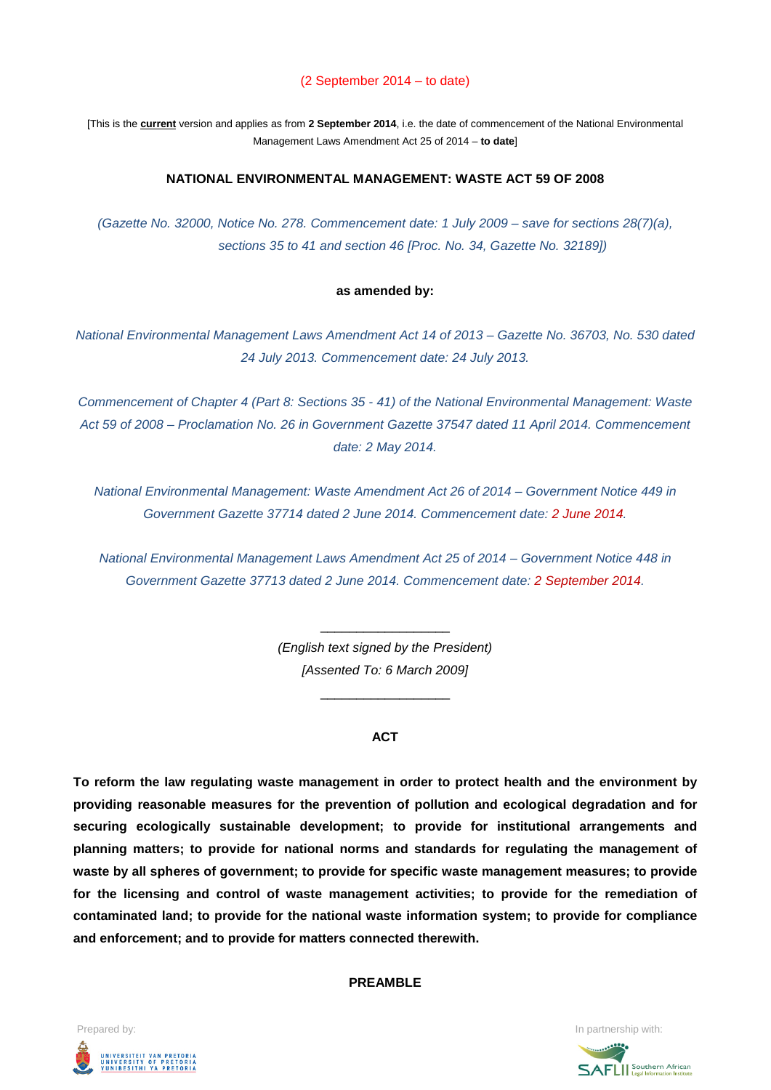#### (2 September 2014 – to date)

[This is the **current** version and applies as from **2 September 2014**, i.e. the date of commencement of the National Environmental Management Laws Amendment Act 25 of 2014 – **to date**]

#### **NATIONAL ENVIRONMENTAL MANAGEMENT: WASTE ACT 59 OF 2008**

*(Gazette No. 32000, Notice No. 278. Commencement date: 1 July 2009 – save for sections 28(7)(a), sections 35 to 41 and section 46 [Proc. No. 34, Gazette No. 32189])*

#### **as amended by:**

*National Environmental Management Laws Amendment Act 14 of 2013 – Gazette No. 36703, No. 530 dated 24 July 2013. Commencement date: 24 July 2013.*

*Commencement of Chapter 4 (Part 8: Sections 35 - 41) of the National Environmental Management: Waste Act 59 of 2008 – Proclamation No. 26 in Government Gazette 37547 dated 11 April 2014. Commencement date: 2 May 2014.*

*National Environmental Management: Waste Amendment Act 26 of 2014 – Government Notice 449 in Government Gazette 37714 dated 2 June 2014. Commencement date: 2 June 2014.*

*National Environmental Management Laws Amendment Act 25 of 2014 – Government Notice 448 in Government Gazette 37713 dated 2 June 2014. Commencement date: 2 September 2014.*

> *(English text signed by the President) [Assented To: 6 March 2009]*

> > \_\_\_\_\_\_\_\_\_\_\_\_\_\_\_\_\_\_

\_\_\_\_\_\_\_\_\_\_\_\_\_\_\_\_\_\_

#### **ACT**

**To reform the law regulating waste management in order to protect health and the environment by providing reasonable measures for the prevention of pollution and ecological degradation and for securing ecologically sustainable development; to provide for institutional arrangements and planning matters; to provide for national norms and standards for regulating the management of waste by all spheres of government; to provide for specific waste management measures; to provide for the licensing and control of waste management activities; to provide for the remediation of contaminated land; to provide for the national waste information system; to provide for compliance and enforcement; and to provide for matters connected therewith.**

#### **PREAMBLE**



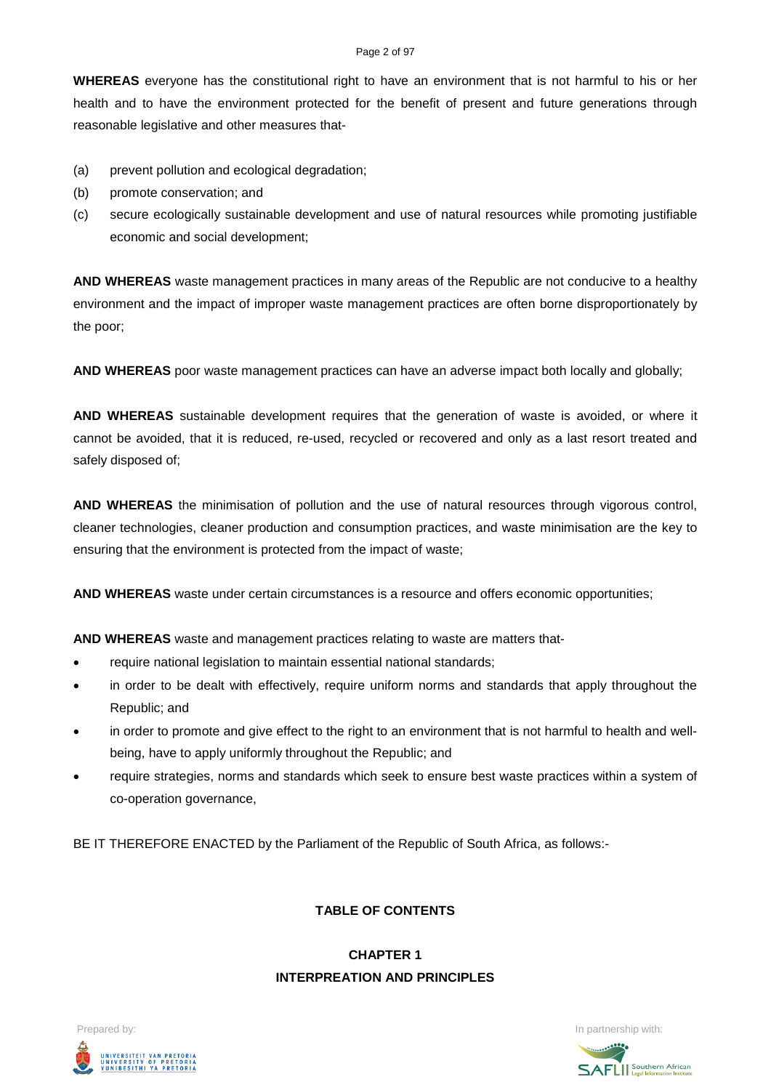#### Page 2 of 97

**WHEREAS** everyone has the constitutional right to have an environment that is not harmful to his or her health and to have the environment protected for the benefit of present and future generations through reasonable legislative and other measures that-

- (a) prevent pollution and ecological degradation;
- (b) promote conservation; and
- (c) secure ecologically sustainable development and use of natural resources while promoting justifiable economic and social development;

**AND WHEREAS** waste management practices in many areas of the Republic are not conducive to a healthy environment and the impact of improper waste management practices are often borne disproportionately by the poor;

**AND WHEREAS** poor waste management practices can have an adverse impact both locally and globally;

**AND WHEREAS** sustainable development requires that the generation of waste is avoided, or where it cannot be avoided, that it is reduced, re-used, recycled or recovered and only as a last resort treated and safely disposed of;

**AND WHEREAS** the minimisation of pollution and the use of natural resources through vigorous control, cleaner technologies, cleaner production and consumption practices, and waste minimisation are the key to ensuring that the environment is protected from the impact of waste;

**AND WHEREAS** waste under certain circumstances is a resource and offers economic opportunities;

**AND WHEREAS** waste and management practices relating to waste are matters that-

- require national legislation to maintain essential national standards;
- in order to be dealt with effectively, require uniform norms and standards that apply throughout the Republic; and
- in order to promote and give effect to the right to an environment that is not harmful to health and wellbeing, have to apply uniformly throughout the Republic; and
- require strategies, norms and standards which seek to ensure best waste practices within a system of co-operation governance,

BE IT THEREFORE ENACTED by the Parliament of the Republic of South Africa, as follows:-

# **TABLE OF CONTENTS**

# **CHAPTER 1 INTERPREATION AND PRINCIPLES**



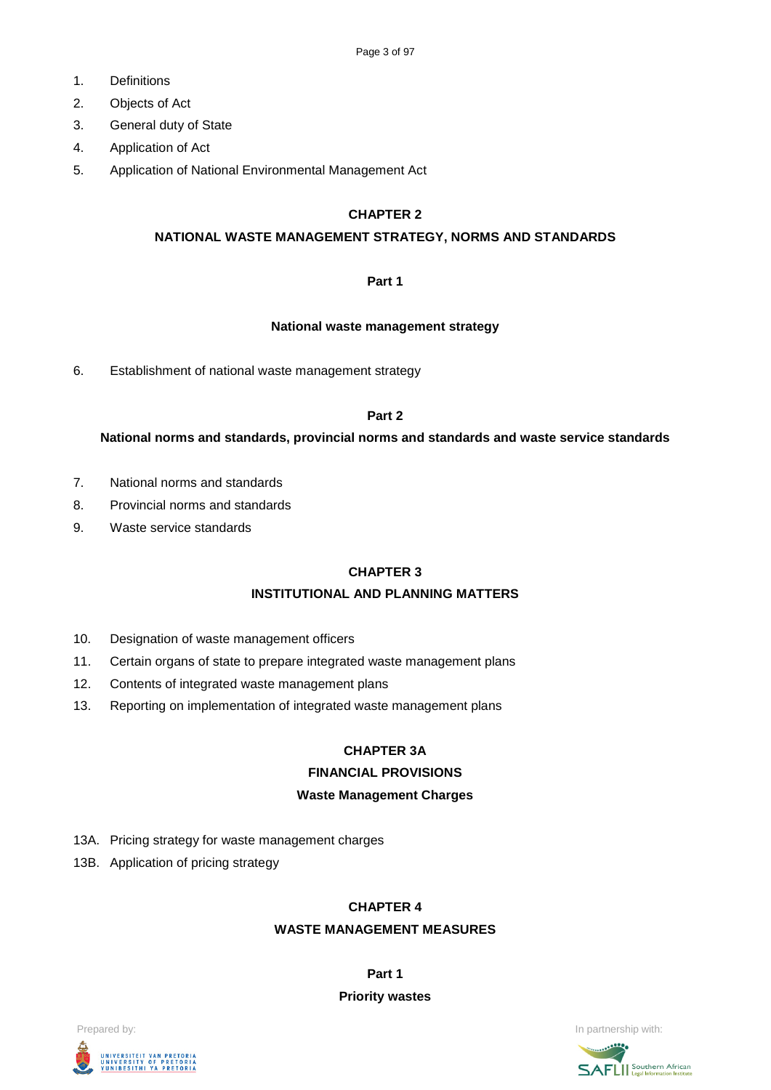- 1. Definitions
- 2. Objects of Act
- 3. General duty of State
- 4. Application of Act
- 5. Application of National Environmental Management Act

### **CHAPTER 2**

#### **NATIONAL WASTE MANAGEMENT STRATEGY, NORMS AND STANDARDS**

### **Part 1**

#### **National waste management strategy**

6. Establishment of national waste management strategy

### **Part 2**

### **National norms and standards, provincial norms and standards and waste service standards**

- 7. National norms and standards
- 8. Provincial norms and standards
- 9. Waste service standards

#### **CHAPTER 3**

# **INSTITUTIONAL AND PLANNING MATTERS**

- 10. Designation of waste management officers
- 11. Certain organs of state to prepare integrated waste management plans
- 12. Contents of integrated waste management plans
- 13. Reporting on implementation of integrated waste management plans

# **CHAPTER 3A**

# **FINANCIAL PROVISIONS**

# **Waste Management Charges**

- 13A. Pricing strategy for waste management charges
- 13B. Application of pricing strategy

#### **CHAPTER 4**

#### **WASTE MANAGEMENT MEASURES**

**Part 1**

#### **Priority wastes**



Prepared by: **In partnership with:**  $\blacksquare$  **In partnership with:**  $\blacksquare$  **In partnership with:**  $\blacksquare$ 

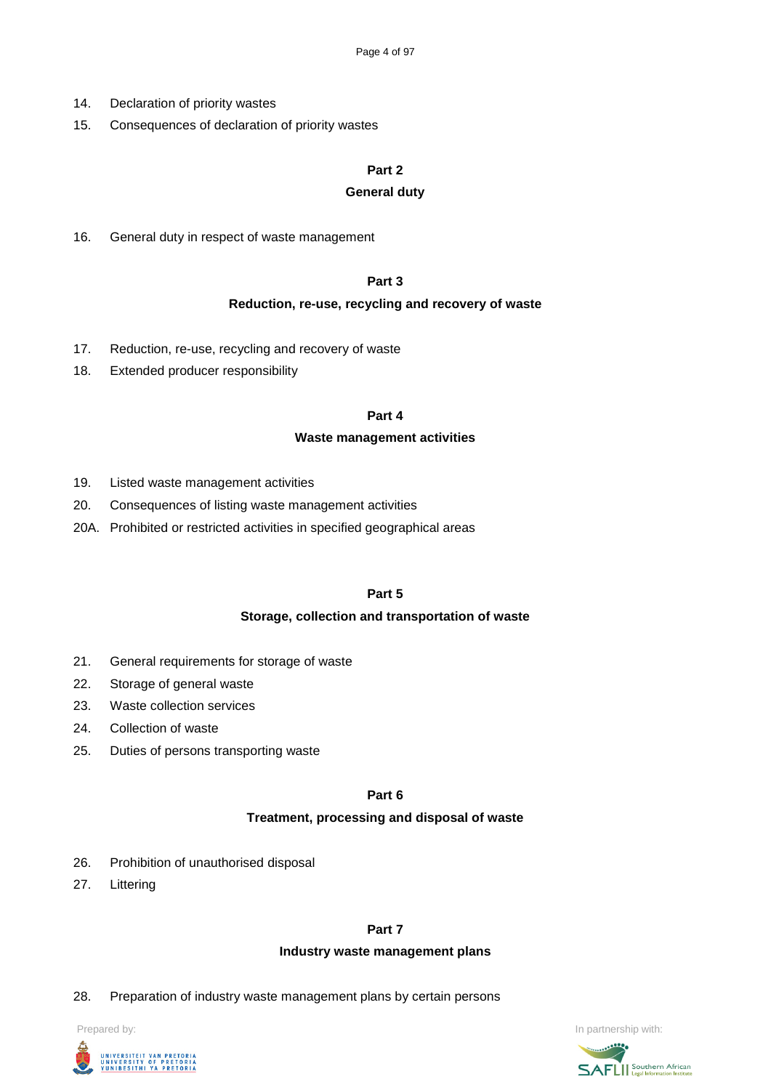- 14. Declaration of priority wastes
- 15. Consequences of declaration of priority wastes

#### **Part 2**

#### **General duty**

16. General duty in respect of waste management

### **Part 3**

#### **Reduction, re-use, recycling and recovery of waste**

- 17. Reduction, re-use, recycling and recovery of waste
- 18. Extended producer responsibility

#### **Part 4**

#### **Waste management activities**

- 19. Listed waste management activities
- 20. Consequences of listing waste management activities
- 20A. Prohibited or restricted activities in specified geographical areas

#### **Part 5**

#### **Storage, collection and transportation of waste**

- 21. General requirements for storage of waste
- 22. Storage of general waste
- 23. Waste collection services
- 24. Collection of waste
- 25. Duties of persons transporting waste

**Part 6**

#### **Treatment, processing and disposal of waste**

- 26. Prohibition of unauthorised disposal
- 27. Littering

#### **Part 7**

#### **Industry waste management plans**

28. Preparation of industry waste management plans by certain persons





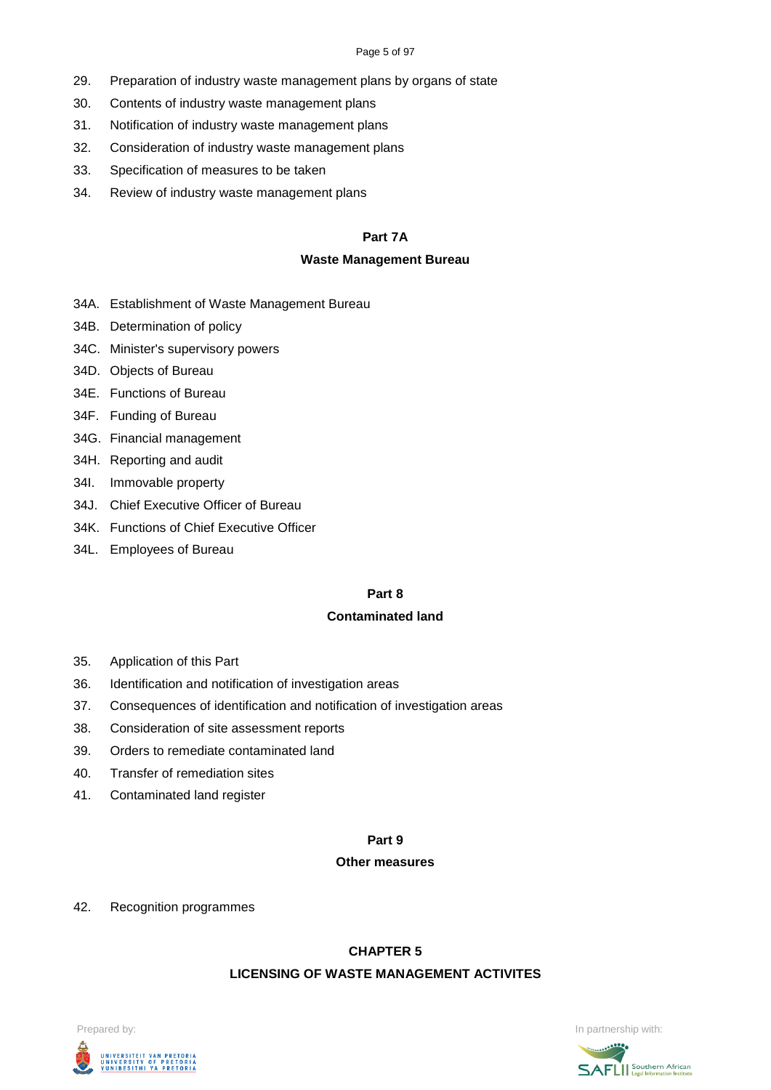#### Page 5 of 97

- 29. Preparation of industry waste management plans by organs of state
- 30. Contents of industry waste management plans
- 31. Notification of industry waste management plans
- 32. Consideration of industry waste management plans
- 33. Specification of measures to be taken
- 34. Review of industry waste management plans

### **Part 7A**

#### **Waste Management Bureau**

- 34A. Establishment of Waste Management Bureau
- 34B. Determination of policy
- 34C. Minister's supervisory powers
- 34D. Objects of Bureau
- 34E. Functions of Bureau
- 34F. Funding of Bureau
- 34G. Financial management
- 34H. Reporting and audit
- 34I. Immovable property
- 34J. Chief Executive Officer of Bureau
- 34K. Functions of Chief Executive Officer
- 34L. Employees of Bureau

#### **Part 8**

### **Contaminated land**

- 35. Application of this Part
- 36. Identification and notification of investigation areas
- 37. Consequences of identification and notification of investigation areas
- 38. Consideration of site assessment reports
- 39. Orders to remediate contaminated land
- 40. Transfer of remediation sites
- 41. Contaminated land register

#### **Part 9**

#### **Other measures**

#### 42. Recognition programmes

#### **CHAPTER 5**

# **LICENSING OF WASTE MANAGEMENT ACTIVITES**



Prepared by: **In partnership with:**  $\blacksquare$  **In partnership with:**  $\blacksquare$  **In partnership with:**  $\blacksquare$ 

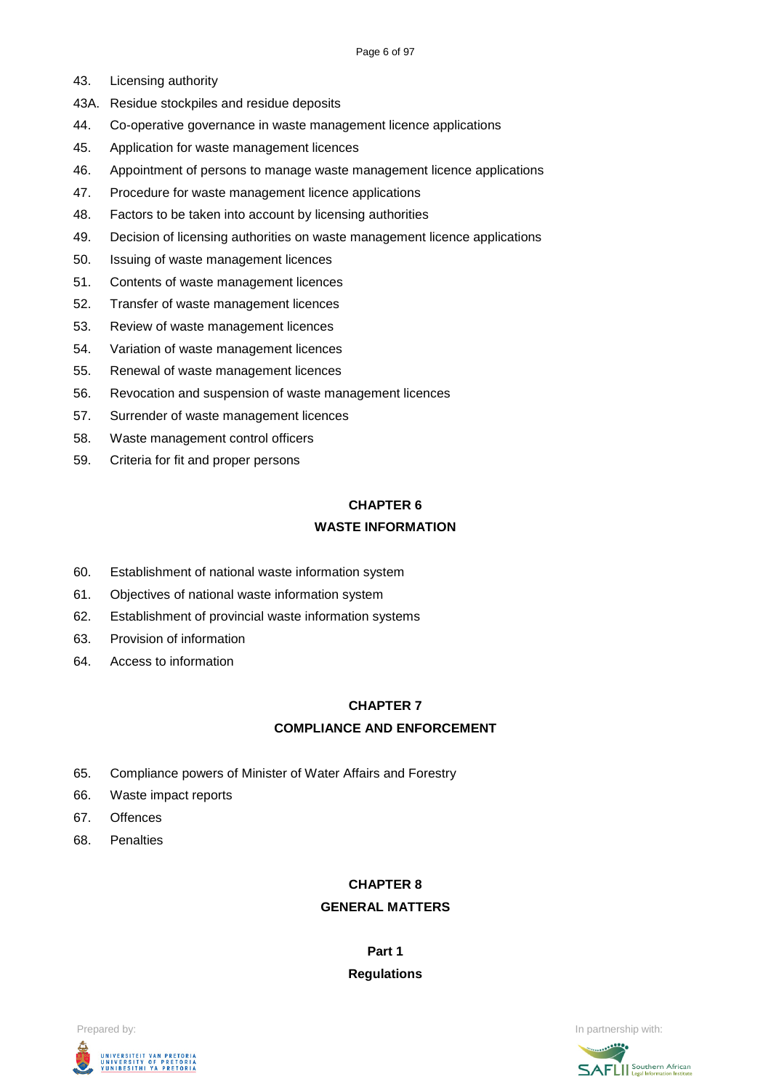- 43. Licensing authority
- 43A. Residue stockpiles and residue deposits
- 44. Co-operative governance in waste management licence applications
- 45. Application for waste management licences
- 46. Appointment of persons to manage waste management licence applications
- 47. Procedure for waste management licence applications
- 48. Factors to be taken into account by licensing authorities
- 49. Decision of licensing authorities on waste management licence applications
- 50. Issuing of waste management licences
- 51. Contents of waste management licences
- 52. Transfer of waste management licences
- 53. Review of waste management licences
- 54. Variation of waste management licences
- 55. Renewal of waste management licences
- 56. Revocation and suspension of waste management licences
- 57. Surrender of waste management licences
- 58. Waste management control officers
- 59. Criteria for fit and proper persons

# **CHAPTER 6 WASTE INFORMATION**

- 60. Establishment of national waste information system
- 61. Objectives of national waste information system
- 62. Establishment of provincial waste information systems
- 63. Provision of information
- 64. Access to information

# **CHAPTER 7**

# **COMPLIANCE AND ENFORCEMENT**

- 65. Compliance powers of Minister of Water Affairs and Forestry
- 66. Waste impact reports
- 67. Offences
- 68. Penalties

# **CHAPTER 8**

# **GENERAL MATTERS**

# **Part 1 Regulations**





Prepared by: **In partnership with:**  $\blacksquare$  Prepared by: **In partnership with:**  $\blacksquare$ 

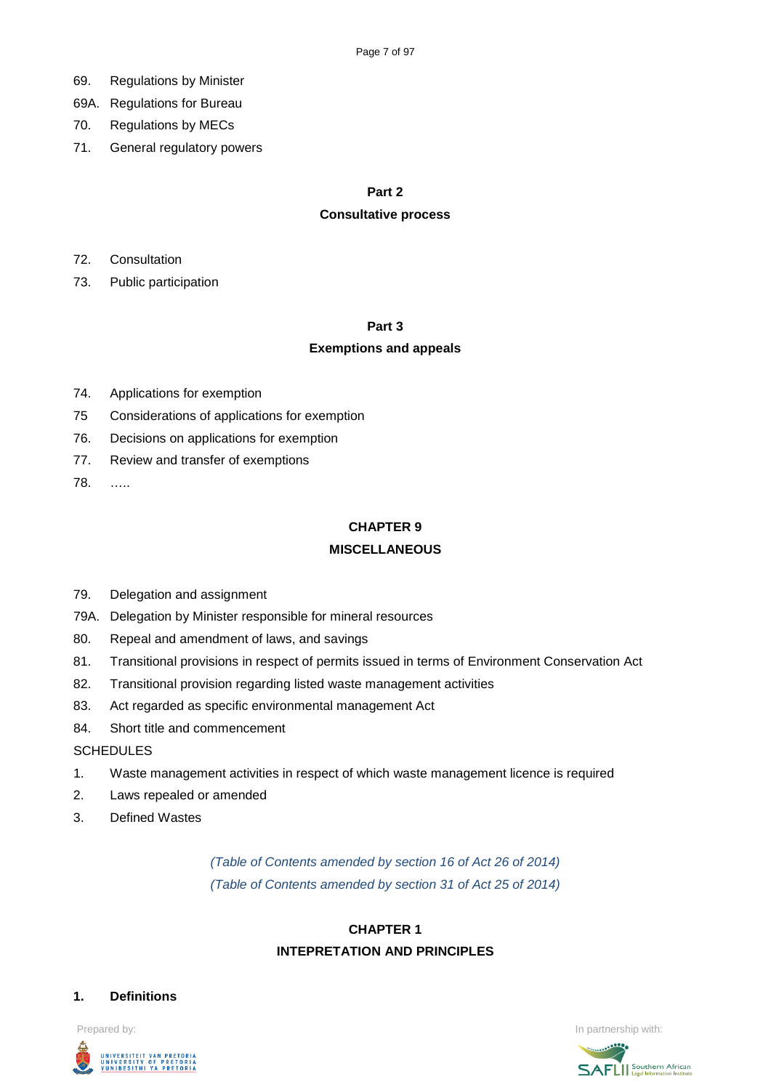- 69. Regulations by Minister
- 69A. Regulations for Bureau
- 70. Regulations by MECs
- 71. General regulatory powers

#### **Part 2**

#### **Consultative process**

- 72. Consultation
- 73. Public participation

#### **Part 3**

### **Exemptions and appeals**

- 74. Applications for exemption
- 75 Considerations of applications for exemption
- 76. Decisions on applications for exemption
- 77. Review and transfer of exemptions
- 78. …..

# **CHAPTER 9**

#### **MISCELLANEOUS**

- 79. Delegation and assignment
- 79A. Delegation by Minister responsible for mineral resources
- 80. Repeal and amendment of laws, and savings
- 81. Transitional provisions in respect of permits issued in terms of Environment Conservation Act
- 82. Transitional provision regarding listed waste management activities
- 83. Act regarded as specific environmental management Act
- 84. Short title and commencement

#### **SCHEDULES**

- 1. Waste management activities in respect of which waste management licence is required
- 2. Laws repealed or amended
- 3. Defined Wastes

# *(Table of Contents amended by section 16 of Act 26 of 2014) (Table of Contents amended by section 31 of Act 25 of 2014)*

# **CHAPTER 1 INTEPRETATION AND PRINCIPLES**

#### **1. Definitions**

Prepared by: **In partnership with:**  $\blacksquare$  **In partnership with:**  $\blacksquare$  **In partnership with:**  $\blacksquare$ UNIVERSITEIT VAN PRETORIA<br>UNIVERSITY OF PRETORIA<br>YUNIBESITHI YA PRETORIA

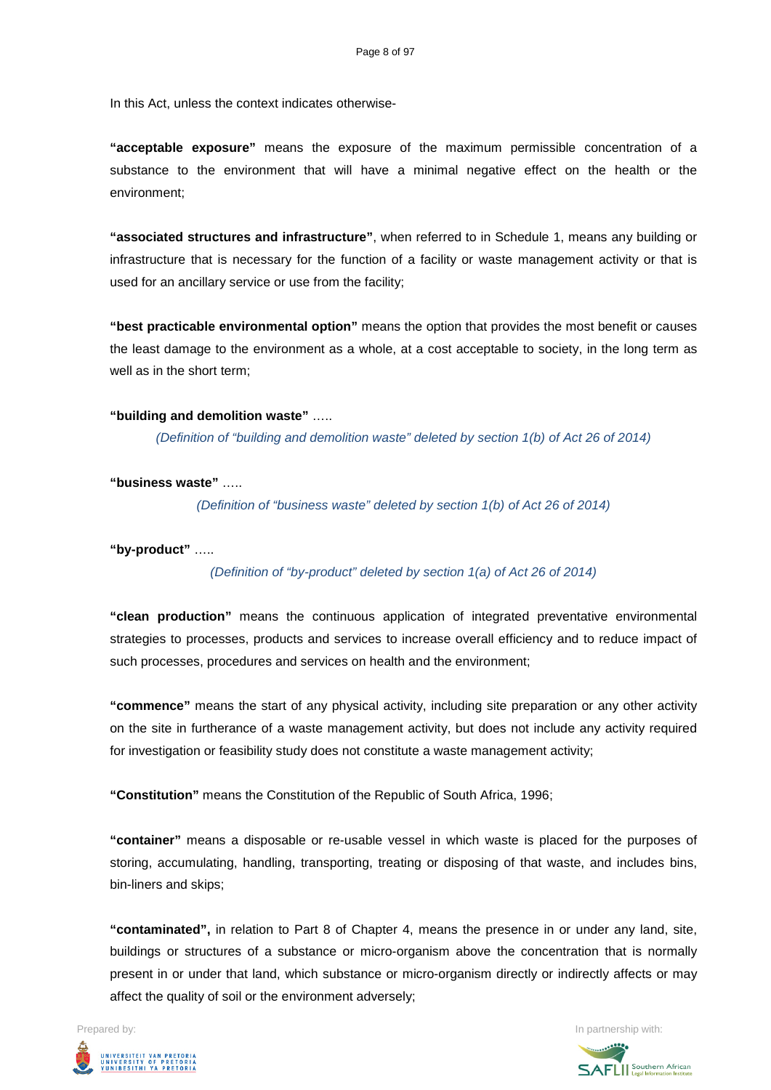In this Act, unless the context indicates otherwise-

**"acceptable exposure"** means the exposure of the maximum permissible concentration of a substance to the environment that will have a minimal negative effect on the health or the environment;

**"associated structures and infrastructure"**, when referred to in Schedule 1, means any building or infrastructure that is necessary for the function of a facility or waste management activity or that is used for an ancillary service or use from the facility;

**"best practicable environmental option"** means the option that provides the most benefit or causes the least damage to the environment as a whole, at a cost acceptable to society, in the long term as well as in the short term;

#### **"building and demolition waste"** …..

*(Definition of "building and demolition waste" deleted by section 1(b) of Act 26 of 2014)*

**"business waste"** …..

*(Definition of "business waste" deleted by section 1(b) of Act 26 of 2014)*

**"by-product"** …..

*(Definition of "by-product" deleted by section 1(a) of Act 26 of 2014)*

**"clean production"** means the continuous application of integrated preventative environmental strategies to processes, products and services to increase overall efficiency and to reduce impact of such processes, procedures and services on health and the environment;

**"commence"** means the start of any physical activity, including site preparation or any other activity on the site in furtherance of a waste management activity, but does not include any activity required for investigation or feasibility study does not constitute a waste management activity;

**"Constitution"** means the Constitution of the Republic of South Africa, 1996;

**"container"** means a disposable or re-usable vessel in which waste is placed for the purposes of storing, accumulating, handling, transporting, treating or disposing of that waste, and includes bins, bin-liners and skips;

**"contaminated",** in relation to Part 8 of Chapter 4, means the presence in or under any land, site, buildings or structures of a substance or micro-organism above the concentration that is normally present in or under that land, which substance or micro-organism directly or indirectly affects or may affect the quality of soil or the environment adversely;

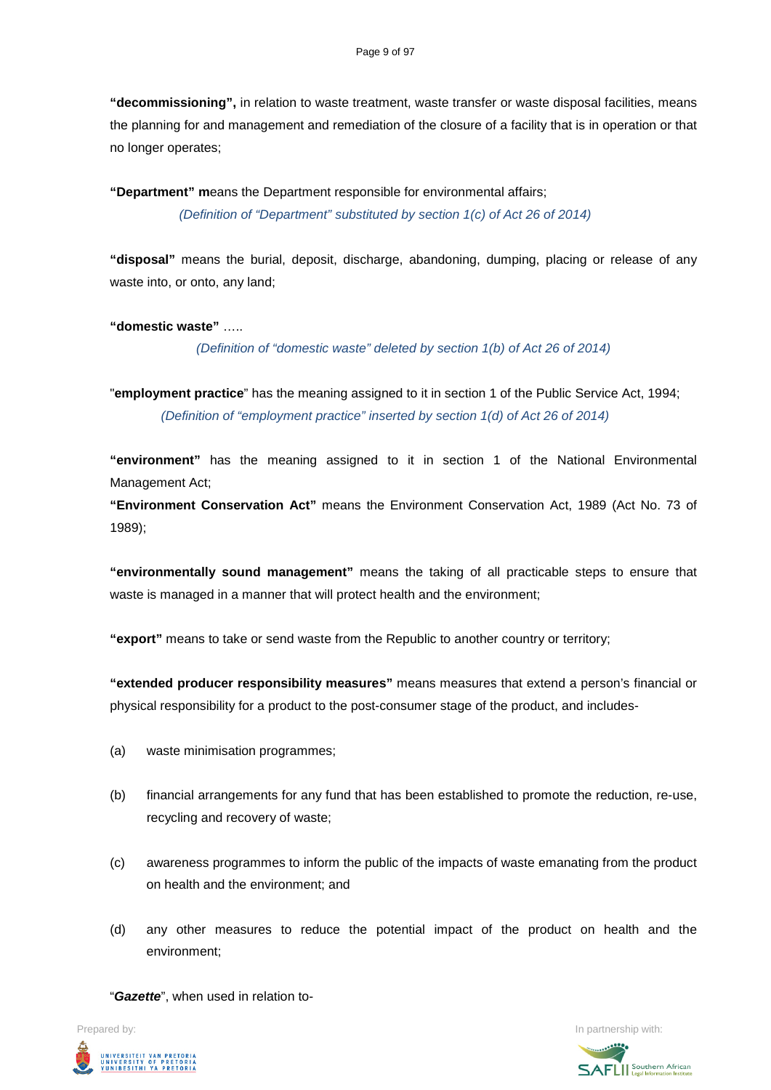**"decommissioning",** in relation to waste treatment, waste transfer or waste disposal facilities, means the planning for and management and remediation of the closure of a facility that is in operation or that no longer operates;

**"Department" m**eans the Department responsible for environmental affairs; *(Definition of "Department" substituted by section 1(c) of Act 26 of 2014)*

**"disposal"** means the burial, deposit, discharge, abandoning, dumping, placing or release of any waste into, or onto, any land;

**"domestic waste"** …..

*(Definition of "domestic waste" deleted by section 1(b) of Act 26 of 2014)*

"**employment practice**" has the meaning assigned to it in section 1 of the Public Service Act, 1994; *(Definition of "employment practice" inserted by section 1(d) of Act 26 of 2014)*

**"environment"** has the meaning assigned to it in section 1 of the National Environmental Management Act;

**"Environment Conservation Act"** means the Environment Conservation Act, 1989 (Act No. 73 of 1989);

**"environmentally sound management"** means the taking of all practicable steps to ensure that waste is managed in a manner that will protect health and the environment;

**"export"** means to take or send waste from the Republic to another country or territory;

**"extended producer responsibility measures"** means measures that extend a person's financial or physical responsibility for a product to the post-consumer stage of the product, and includes-

- (a) waste minimisation programmes;
- (b) financial arrangements for any fund that has been established to promote the reduction, re-use, recycling and recovery of waste;
- (c) awareness programmes to inform the public of the impacts of waste emanating from the product on health and the environment; and
- (d) any other measures to reduce the potential impact of the product on health and the environment;

"*Gazette*", when used in relation to-

UNIVERSITEIT VAN PRETORIA<br>UNIVERSITY OF PRETORIA<br>YUNIBESITHI YA PRETORIA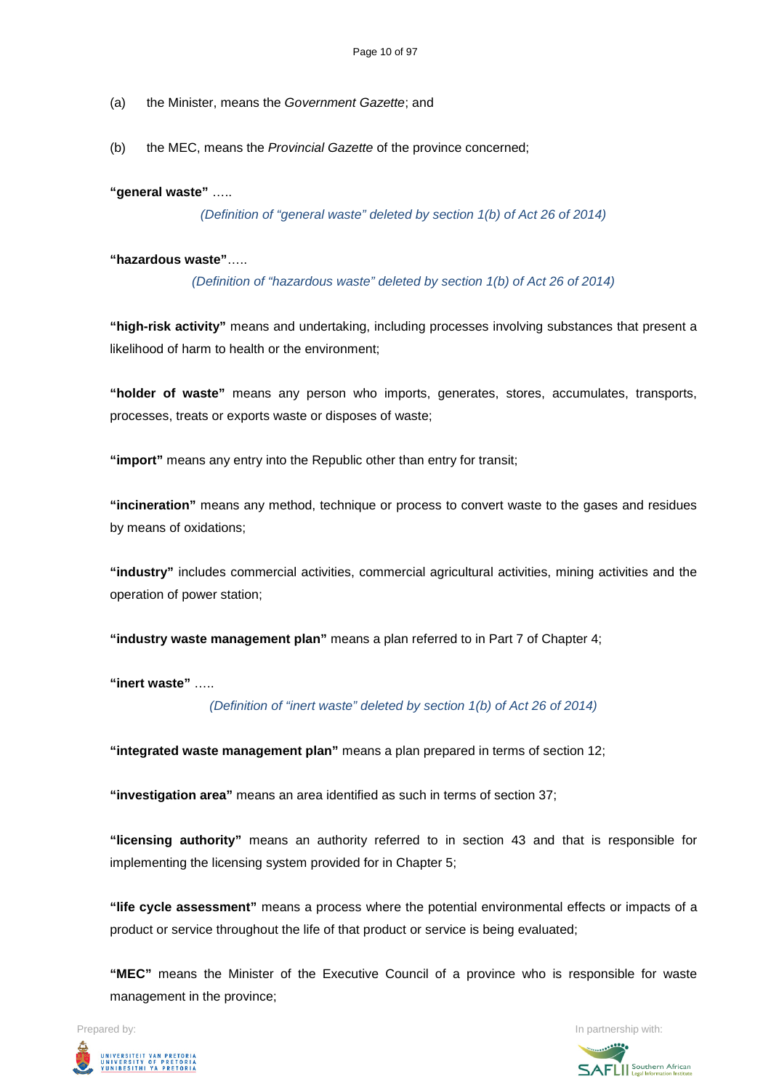- (a) the Minister, means the *Government Gazette*; and
- (b) the MEC, means the *Provincial Gazette* of the province concerned;

**"general waste"** …..

*(Definition of "general waste" deleted by section 1(b) of Act 26 of 2014)*

**"hazardous waste"**…..

*(Definition of "hazardous waste" deleted by section 1(b) of Act 26 of 2014)*

**"high-risk activity"** means and undertaking, including processes involving substances that present a likelihood of harm to health or the environment;

**"holder of waste"** means any person who imports, generates, stores, accumulates, transports, processes, treats or exports waste or disposes of waste;

**"import"** means any entry into the Republic other than entry for transit;

**"incineration"** means any method, technique or process to convert waste to the gases and residues by means of oxidations;

**"industry"** includes commercial activities, commercial agricultural activities, mining activities and the operation of power station;

**"industry waste management plan"** means a plan referred to in Part 7 of Chapter 4;

**"inert waste"** …..

*(Definition of "inert waste" deleted by section 1(b) of Act 26 of 2014)*

**"integrated waste management plan"** means a plan prepared in terms of section 12;

**"investigation area"** means an area identified as such in terms of section 37;

**"licensing authority"** means an authority referred to in section 43 and that is responsible for implementing the licensing system provided for in Chapter 5;

**"life cycle assessment"** means a process where the potential environmental effects or impacts of a product or service throughout the life of that product or service is being evaluated;

**"MEC"** means the Minister of the Executive Council of a province who is responsible for waste management in the province;

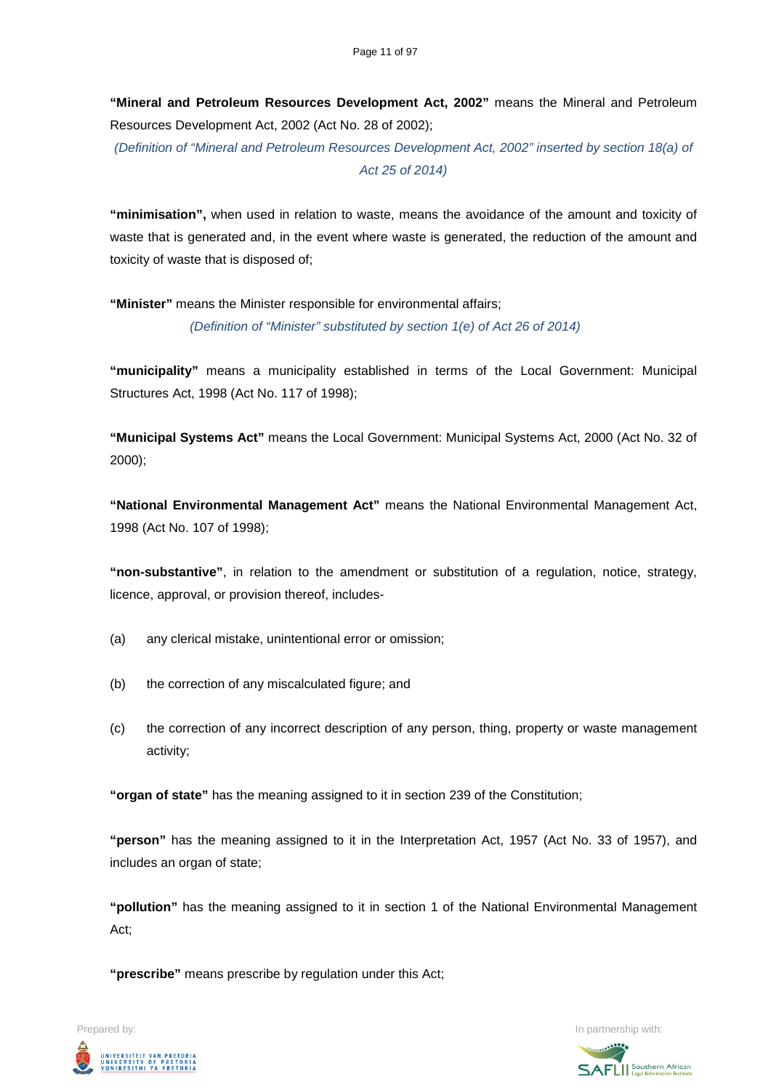**"Mineral and Petroleum Resources Development Act, 2002"** means the Mineral and Petroleum Resources Development Act, 2002 (Act No. 28 of 2002);

*(Definition of "Mineral and Petroleum Resources Development Act, 2002" inserted by section 18(a) of Act 25 of 2014)*

**"minimisation",** when used in relation to waste, means the avoidance of the amount and toxicity of waste that is generated and, in the event where waste is generated, the reduction of the amount and toxicity of waste that is disposed of;

**"Minister"** means the Minister responsible for environmental affairs; *(Definition of "Minister" substituted by section 1(e) of Act 26 of 2014)*

**"municipality"** means a municipality established in terms of the Local Government: Municipal Structures Act, 1998 (Act No. 117 of 1998);

**"Municipal Systems Act"** means the Local Government: Municipal Systems Act, 2000 (Act No. 32 of 2000);

**"National Environmental Management Act"** means the National Environmental Management Act, 1998 (Act No. 107 of 1998);

**"non-substantive"**, in relation to the amendment or substitution of a regulation, notice, strategy, licence, approval, or provision thereof, includes-

- (a) any clerical mistake, unintentional error or omission;
- (b) the correction of any miscalculated figure; and
- (c) the correction of any incorrect description of any person, thing, property or waste management activity;

**"organ of state"** has the meaning assigned to it in section 239 of the Constitution;

**"person"** has the meaning assigned to it in the Interpretation Act, 1957 (Act No. 33 of 1957), and includes an organ of state;

**"pollution"** has the meaning assigned to it in section 1 of the National Environmental Management Act;

**"prescribe"** means prescribe by regulation under this Act;

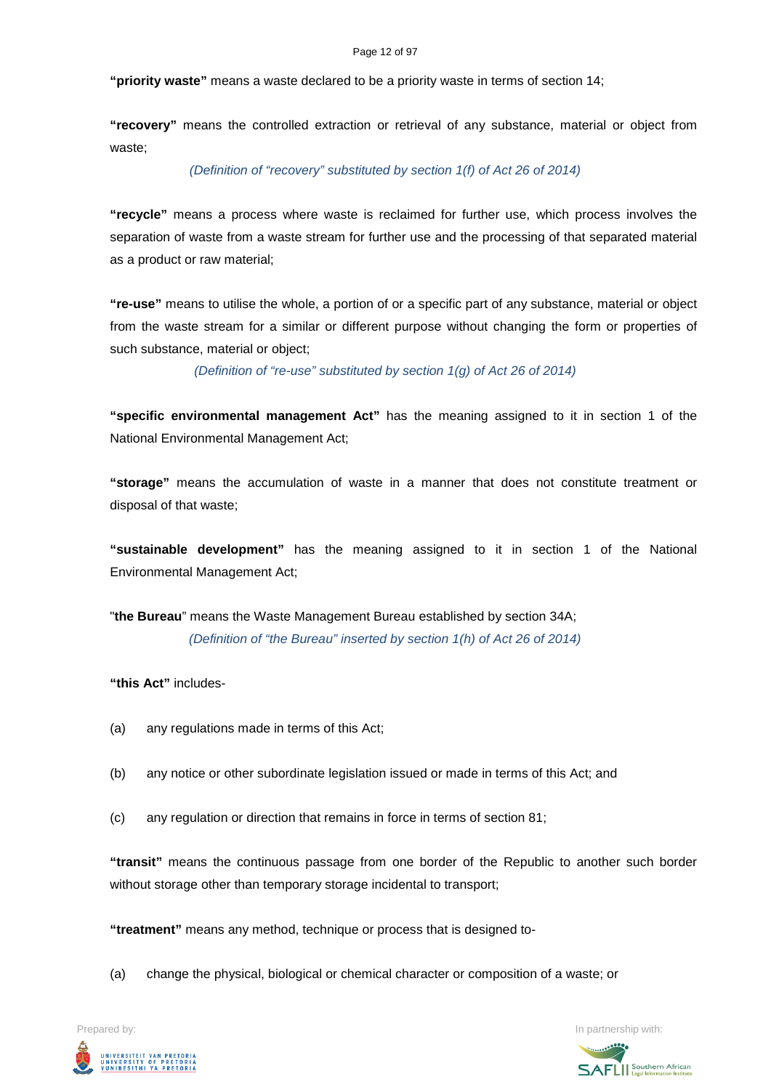#### Page 12 of 97

**"priority waste"** means a waste declared to be a priority waste in terms of section 14;

**"recovery"** means the controlled extraction or retrieval of any substance, material or object from waste;

#### *(Definition of "recovery" substituted by section 1(f) of Act 26 of 2014)*

**"recycle"** means a process where waste is reclaimed for further use, which process involves the separation of waste from a waste stream for further use and the processing of that separated material as a product or raw material;

**"re-use"** means to utilise the whole, a portion of or a specific part of any substance, material or object from the waste stream for a similar or different purpose without changing the form or properties of such substance, material or object;

*(Definition of "re-use" substituted by section 1(g) of Act 26 of 2014)*

**"specific environmental management Act"** has the meaning assigned to it in section 1 of the National Environmental Management Act;

**"storage"** means the accumulation of waste in a manner that does not constitute treatment or disposal of that waste;

**"sustainable development"** has the meaning assigned to it in section 1 of the National Environmental Management Act;

"**the Bureau**" means the Waste Management Bureau established by section 34A; *(Definition of "the Bureau" inserted by section 1(h) of Act 26 of 2014)*

**"this Act"** includes-

- (a) any regulations made in terms of this Act;
- (b) any notice or other subordinate legislation issued or made in terms of this Act; and
- (c) any regulation or direction that remains in force in terms of section 81;

**"transit"** means the continuous passage from one border of the Republic to another such border without storage other than temporary storage incidental to transport;

**"treatment"** means any method, technique or process that is designed to-

(a) change the physical, biological or chemical character or composition of a waste; or



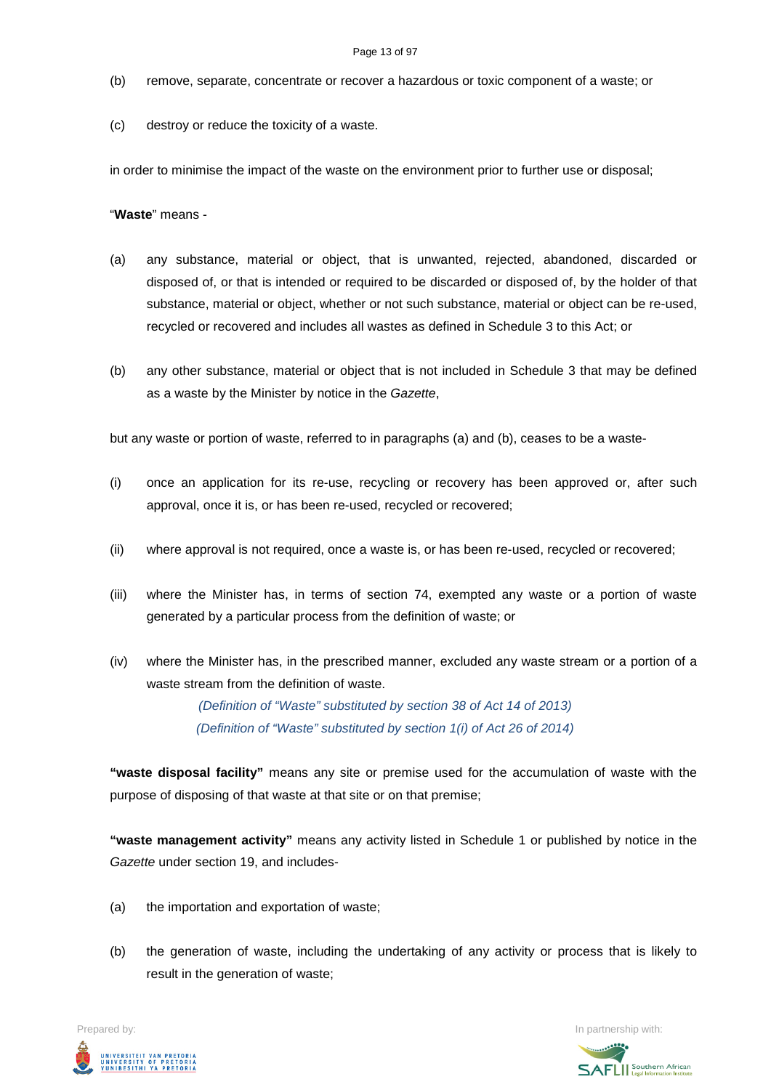- (b) remove, separate, concentrate or recover a hazardous or toxic component of a waste; or
- (c) destroy or reduce the toxicity of a waste.

in order to minimise the impact of the waste on the environment prior to further use or disposal;

"**Waste**" means -

- (a) any substance, material or object, that is unwanted, rejected, abandoned, discarded or disposed of, or that is intended or required to be discarded or disposed of, by the holder of that substance, material or object, whether or not such substance, material or object can be re-used, recycled or recovered and includes all wastes as defined in Schedule 3 to this Act; or
- (b) any other substance, material or object that is not included in Schedule 3 that may be defined as a waste by the Minister by notice in the *Gazette*,

but any waste or portion of waste, referred to in paragraphs (a) and (b), ceases to be a waste-

- (i) once an application for its re-use, recycling or recovery has been approved or, after such approval, once it is, or has been re-used, recycled or recovered;
- (ii) where approval is not required, once a waste is, or has been re-used, recycled or recovered;
- (iii) where the Minister has, in terms of section 74, exempted any waste or a portion of waste generated by a particular process from the definition of waste; or
- (iv) where the Minister has, in the prescribed manner, excluded any waste stream or a portion of a waste stream from the definition of waste.

*(Definition of "Waste" substituted by section 38 of Act 14 of 2013) (Definition of "Waste" substituted by section 1(i) of Act 26 of 2014)*

**"waste disposal facility"** means any site or premise used for the accumulation of waste with the purpose of disposing of that waste at that site or on that premise;

**"waste management activity"** means any activity listed in Schedule 1 or published by notice in the *Gazette* under section 19, and includes-

- (a) the importation and exportation of waste;
- (b) the generation of waste, including the undertaking of any activity or process that is likely to result in the generation of waste;

Prepared by: In partnership with:  $\blacksquare$  is the partnership with:  $\blacksquare$  is the partnership with:  $\blacksquare$ UNIVERSITEIT VAN PRETORIA<br>UNIVERSITY OF PRETORIA<br>YUNIBESITHI YA PRETORIA

**SAFLI** Southern African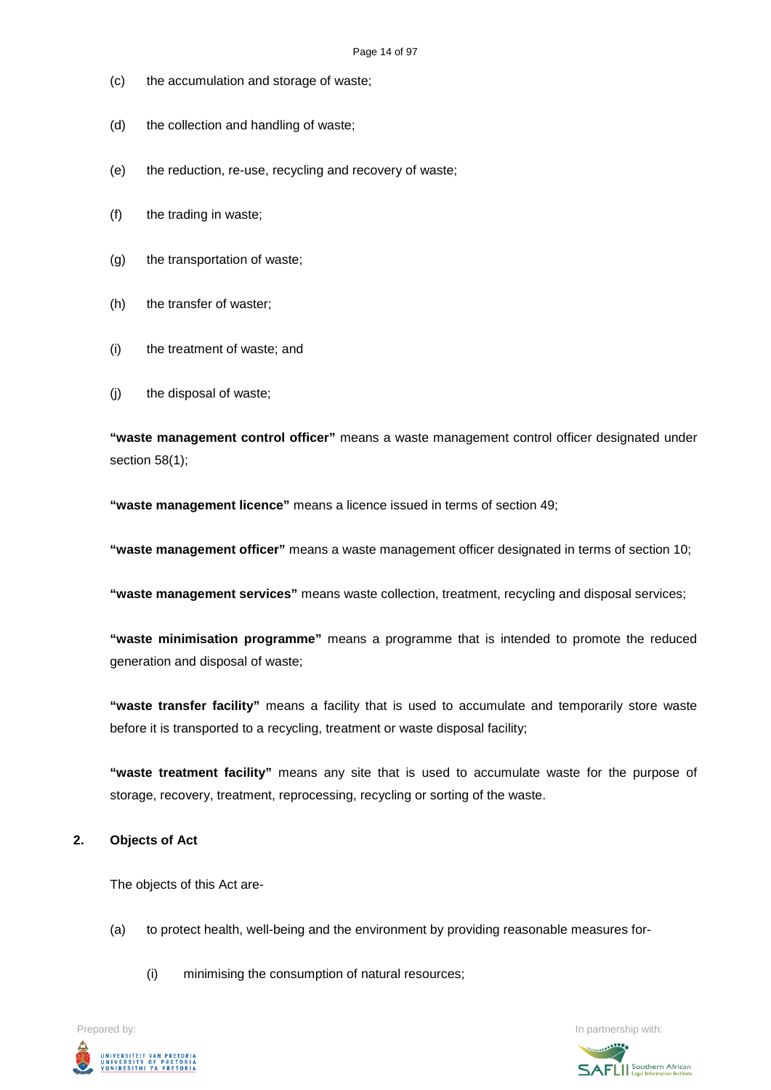- (c) the accumulation and storage of waste;
- (d) the collection and handling of waste;
- (e) the reduction, re-use, recycling and recovery of waste;
- (f) the trading in waste;
- (g) the transportation of waste;
- (h) the transfer of waster;
- (i) the treatment of waste; and
- (j) the disposal of waste;

**"waste management control officer"** means a waste management control officer designated under section 58(1);

**"waste management licence"** means a licence issued in terms of section 49;

**"waste management officer"** means a waste management officer designated in terms of section 10;

**"waste management services"** means waste collection, treatment, recycling and disposal services;

**"waste minimisation programme"** means a programme that is intended to promote the reduced generation and disposal of waste;

**"waste transfer facility"** means a facility that is used to accumulate and temporarily store waste before it is transported to a recycling, treatment or waste disposal facility;

**"waste treatment facility"** means any site that is used to accumulate waste for the purpose of storage, recovery, treatment, reprocessing, recycling or sorting of the waste.

#### **2. Objects of Act**

The objects of this Act are-

- (a) to protect health, well-being and the environment by providing reasonable measures for-
	- (i) minimising the consumption of natural resources;

Prepared by: **In partnership with:**  $\blacksquare$  **In partnership with:**  $\blacksquare$  **In partnership with:**  $\blacksquare$ UNIVERSITEIT VAN PRETORIA<br>UNIVERSITY OF PRETORIA<br><u>YUNIBESITHI YA PRETORIA</u>

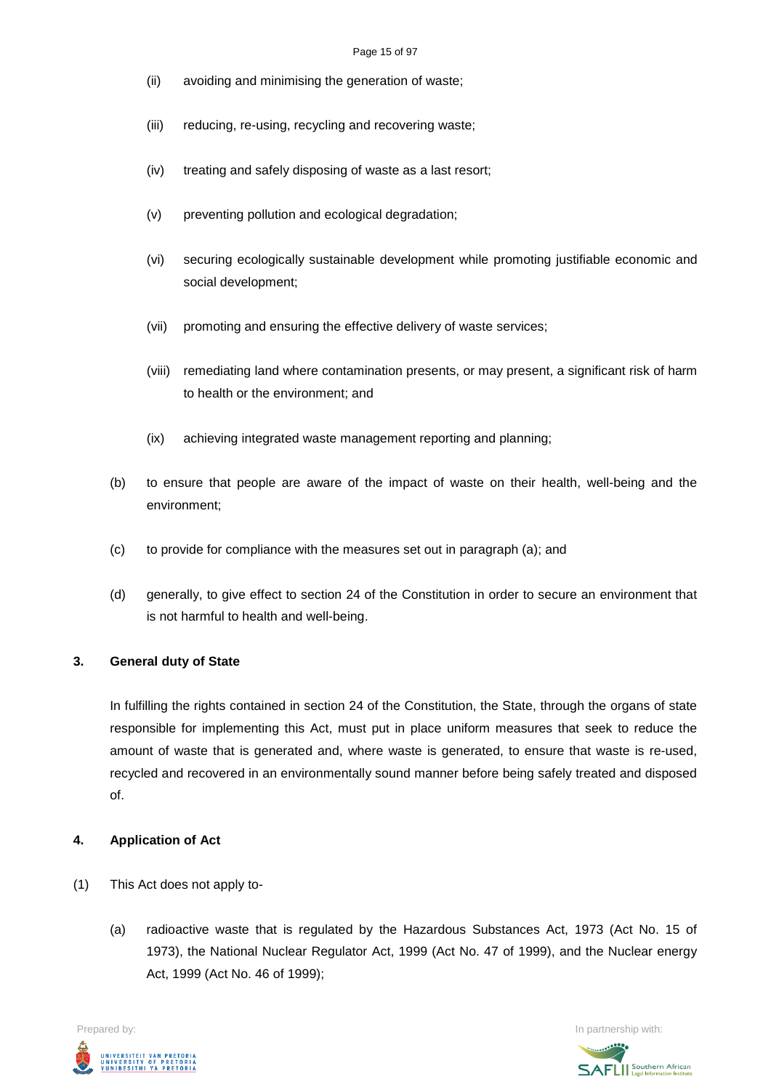#### Page 15 of 97

- (ii) avoiding and minimising the generation of waste;
- (iii) reducing, re-using, recycling and recovering waste;
- (iv) treating and safely disposing of waste as a last resort;
- (v) preventing pollution and ecological degradation;
- (vi) securing ecologically sustainable development while promoting justifiable economic and social development;
- (vii) promoting and ensuring the effective delivery of waste services;
- (viii) remediating land where contamination presents, or may present, a significant risk of harm to health or the environment; and
- (ix) achieving integrated waste management reporting and planning;
- (b) to ensure that people are aware of the impact of waste on their health, well-being and the environment;
- (c) to provide for compliance with the measures set out in paragraph (a); and
- (d) generally, to give effect to section 24 of the Constitution in order to secure an environment that is not harmful to health and well-being.

#### **3. General duty of State**

In fulfilling the rights contained in section 24 of the Constitution, the State, through the organs of state responsible for implementing this Act, must put in place uniform measures that seek to reduce the amount of waste that is generated and, where waste is generated, to ensure that waste is re-used, recycled and recovered in an environmentally sound manner before being safely treated and disposed of.

#### **4. Application of Act**

- (1) This Act does not apply to-
	- (a) radioactive waste that is regulated by the Hazardous Substances Act, 1973 (Act No. 15 of 1973), the National Nuclear Regulator Act, 1999 (Act No. 47 of 1999), and the Nuclear energy Act, 1999 (Act No. 46 of 1999);

UNIVERSITEIT VAN PRETORIA<br>UNIVERSITY OF PRETORIA<br>YUNIBESITHI YA PRETORIA

Prepared by: In partnership with:  $\blacksquare$  is the partnership with:  $\blacksquare$  is the partnership with:  $\blacksquare$ **SAFLI** Southern African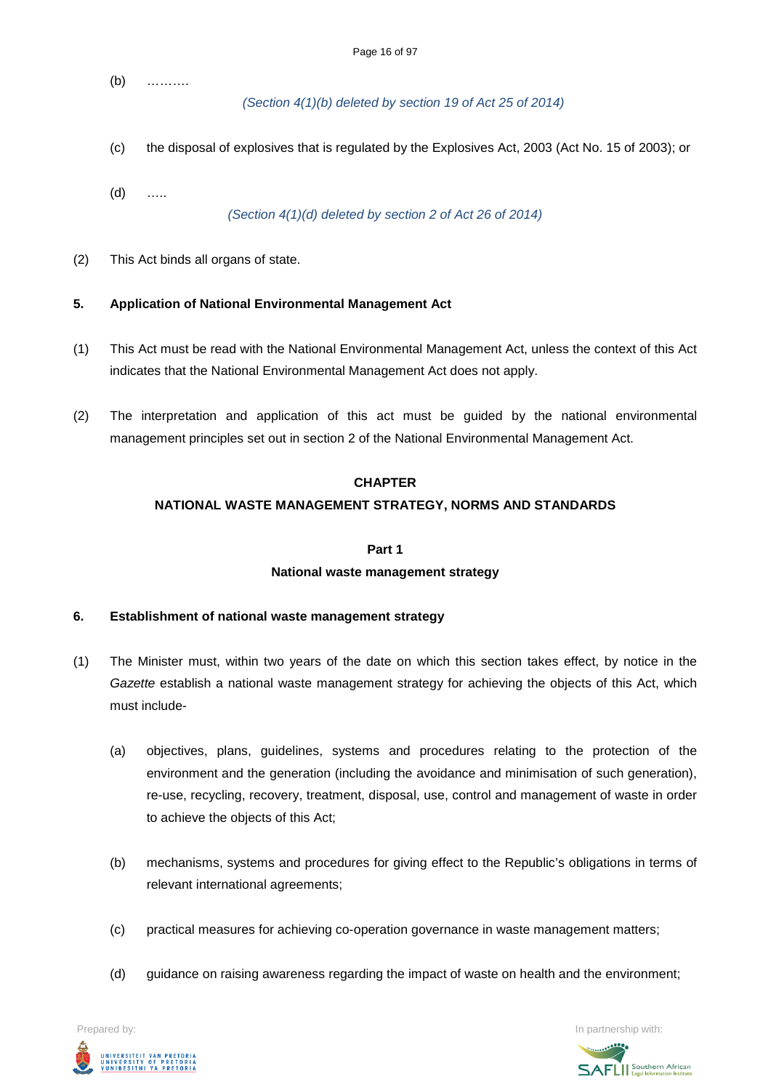(b) ……….

*(Section 4(1)(b) deleted by section 19 of Act 25 of 2014)*

- (c) the disposal of explosives that is regulated by the Explosives Act, 2003 (Act No. 15 of 2003); or
- (d) …..

*(Section 4(1)(d) deleted by section 2 of Act 26 of 2014)*

(2) This Act binds all organs of state.

### **5. Application of National Environmental Management Act**

- (1) This Act must be read with the National Environmental Management Act, unless the context of this Act indicates that the National Environmental Management Act does not apply.
- (2) The interpretation and application of this act must be guided by the national environmental management principles set out in section 2 of the National Environmental Management Act.

#### **CHAPTER**

### **NATIONAL WASTE MANAGEMENT STRATEGY, NORMS AND STANDARDS**

#### **Part 1**

#### **National waste management strategy**

#### **6. Establishment of national waste management strategy**

- (1) The Minister must, within two years of the date on which this section takes effect, by notice in the *Gazette* establish a national waste management strategy for achieving the objects of this Act, which must include-
	- (a) objectives, plans, guidelines, systems and procedures relating to the protection of the environment and the generation (including the avoidance and minimisation of such generation), re-use, recycling, recovery, treatment, disposal, use, control and management of waste in order to achieve the objects of this Act;
	- (b) mechanisms, systems and procedures for giving effect to the Republic's obligations in terms of relevant international agreements;
	- (c) practical measures for achieving co-operation governance in waste management matters;
	- (d) guidance on raising awareness regarding the impact of waste on health and the environment;

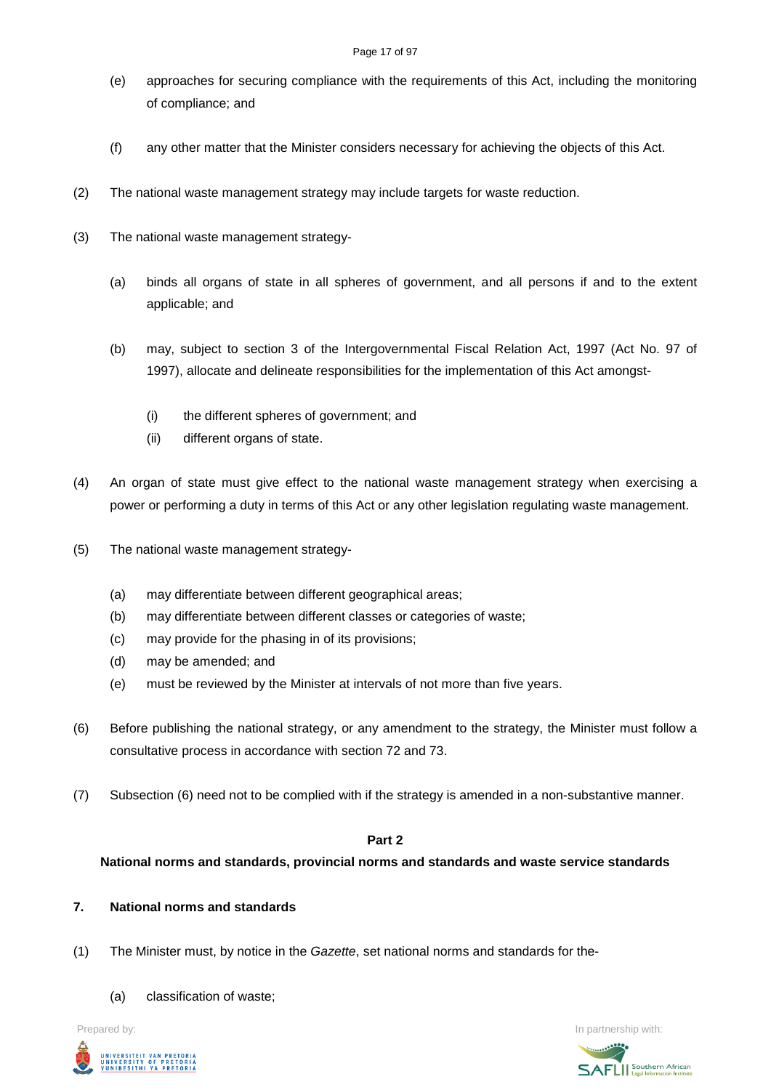- (e) approaches for securing compliance with the requirements of this Act, including the monitoring of compliance; and
- (f) any other matter that the Minister considers necessary for achieving the objects of this Act.
- (2) The national waste management strategy may include targets for waste reduction.
- (3) The national waste management strategy-
	- (a) binds all organs of state in all spheres of government, and all persons if and to the extent applicable; and
	- (b) may, subject to section 3 of the Intergovernmental Fiscal Relation Act, 1997 (Act No. 97 of 1997), allocate and delineate responsibilities for the implementation of this Act amongst-
		- (i) the different spheres of government; and
		- (ii) different organs of state.
- (4) An organ of state must give effect to the national waste management strategy when exercising a power or performing a duty in terms of this Act or any other legislation regulating waste management.
- (5) The national waste management strategy-
	- (a) may differentiate between different geographical areas;
	- (b) may differentiate between different classes or categories of waste;
	- (c) may provide for the phasing in of its provisions;
	- (d) may be amended; and
	- (e) must be reviewed by the Minister at intervals of not more than five years.
- (6) Before publishing the national strategy, or any amendment to the strategy, the Minister must follow a consultative process in accordance with section 72 and 73.
- (7) Subsection (6) need not to be complied with if the strategy is amended in a non-substantive manner.

# **Part 2**

**National norms and standards, provincial norms and standards and waste service standards**

# **7. National norms and standards**

- (1) The Minister must, by notice in the *Gazette*, set national norms and standards for the-
	- (a) classification of waste;



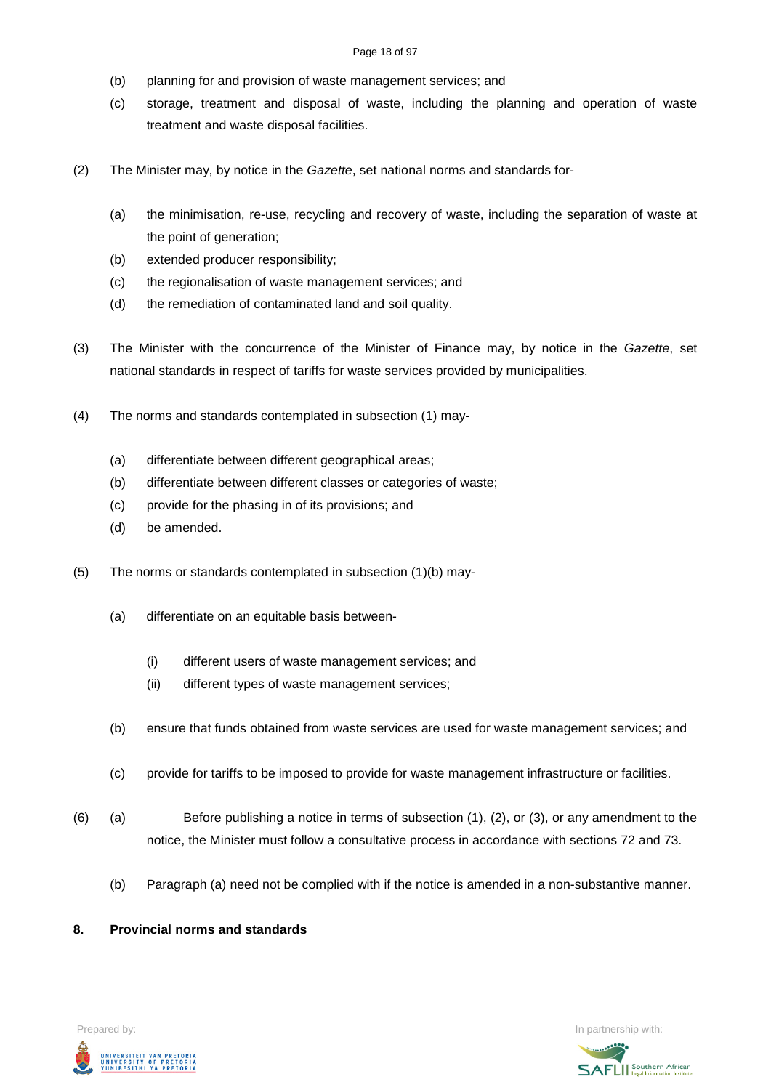#### Page 18 of 97

- (b) planning for and provision of waste management services; and
- (c) storage, treatment and disposal of waste, including the planning and operation of waste treatment and waste disposal facilities.
- (2) The Minister may, by notice in the *Gazette*, set national norms and standards for-
	- (a) the minimisation, re-use, recycling and recovery of waste, including the separation of waste at the point of generation;
	- (b) extended producer responsibility;
	- (c) the regionalisation of waste management services; and
	- (d) the remediation of contaminated land and soil quality.
- (3) The Minister with the concurrence of the Minister of Finance may, by notice in the *Gazette*, set national standards in respect of tariffs for waste services provided by municipalities.
- (4) The norms and standards contemplated in subsection (1) may-
	- (a) differentiate between different geographical areas;
	- (b) differentiate between different classes or categories of waste;
	- (c) provide for the phasing in of its provisions; and
	- (d) be amended.
- (5) The norms or standards contemplated in subsection (1)(b) may-
	- (a) differentiate on an equitable basis between-
		- (i) different users of waste management services; and
		- (ii) different types of waste management services;
	- (b) ensure that funds obtained from waste services are used for waste management services; and
	- (c) provide for tariffs to be imposed to provide for waste management infrastructure or facilities.
- (6) (a) Before publishing a notice in terms of subsection (1), (2), or (3), or any amendment to the notice, the Minister must follow a consultative process in accordance with sections 72 and 73.
	- (b) Paragraph (a) need not be complied with if the notice is amended in a non-substantive manner.

#### **8. Provincial norms and standards**



Prepared by: **In partnership with:**  $\blacksquare$  Prepared by: **In partnership with:**  $\blacksquare$ 

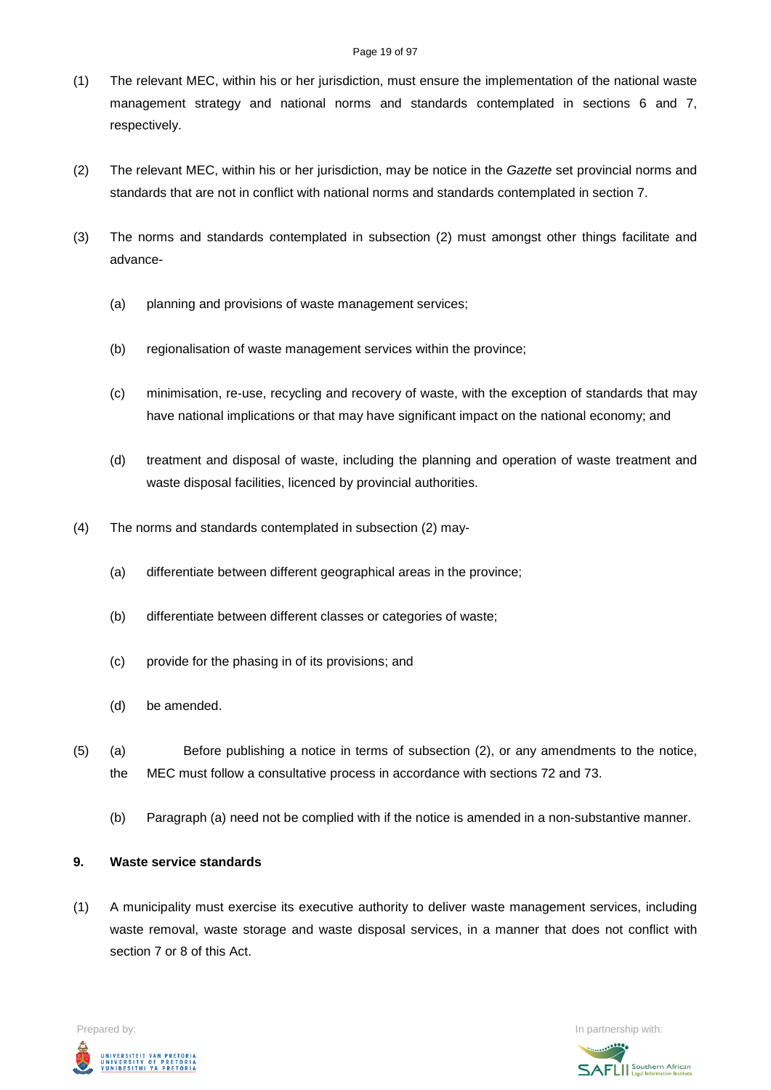#### Page 19 of 97

- (1) The relevant MEC, within his or her jurisdiction, must ensure the implementation of the national waste management strategy and national norms and standards contemplated in sections 6 and 7, respectively.
- (2) The relevant MEC, within his or her jurisdiction, may be notice in the *Gazette* set provincial norms and standards that are not in conflict with national norms and standards contemplated in section 7.
- (3) The norms and standards contemplated in subsection (2) must amongst other things facilitate and advance-
	- (a) planning and provisions of waste management services;
	- (b) regionalisation of waste management services within the province;
	- (c) minimisation, re-use, recycling and recovery of waste, with the exception of standards that may have national implications or that may have significant impact on the national economy; and
	- (d) treatment and disposal of waste, including the planning and operation of waste treatment and waste disposal facilities, licenced by provincial authorities.
- (4) The norms and standards contemplated in subsection (2) may-
	- (a) differentiate between different geographical areas in the province;
	- (b) differentiate between different classes or categories of waste;
	- (c) provide for the phasing in of its provisions; and
	- (d) be amended.
- (5) (a) Before publishing a notice in terms of subsection (2), or any amendments to the notice, the MEC must follow a consultative process in accordance with sections 72 and 73.
	- (b) Paragraph (a) need not be complied with if the notice is amended in a non-substantive manner.

#### **9. Waste service standards**

(1) A municipality must exercise its executive authority to deliver waste management services, including waste removal, waste storage and waste disposal services, in a manner that does not conflict with section 7 or 8 of this Act.



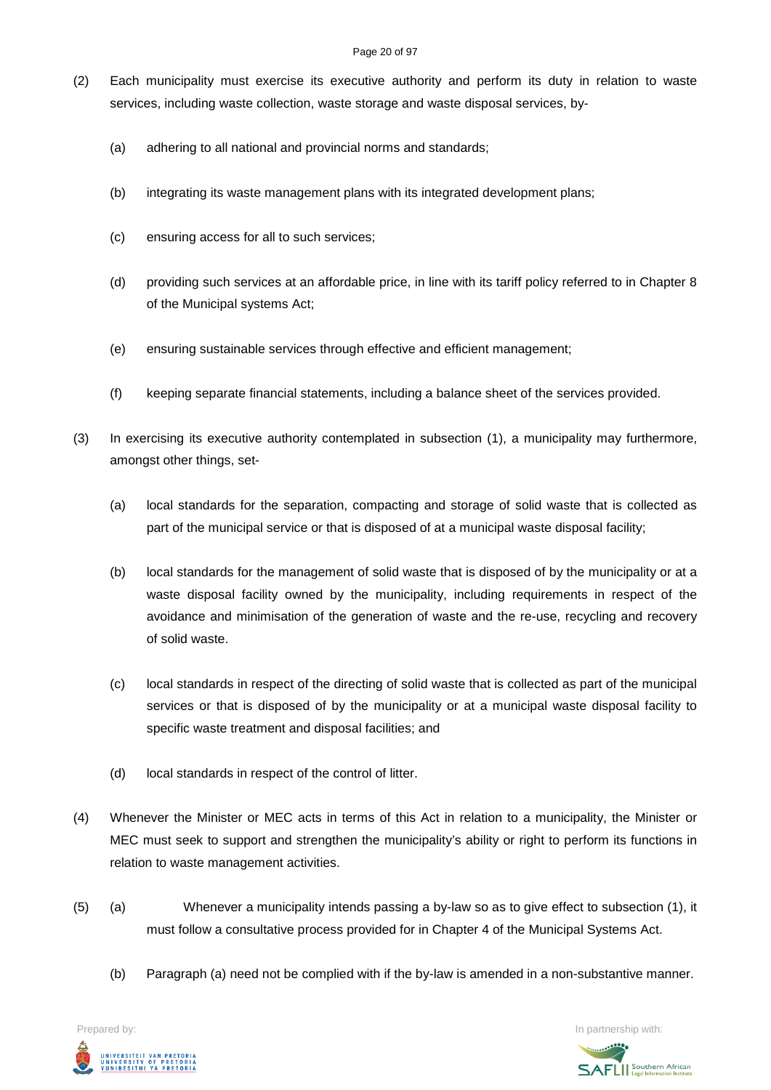#### Page 20 of 97

- (2) Each municipality must exercise its executive authority and perform its duty in relation to waste services, including waste collection, waste storage and waste disposal services, by-
	- (a) adhering to all national and provincial norms and standards;
	- (b) integrating its waste management plans with its integrated development plans;
	- (c) ensuring access for all to such services;
	- (d) providing such services at an affordable price, in line with its tariff policy referred to in Chapter 8 of the Municipal systems Act;
	- (e) ensuring sustainable services through effective and efficient management;
	- (f) keeping separate financial statements, including a balance sheet of the services provided.
- (3) In exercising its executive authority contemplated in subsection (1), a municipality may furthermore, amongst other things, set-
	- (a) local standards for the separation, compacting and storage of solid waste that is collected as part of the municipal service or that is disposed of at a municipal waste disposal facility;
	- (b) local standards for the management of solid waste that is disposed of by the municipality or at a waste disposal facility owned by the municipality, including requirements in respect of the avoidance and minimisation of the generation of waste and the re-use, recycling and recovery of solid waste.
	- (c) local standards in respect of the directing of solid waste that is collected as part of the municipal services or that is disposed of by the municipality or at a municipal waste disposal facility to specific waste treatment and disposal facilities; and
	- (d) local standards in respect of the control of litter.
- (4) Whenever the Minister or MEC acts in terms of this Act in relation to a municipality, the Minister or MEC must seek to support and strengthen the municipality's ability or right to perform its functions in relation to waste management activities.
- (5) (a) Whenever a municipality intends passing a by-law so as to give effect to subsection (1), it must follow a consultative process provided for in Chapter 4 of the Municipal Systems Act.
	- (b) Paragraph (a) need not be complied with if the by-law is amended in a non-substantive manner.



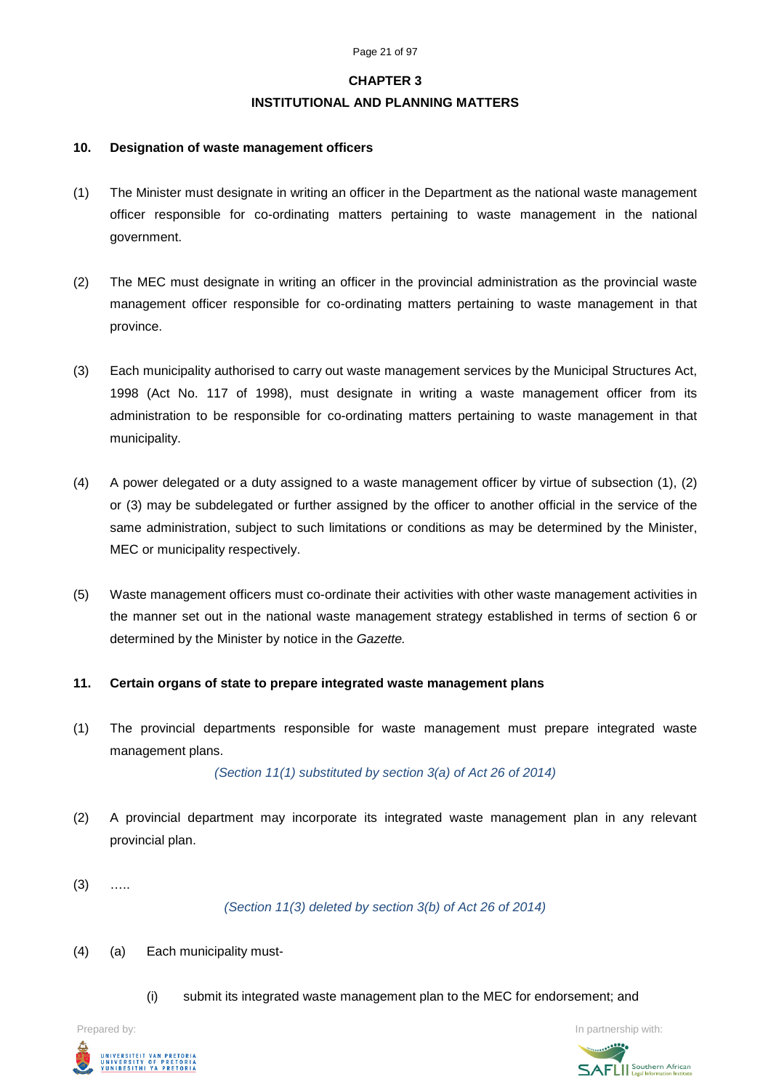#### **CHAPTER 3**

#### **INSTITUTIONAL AND PLANNING MATTERS**

#### **10. Designation of waste management officers**

- (1) The Minister must designate in writing an officer in the Department as the national waste management officer responsible for co-ordinating matters pertaining to waste management in the national government.
- (2) The MEC must designate in writing an officer in the provincial administration as the provincial waste management officer responsible for co-ordinating matters pertaining to waste management in that province.
- (3) Each municipality authorised to carry out waste management services by the Municipal Structures Act, 1998 (Act No. 117 of 1998), must designate in writing a waste management officer from its administration to be responsible for co-ordinating matters pertaining to waste management in that municipality.
- (4) A power delegated or a duty assigned to a waste management officer by virtue of subsection (1), (2) or (3) may be subdelegated or further assigned by the officer to another official in the service of the same administration, subject to such limitations or conditions as may be determined by the Minister, MEC or municipality respectively.
- (5) Waste management officers must co-ordinate their activities with other waste management activities in the manner set out in the national waste management strategy established in terms of section 6 or determined by the Minister by notice in the *Gazette.*

#### **11. Certain organs of state to prepare integrated waste management plans**

(1) The provincial departments responsible for waste management must prepare integrated waste management plans.

*(Section 11(1) substituted by section 3(a) of Act 26 of 2014)*

- (2) A provincial department may incorporate its integrated waste management plan in any relevant provincial plan.
- $(3)$  …

*(Section 11(3) deleted by section 3(b) of Act 26 of 2014)*

- (4) (a) Each municipality must-
	- (i) submit its integrated waste management plan to the MEC for endorsement; and



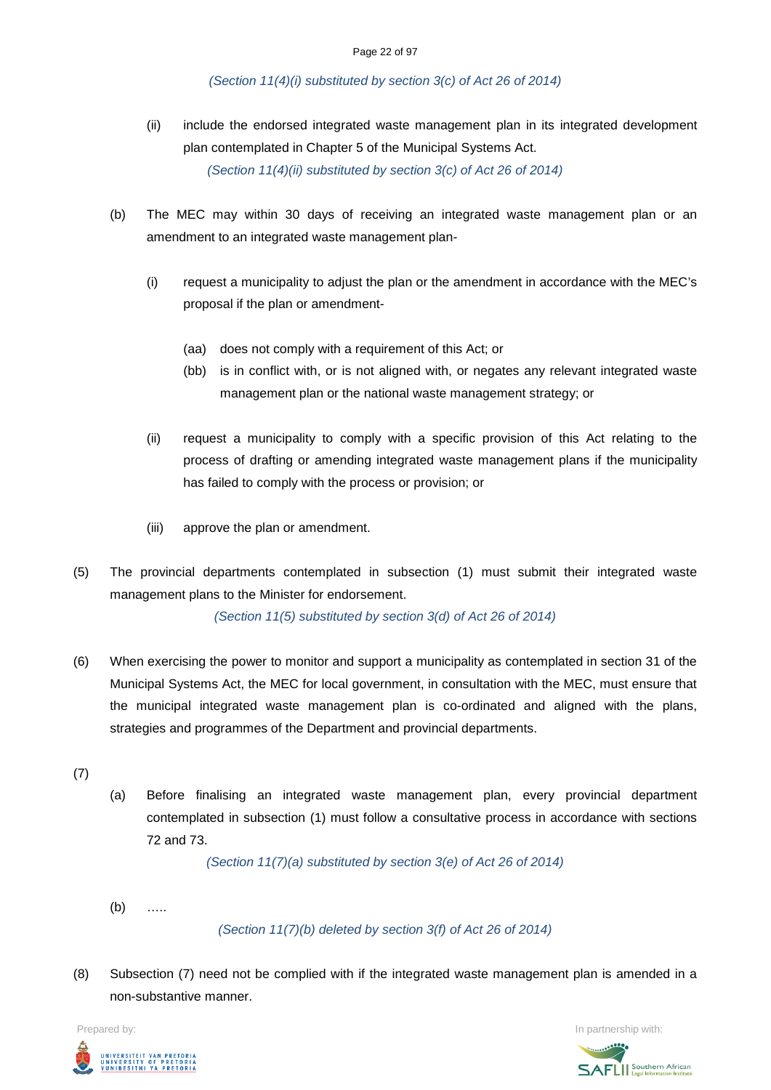#### *(Section 11(4)(i) substituted by section 3(c) of Act 26 of 2014)*

- (ii) include the endorsed integrated waste management plan in its integrated development plan contemplated in Chapter 5 of the Municipal Systems Act. *(Section 11(4)(ii) substituted by section 3(c) of Act 26 of 2014)*
- (b) The MEC may within 30 days of receiving an integrated waste management plan or an amendment to an integrated waste management plan-
	- (i) request a municipality to adjust the plan or the amendment in accordance with the MEC's proposal if the plan or amendment-
		- (aa) does not comply with a requirement of this Act; or
		- (bb) is in conflict with, or is not aligned with, or negates any relevant integrated waste management plan or the national waste management strategy; or
	- (ii) request a municipality to comply with a specific provision of this Act relating to the process of drafting or amending integrated waste management plans if the municipality has failed to comply with the process or provision; or
	- (iii) approve the plan or amendment.
- (5) The provincial departments contemplated in subsection (1) must submit their integrated waste management plans to the Minister for endorsement.

*(Section 11(5) substituted by section 3(d) of Act 26 of 2014)*

- (6) When exercising the power to monitor and support a municipality as contemplated in section 31 of the Municipal Systems Act, the MEC for local government, in consultation with the MEC, must ensure that the municipal integrated waste management plan is co-ordinated and aligned with the plans, strategies and programmes of the Department and provincial departments.
- (7)
- (a) Before finalising an integrated waste management plan, every provincial department contemplated in subsection (1) must follow a consultative process in accordance with sections 72 and 73.

*(Section 11(7)(a) substituted by section 3(e) of Act 26 of 2014)*

(b) …..

*(Section 11(7)(b) deleted by section 3(f) of Act 26 of 2014)*

(8) Subsection (7) need not be complied with if the integrated waste management plan is amended in a non-substantive manner.

Prepared by: In partnership with:UNIVERSITEIT VAN PRETORIA<br>UNIVERSITY OF PRETORIA<br>YUNIBESITHI YA PRETORIA

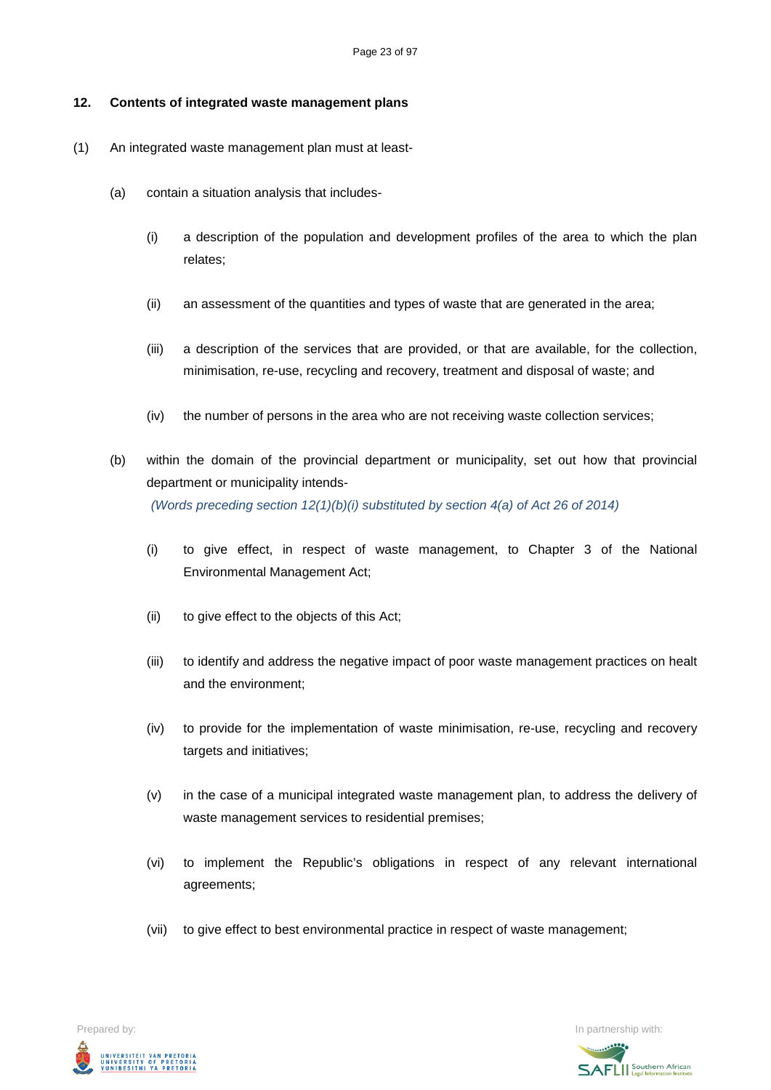#### **12. Contents of integrated waste management plans**

- (1) An integrated waste management plan must at least-
	- (a) contain a situation analysis that includes-
		- (i) a description of the population and development profiles of the area to which the plan relates;
		- (ii) an assessment of the quantities and types of waste that are generated in the area;
		- (iii) a description of the services that are provided, or that are available, for the collection, minimisation, re-use, recycling and recovery, treatment and disposal of waste; and
		- (iv) the number of persons in the area who are not receiving waste collection services;
	- (b) within the domain of the provincial department or municipality, set out how that provincial department or municipality intends- *(Words preceding section 12(1)(b)(i) substituted by section 4(a) of Act 26 of 2014)*
		- (i) to give effect, in respect of waste management, to Chapter 3 of the National Environmental Management Act;
		- (ii) to give effect to the objects of this Act;
		- (iii) to identify and address the negative impact of poor waste management practices on healt and the environment;
		- (iv) to provide for the implementation of waste minimisation, re-use, recycling and recovery targets and initiatives;
		- (v) in the case of a municipal integrated waste management plan, to address the delivery of waste management services to residential premises;
		- (vi) to implement the Republic's obligations in respect of any relevant international agreements;
		- (vii) to give effect to best environmental practice in respect of waste management;



**SAFLI** Southern African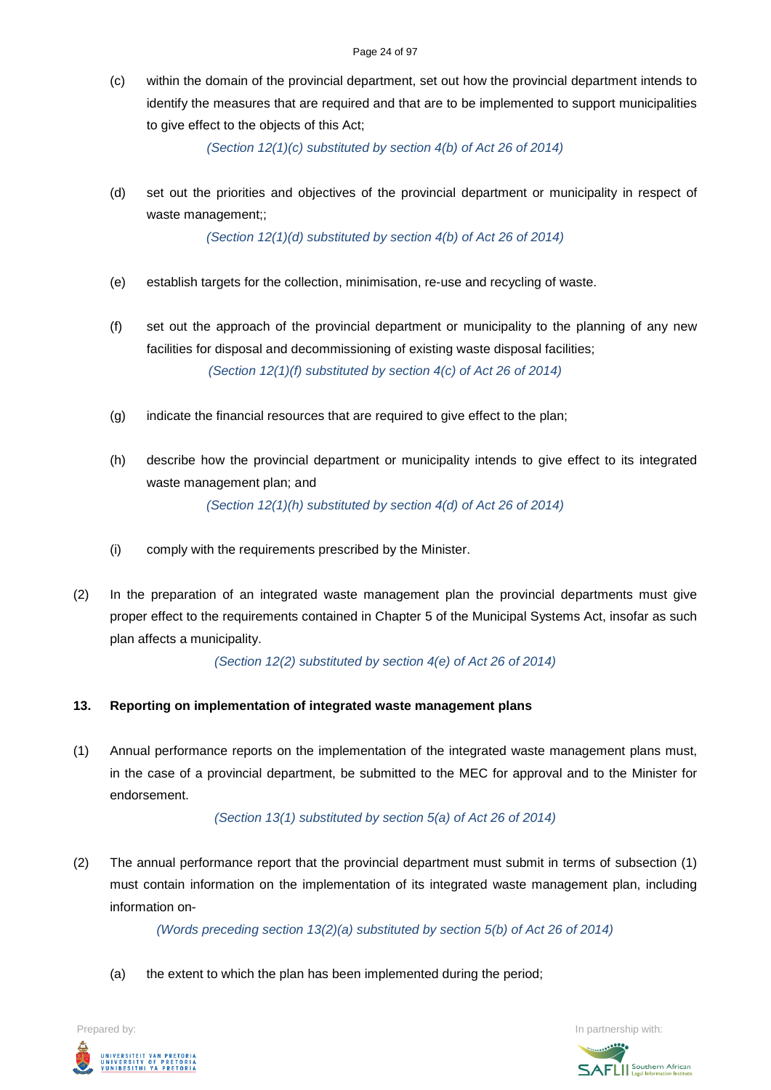(c) within the domain of the provincial department, set out how the provincial department intends to identify the measures that are required and that are to be implemented to support municipalities to give effect to the objects of this Act;

*(Section 12(1)(c) substituted by section 4(b) of Act 26 of 2014)*

(d) set out the priorities and objectives of the provincial department or municipality in respect of waste management;;

*(Section 12(1)(d) substituted by section 4(b) of Act 26 of 2014)*

- (e) establish targets for the collection, minimisation, re-use and recycling of waste.
- (f) set out the approach of the provincial department or municipality to the planning of any new facilities for disposal and decommissioning of existing waste disposal facilities; *(Section 12(1)(f) substituted by section 4(c) of Act 26 of 2014)*
- (g) indicate the financial resources that are required to give effect to the plan;
- (h) describe how the provincial department or municipality intends to give effect to its integrated waste management plan; and *(Section 12(1)(h) substituted by section 4(d) of Act 26 of 2014)*
- (i) comply with the requirements prescribed by the Minister.
- (2) In the preparation of an integrated waste management plan the provincial departments must give proper effect to the requirements contained in Chapter 5 of the Municipal Systems Act, insofar as such plan affects a municipality.

*(Section 12(2) substituted by section 4(e) of Act 26 of 2014)*

# **13. Reporting on implementation of integrated waste management plans**

(1) Annual performance reports on the implementation of the integrated waste management plans must, in the case of a provincial department, be submitted to the MEC for approval and to the Minister for endorsement.

*(Section 13(1) substituted by section 5(a) of Act 26 of 2014)*

(2) The annual performance report that the provincial department must submit in terms of subsection (1) must contain information on the implementation of its integrated waste management plan, including information on-

*(Words preceding section 13(2)(a) substituted by section 5(b) of Act 26 of 2014)*

(a) the extent to which the plan has been implemented during the period;

Prepared by: In partnership with:  $\blacksquare$  is the partnership with:  $\blacksquare$  is the partnership with:  $\blacksquare$ UNIVERSITEIT VAN PRETORIA<br>UNIVERSITY OF PRETORIA<br>YUNIBESITHI YA PRETORIA

**SAFLI** Southern African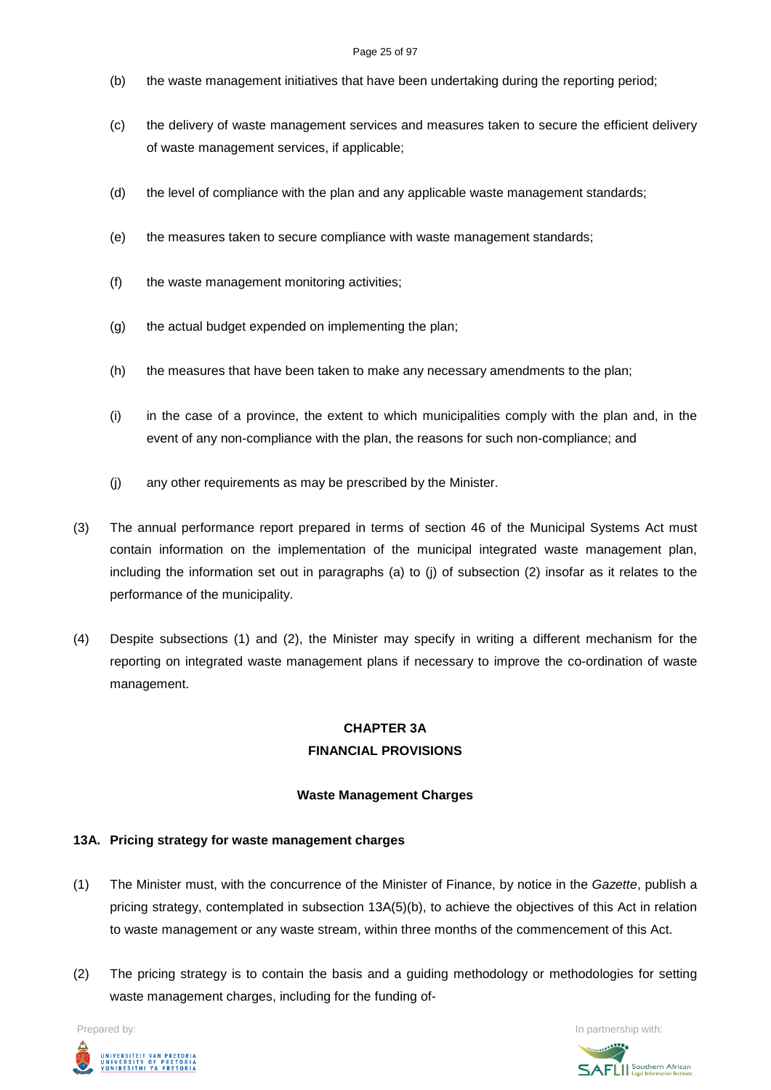#### Page 25 of 97

- (b) the waste management initiatives that have been undertaking during the reporting period;
- (c) the delivery of waste management services and measures taken to secure the efficient delivery of waste management services, if applicable;
- (d) the level of compliance with the plan and any applicable waste management standards;
- (e) the measures taken to secure compliance with waste management standards;
- (f) the waste management monitoring activities;
- (g) the actual budget expended on implementing the plan;
- (h) the measures that have been taken to make any necessary amendments to the plan;
- (i) in the case of a province, the extent to which municipalities comply with the plan and, in the event of any non-compliance with the plan, the reasons for such non-compliance; and
- (j) any other requirements as may be prescribed by the Minister.
- (3) The annual performance report prepared in terms of section 46 of the Municipal Systems Act must contain information on the implementation of the municipal integrated waste management plan, including the information set out in paragraphs (a) to (j) of subsection (2) insofar as it relates to the performance of the municipality.
- (4) Despite subsections (1) and (2), the Minister may specify in writing a different mechanism for the reporting on integrated waste management plans if necessary to improve the co-ordination of waste management.

# **CHAPTER 3A FINANCIAL PROVISIONS**

# **Waste Management Charges**

# **13A. Pricing strategy for waste management charges**

- (1) The Minister must, with the concurrence of the Minister of Finance, by notice in the *Gazette*, publish a pricing strategy, contemplated in subsection 13A(5)(b), to achieve the objectives of this Act in relation to waste management or any waste stream, within three months of the commencement of this Act.
- (2) The pricing strategy is to contain the basis and a guiding methodology or methodologies for setting waste management charges, including for the funding of-



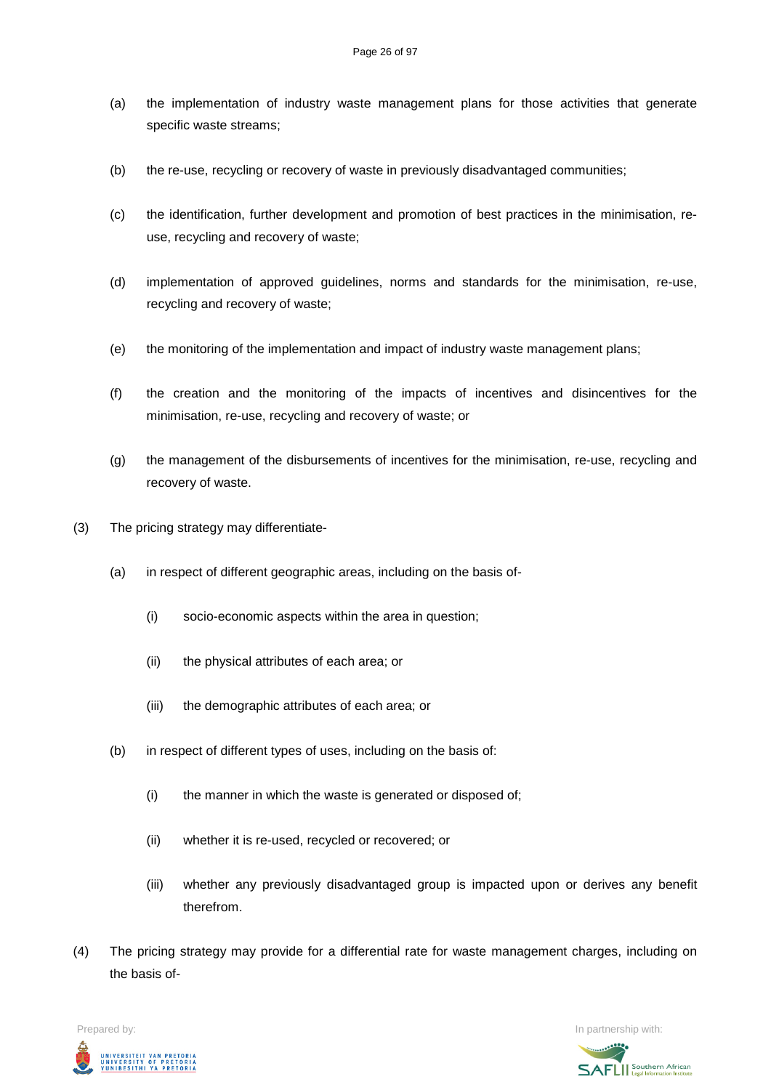- (a) the implementation of industry waste management plans for those activities that generate specific waste streams;
- (b) the re-use, recycling or recovery of waste in previously disadvantaged communities;
- (c) the identification, further development and promotion of best practices in the minimisation, reuse, recycling and recovery of waste;
- (d) implementation of approved guidelines, norms and standards for the minimisation, re-use, recycling and recovery of waste;
- (e) the monitoring of the implementation and impact of industry waste management plans;
- (f) the creation and the monitoring of the impacts of incentives and disincentives for the minimisation, re-use, recycling and recovery of waste; or
- (g) the management of the disbursements of incentives for the minimisation, re-use, recycling and recovery of waste.
- (3) The pricing strategy may differentiate-
	- (a) in respect of different geographic areas, including on the basis of-
		- (i) socio-economic aspects within the area in question;
		- (ii) the physical attributes of each area; or
		- (iii) the demographic attributes of each area; or
	- (b) in respect of different types of uses, including on the basis of:
		- (i) the manner in which the waste is generated or disposed of;
		- (ii) whether it is re-used, recycled or recovered; or
		- (iii) whether any previously disadvantaged group is impacted upon or derives any benefit therefrom.
- (4) The pricing strategy may provide for a differential rate for waste management charges, including on the basis of-

Prepared by: In partnership with:UNIVERSITEIT VAN PRETORIA<br>UNIVERSITY OF PRETORIA<br><u>YUNIBESITHI YA PRETORIA</u>

**SAFLI** Southern African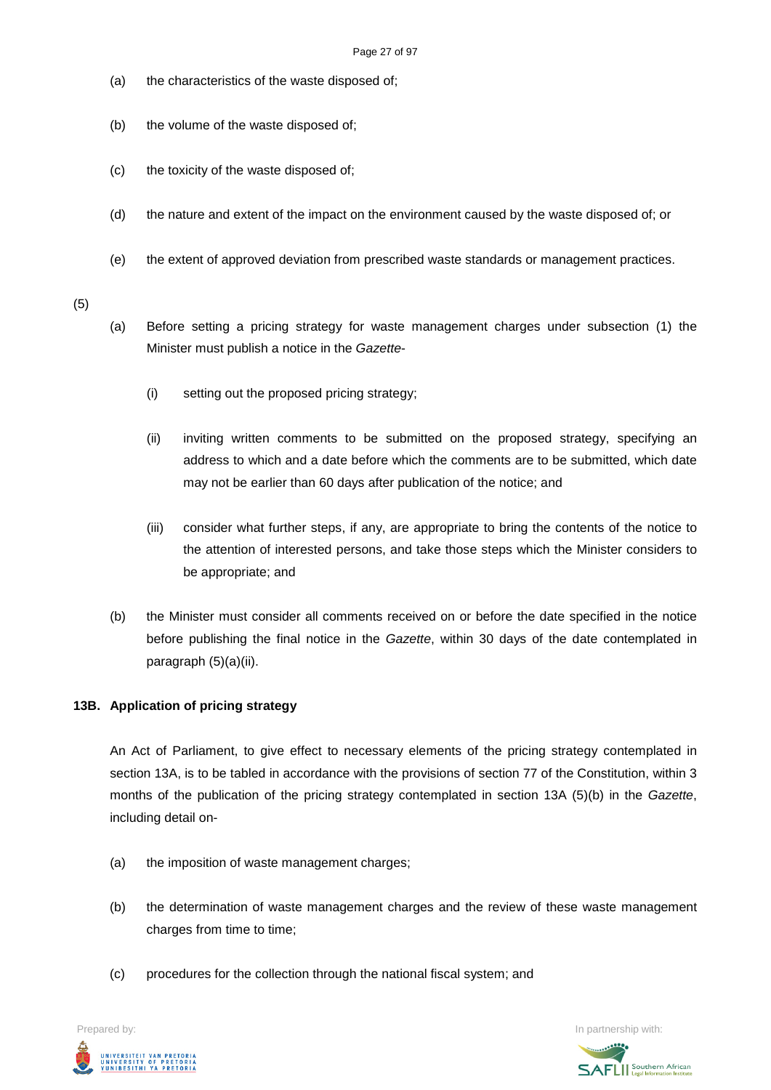- (a) the characteristics of the waste disposed of;
- (b) the volume of the waste disposed of;
- (c) the toxicity of the waste disposed of;
- (d) the nature and extent of the impact on the environment caused by the waste disposed of; or
- (e) the extent of approved deviation from prescribed waste standards or management practices.

(5)

- (a) Before setting a pricing strategy for waste management charges under subsection (1) the Minister must publish a notice in the *Gazette*-
	- (i) setting out the proposed pricing strategy;
	- (ii) inviting written comments to be submitted on the proposed strategy, specifying an address to which and a date before which the comments are to be submitted, which date may not be earlier than 60 days after publication of the notice; and
	- (iii) consider what further steps, if any, are appropriate to bring the contents of the notice to the attention of interested persons, and take those steps which the Minister considers to be appropriate; and
- (b) the Minister must consider all comments received on or before the date specified in the notice before publishing the final notice in the *Gazette*, within 30 days of the date contemplated in paragraph (5)(a)(ii).

#### **13B. Application of pricing strategy**

An Act of Parliament, to give effect to necessary elements of the pricing strategy contemplated in section 13A, is to be tabled in accordance with the provisions of section 77 of the Constitution, within 3 months of the publication of the pricing strategy contemplated in section 13A (5)(b) in the *Gazette*, including detail on-

- (a) the imposition of waste management charges;
- (b) the determination of waste management charges and the review of these waste management charges from time to time;
- (c) procedures for the collection through the national fiscal system; and

UNIVERSITEIT VAN PRETORIA<br>UNIVERSITY OF PRETORIA<br>YUNIBESITHI YA PRETORIA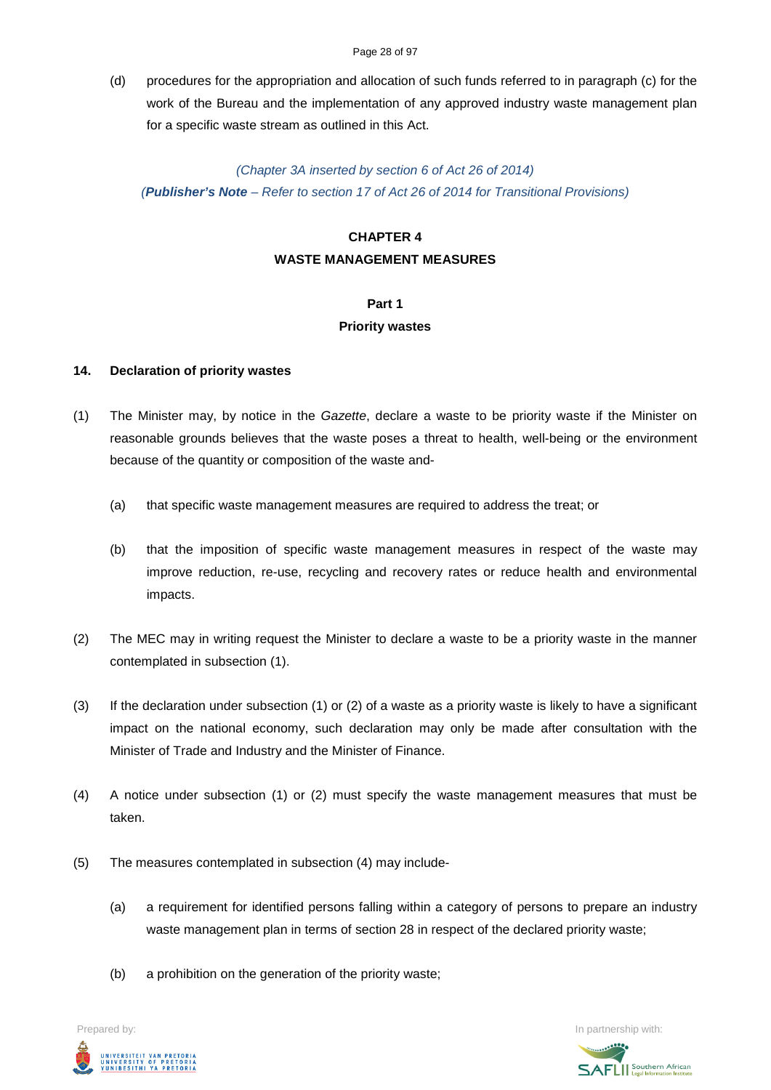#### Page 28 of 97

(d) procedures for the appropriation and allocation of such funds referred to in paragraph (c) for the work of the Bureau and the implementation of any approved industry waste management plan for a specific waste stream as outlined in this Act.

#### *(Chapter 3A inserted by section 6 of Act 26 of 2014)*

*(Publisher's Note – Refer to section 17 of Act 26 of 2014 for Transitional Provisions)*

# **CHAPTER 4**

# **WASTE MANAGEMENT MEASURES**

### **Part 1**

#### **Priority wastes**

### **14. Declaration of priority wastes**

- (1) The Minister may, by notice in the *Gazette*, declare a waste to be priority waste if the Minister on reasonable grounds believes that the waste poses a threat to health, well-being or the environment because of the quantity or composition of the waste and-
	- (a) that specific waste management measures are required to address the treat; or
	- (b) that the imposition of specific waste management measures in respect of the waste may improve reduction, re-use, recycling and recovery rates or reduce health and environmental impacts.
- (2) The MEC may in writing request the Minister to declare a waste to be a priority waste in the manner contemplated in subsection (1).
- (3) If the declaration under subsection (1) or (2) of a waste as a priority waste is likely to have a significant impact on the national economy, such declaration may only be made after consultation with the Minister of Trade and Industry and the Minister of Finance.
- (4) A notice under subsection (1) or (2) must specify the waste management measures that must be taken.
- (5) The measures contemplated in subsection (4) may include-
	- (a) a requirement for identified persons falling within a category of persons to prepare an industry waste management plan in terms of section 28 in respect of the declared priority waste;
	- (b) a prohibition on the generation of the priority waste;

UNIVERSITEIT VAN PRETORIA<br>UNIVERSITY OF PRETORIA<br>YUNIBESITHI YA PRETORIA

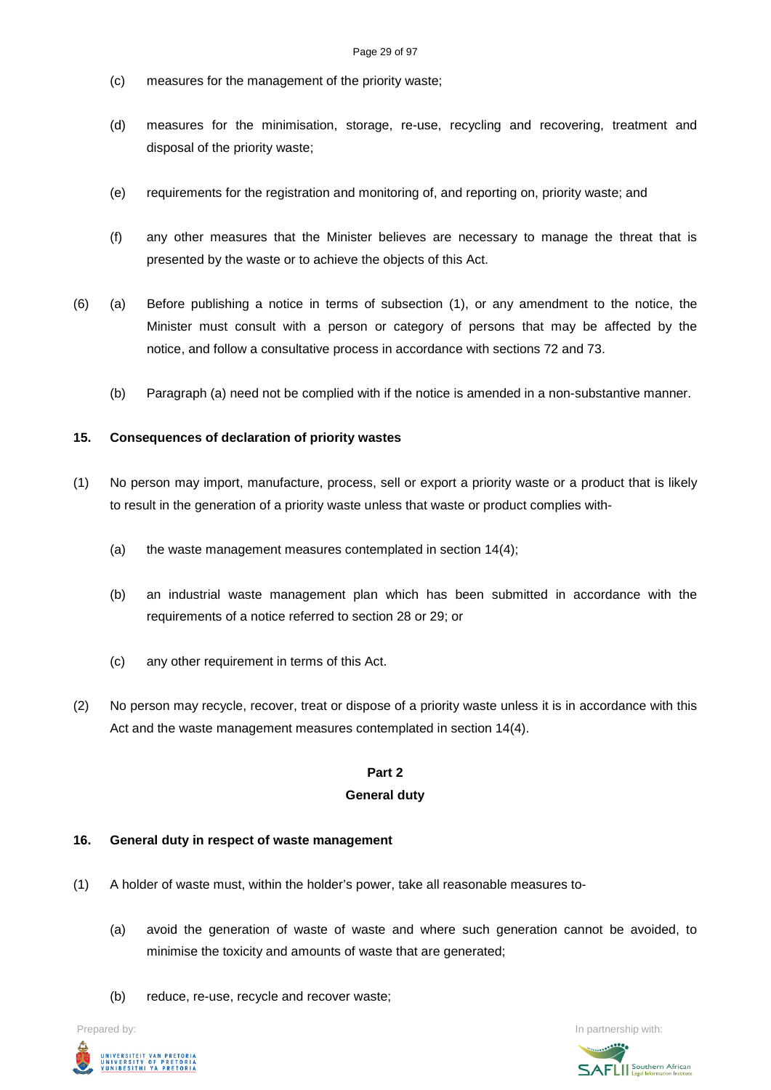- (c) measures for the management of the priority waste;
- (d) measures for the minimisation, storage, re-use, recycling and recovering, treatment and disposal of the priority waste;
- (e) requirements for the registration and monitoring of, and reporting on, priority waste; and
- (f) any other measures that the Minister believes are necessary to manage the threat that is presented by the waste or to achieve the objects of this Act.
- (6) (a) Before publishing a notice in terms of subsection (1), or any amendment to the notice, the Minister must consult with a person or category of persons that may be affected by the notice, and follow a consultative process in accordance with sections 72 and 73.
	- (b) Paragraph (a) need not be complied with if the notice is amended in a non-substantive manner.

#### **15. Consequences of declaration of priority wastes**

- (1) No person may import, manufacture, process, sell or export a priority waste or a product that is likely to result in the generation of a priority waste unless that waste or product complies with-
	- (a) the waste management measures contemplated in section 14(4);
	- (b) an industrial waste management plan which has been submitted in accordance with the requirements of a notice referred to section 28 or 29; or
	- (c) any other requirement in terms of this Act.
- (2) No person may recycle, recover, treat or dispose of a priority waste unless it is in accordance with this Act and the waste management measures contemplated in section 14(4).

# **Part 2**

#### **General duty**

#### **16. General duty in respect of waste management**

- (1) A holder of waste must, within the holder's power, take all reasonable measures to-
	- (a) avoid the generation of waste of waste and where such generation cannot be avoided, to minimise the toxicity and amounts of waste that are generated;
	- (b) reduce, re-use, recycle and recover waste;



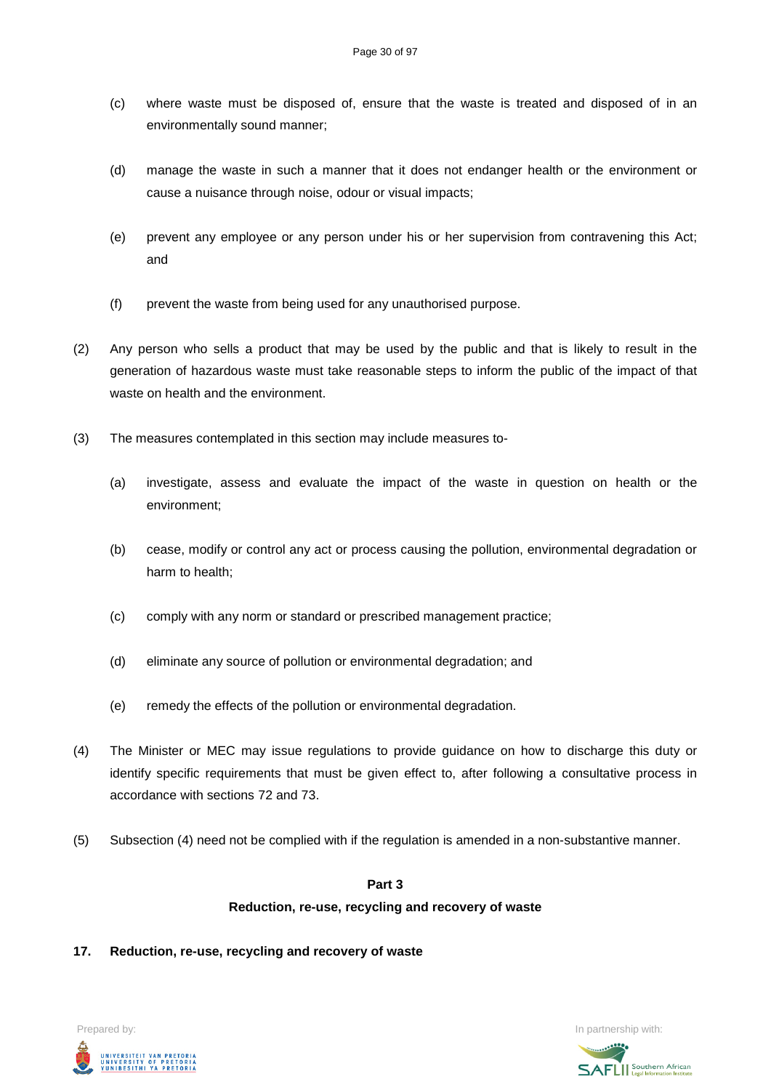- (c) where waste must be disposed of, ensure that the waste is treated and disposed of in an environmentally sound manner;
- (d) manage the waste in such a manner that it does not endanger health or the environment or cause a nuisance through noise, odour or visual impacts;
- (e) prevent any employee or any person under his or her supervision from contravening this Act; and
- (f) prevent the waste from being used for any unauthorised purpose.
- (2) Any person who sells a product that may be used by the public and that is likely to result in the generation of hazardous waste must take reasonable steps to inform the public of the impact of that waste on health and the environment.
- (3) The measures contemplated in this section may include measures to-
	- (a) investigate, assess and evaluate the impact of the waste in question on health or the environment;
	- (b) cease, modify or control any act or process causing the pollution, environmental degradation or harm to health;
	- (c) comply with any norm or standard or prescribed management practice;
	- (d) eliminate any source of pollution or environmental degradation; and
	- (e) remedy the effects of the pollution or environmental degradation.
- (4) The Minister or MEC may issue regulations to provide guidance on how to discharge this duty or identify specific requirements that must be given effect to, after following a consultative process in accordance with sections 72 and 73.
- (5) Subsection (4) need not be complied with if the regulation is amended in a non-substantive manner.

# **Part 3 Reduction, re-use, recycling and recovery of waste**

**17. Reduction, re-use, recycling and recovery of waste**

Prepared by: In partnership with:  $\blacksquare$  is the partnership with:  $\blacksquare$  is the partnership with:  $\blacksquare$ UNIVERSITEIT VAN PRETORIA<br>UNIVERSITY OF PRETORIA<br>YUNIBESITHI YA PRETORIA

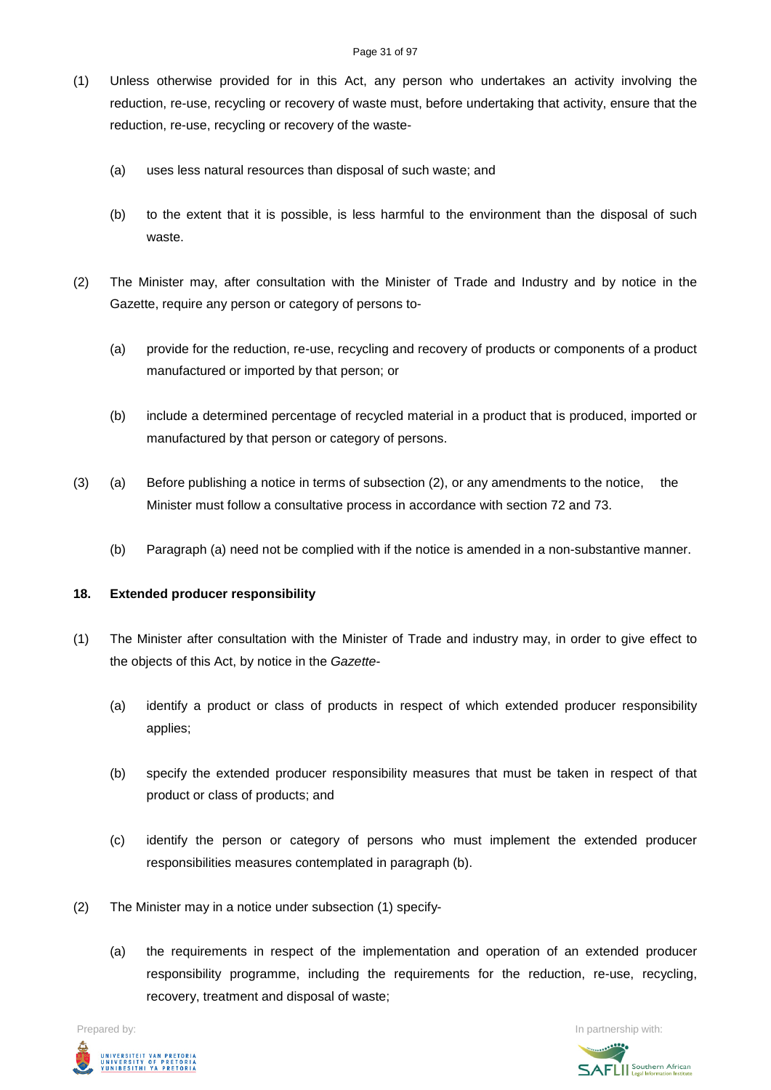- (1) Unless otherwise provided for in this Act, any person who undertakes an activity involving the reduction, re-use, recycling or recovery of waste must, before undertaking that activity, ensure that the reduction, re-use, recycling or recovery of the waste-
	- (a) uses less natural resources than disposal of such waste; and
	- (b) to the extent that it is possible, is less harmful to the environment than the disposal of such waste.
- (2) The Minister may, after consultation with the Minister of Trade and Industry and by notice in the Gazette, require any person or category of persons to-
	- (a) provide for the reduction, re-use, recycling and recovery of products or components of a product manufactured or imported by that person; or
	- (b) include a determined percentage of recycled material in a product that is produced, imported or manufactured by that person or category of persons.
- (3) (a) Before publishing a notice in terms of subsection (2), or any amendments to the notice, the Minister must follow a consultative process in accordance with section 72 and 73.
	- (b) Paragraph (a) need not be complied with if the notice is amended in a non-substantive manner.

#### **18. Extended producer responsibility**

- (1) The Minister after consultation with the Minister of Trade and industry may, in order to give effect to the objects of this Act, by notice in the *Gazette*-
	- (a) identify a product or class of products in respect of which extended producer responsibility applies;
	- (b) specify the extended producer responsibility measures that must be taken in respect of that product or class of products; and
	- (c) identify the person or category of persons who must implement the extended producer responsibilities measures contemplated in paragraph (b).
- (2) The Minister may in a notice under subsection (1) specify-
	- (a) the requirements in respect of the implementation and operation of an extended producer responsibility programme, including the requirements for the reduction, re-use, recycling, recovery, treatment and disposal of waste;



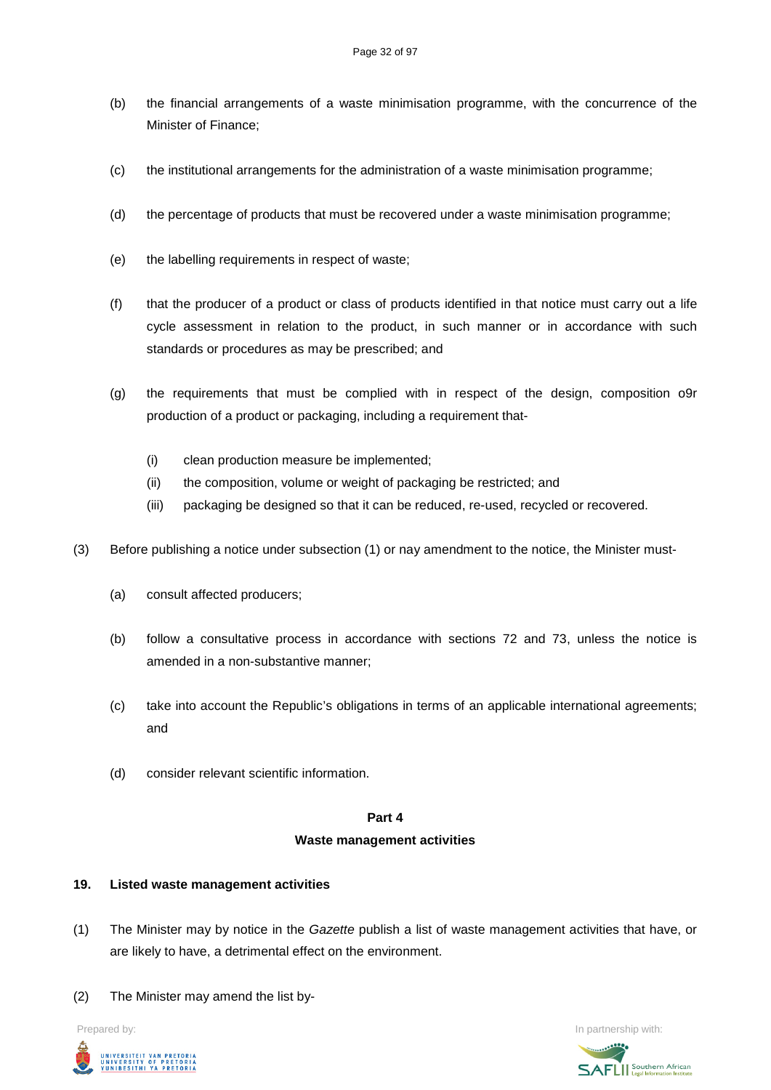- (b) the financial arrangements of a waste minimisation programme, with the concurrence of the Minister of Finance;
- (c) the institutional arrangements for the administration of a waste minimisation programme;
- (d) the percentage of products that must be recovered under a waste minimisation programme;
- (e) the labelling requirements in respect of waste;
- (f) that the producer of a product or class of products identified in that notice must carry out a life cycle assessment in relation to the product, in such manner or in accordance with such standards or procedures as may be prescribed; and
- (g) the requirements that must be complied with in respect of the design, composition o9r production of a product or packaging, including a requirement that-
	- (i) clean production measure be implemented;
	- (ii) the composition, volume or weight of packaging be restricted; and
	- (iii) packaging be designed so that it can be reduced, re-used, recycled or recovered.
- (3) Before publishing a notice under subsection (1) or nay amendment to the notice, the Minister must-
	- (a) consult affected producers;
	- (b) follow a consultative process in accordance with sections 72 and 73, unless the notice is amended in a non-substantive manner;
	- (c) take into account the Republic's obligations in terms of an applicable international agreements; and
	- (d) consider relevant scientific information.

#### **Part 4**

#### **Waste management activities**

### **19. Listed waste management activities**

- (1) The Minister may by notice in the *Gazette* publish a list of waste management activities that have, or are likely to have, a detrimental effect on the environment.
- (2) The Minister may amend the list by-



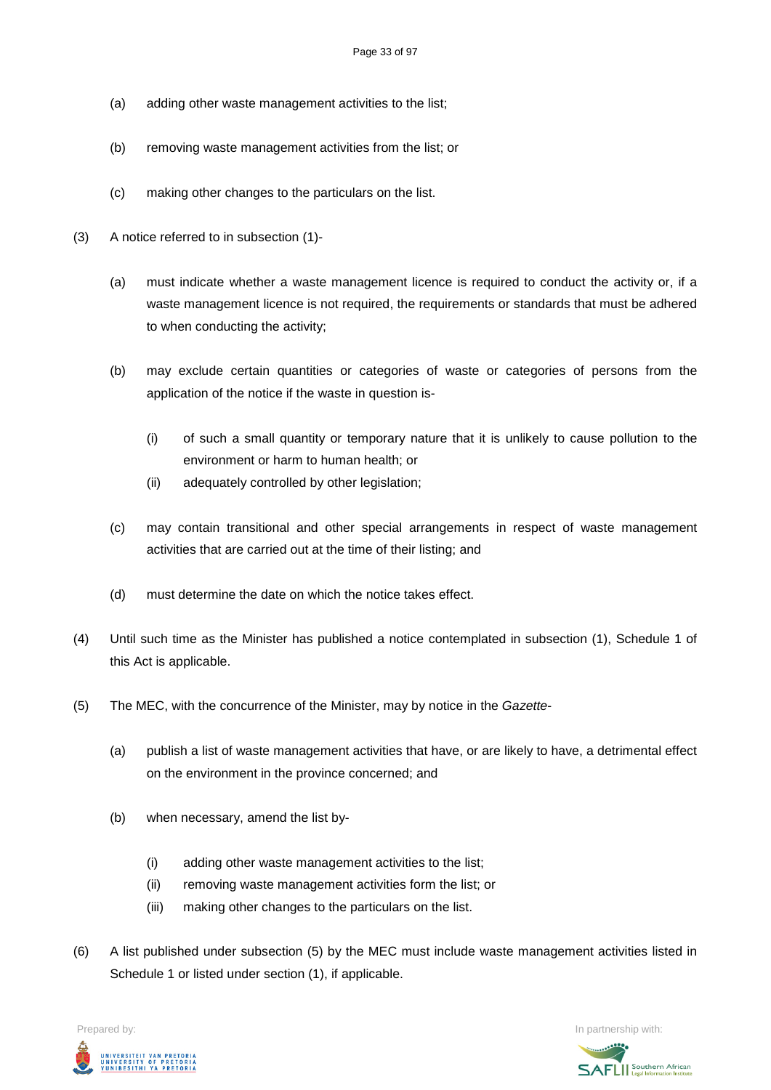- (a) adding other waste management activities to the list;
- (b) removing waste management activities from the list; or
- (c) making other changes to the particulars on the list.
- (3) A notice referred to in subsection (1)-
	- (a) must indicate whether a waste management licence is required to conduct the activity or, if a waste management licence is not required, the requirements or standards that must be adhered to when conducting the activity;
	- (b) may exclude certain quantities or categories of waste or categories of persons from the application of the notice if the waste in question is-
		- (i) of such a small quantity or temporary nature that it is unlikely to cause pollution to the environment or harm to human health; or
		- (ii) adequately controlled by other legislation;
	- (c) may contain transitional and other special arrangements in respect of waste management activities that are carried out at the time of their listing; and
	- (d) must determine the date on which the notice takes effect.
- (4) Until such time as the Minister has published a notice contemplated in subsection (1), Schedule 1 of this Act is applicable.
- (5) The MEC, with the concurrence of the Minister, may by notice in the *Gazette*
	- (a) publish a list of waste management activities that have, or are likely to have, a detrimental effect on the environment in the province concerned; and
	- (b) when necessary, amend the list by-
		- (i) adding other waste management activities to the list;
		- (ii) removing waste management activities form the list; or
		- (iii) making other changes to the particulars on the list.
- (6) A list published under subsection (5) by the MEC must include waste management activities listed in Schedule 1 or listed under section (1), if applicable.

Prepared by: In partnership with:  $\blacksquare$  is the partnership with:  $\blacksquare$  is the partnership with:  $\blacksquare$ 



**SAFLI** Southern African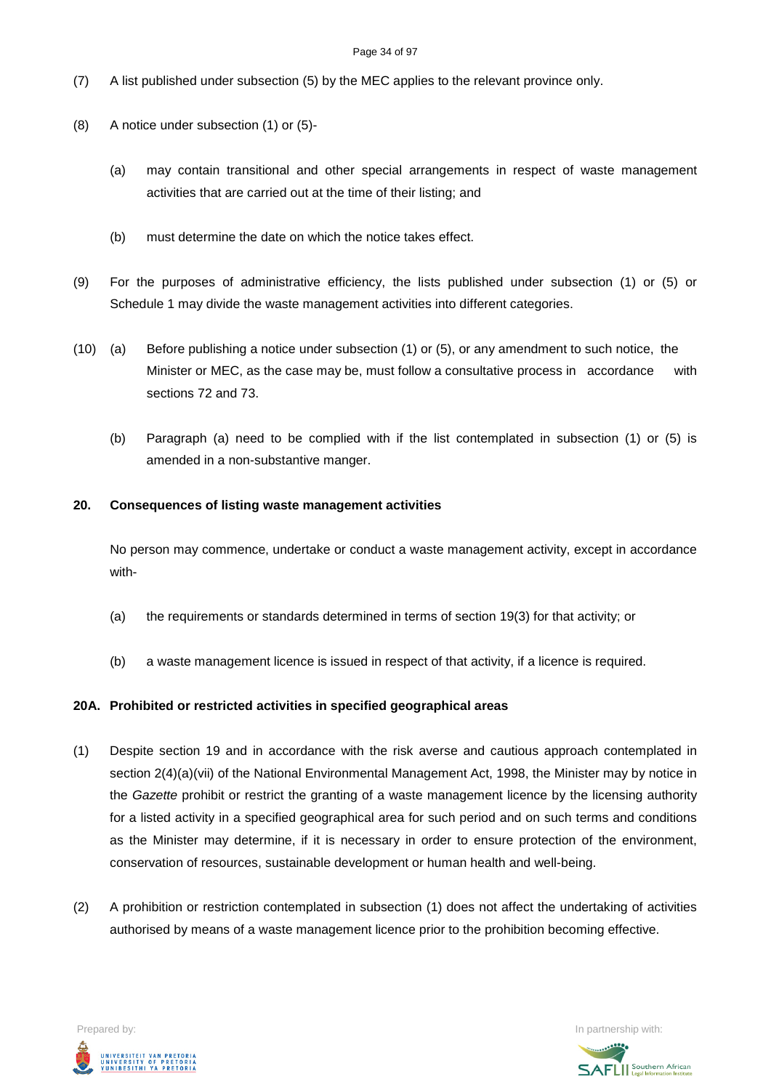#### Page 34 of 97

- (7) A list published under subsection (5) by the MEC applies to the relevant province only.
- (8) A notice under subsection (1) or (5)-
	- (a) may contain transitional and other special arrangements in respect of waste management activities that are carried out at the time of their listing; and
	- (b) must determine the date on which the notice takes effect.
- (9) For the purposes of administrative efficiency, the lists published under subsection (1) or (5) or Schedule 1 may divide the waste management activities into different categories.
- (10) (a) Before publishing a notice under subsection (1) or (5), or any amendment to such notice, the Minister or MEC, as the case may be, must follow a consultative process in accordance with sections 72 and 73.
	- (b) Paragraph (a) need to be complied with if the list contemplated in subsection (1) or (5) is amended in a non-substantive manger.

#### **20. Consequences of listing waste management activities**

No person may commence, undertake or conduct a waste management activity, except in accordance with-

- (a) the requirements or standards determined in terms of section 19(3) for that activity; or
- (b) a waste management licence is issued in respect of that activity, if a licence is required.

#### **20A. Prohibited or restricted activities in specified geographical areas**

- (1) Despite section 19 and in accordance with the risk averse and cautious approach contemplated in section  $2(4)(a)(vi)$  of the National Environmental Management Act, 1998, the Minister may by notice in the *Gazette* prohibit or restrict the granting of a waste management licence by the licensing authority for a listed activity in a specified geographical area for such period and on such terms and conditions as the Minister may determine, if it is necessary in order to ensure protection of the environment, conservation of resources, sustainable development or human health and well-being.
- (2) A prohibition or restriction contemplated in subsection (1) does not affect the undertaking of activities authorised by means of a waste management licence prior to the prohibition becoming effective.



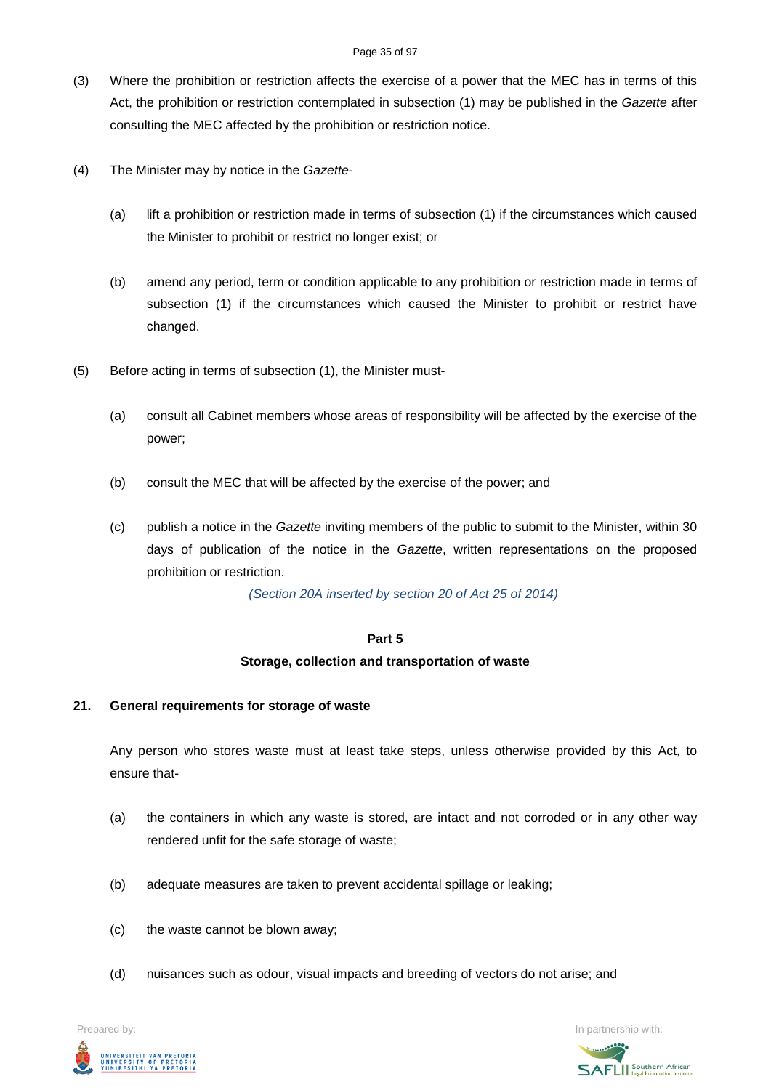#### Page 35 of 97

- (3) Where the prohibition or restriction affects the exercise of a power that the MEC has in terms of this Act, the prohibition or restriction contemplated in subsection (1) may be published in the *Gazette* after consulting the MEC affected by the prohibition or restriction notice.
- (4) The Minister may by notice in the *Gazette*
	- (a) lift a prohibition or restriction made in terms of subsection (1) if the circumstances which caused the Minister to prohibit or restrict no longer exist; or
	- (b) amend any period, term or condition applicable to any prohibition or restriction made in terms of subsection (1) if the circumstances which caused the Minister to prohibit or restrict have changed.
- (5) Before acting in terms of subsection (1), the Minister must-
	- (a) consult all Cabinet members whose areas of responsibility will be affected by the exercise of the power;
	- (b) consult the MEC that will be affected by the exercise of the power; and
	- (c) publish a notice in the *Gazette* inviting members of the public to submit to the Minister, within 30 days of publication of the notice in the *Gazette*, written representations on the proposed prohibition or restriction.

*(Section 20A inserted by section 20 of Act 25 of 2014)*

#### **Part 5**

#### **Storage, collection and transportation of waste**

#### **21. General requirements for storage of waste**

Any person who stores waste must at least take steps, unless otherwise provided by this Act, to ensure that-

- (a) the containers in which any waste is stored, are intact and not corroded or in any other way rendered unfit for the safe storage of waste;
- (b) adequate measures are taken to prevent accidental spillage or leaking;
- (c) the waste cannot be blown away;
- (d) nuisances such as odour, visual impacts and breeding of vectors do not arise; and



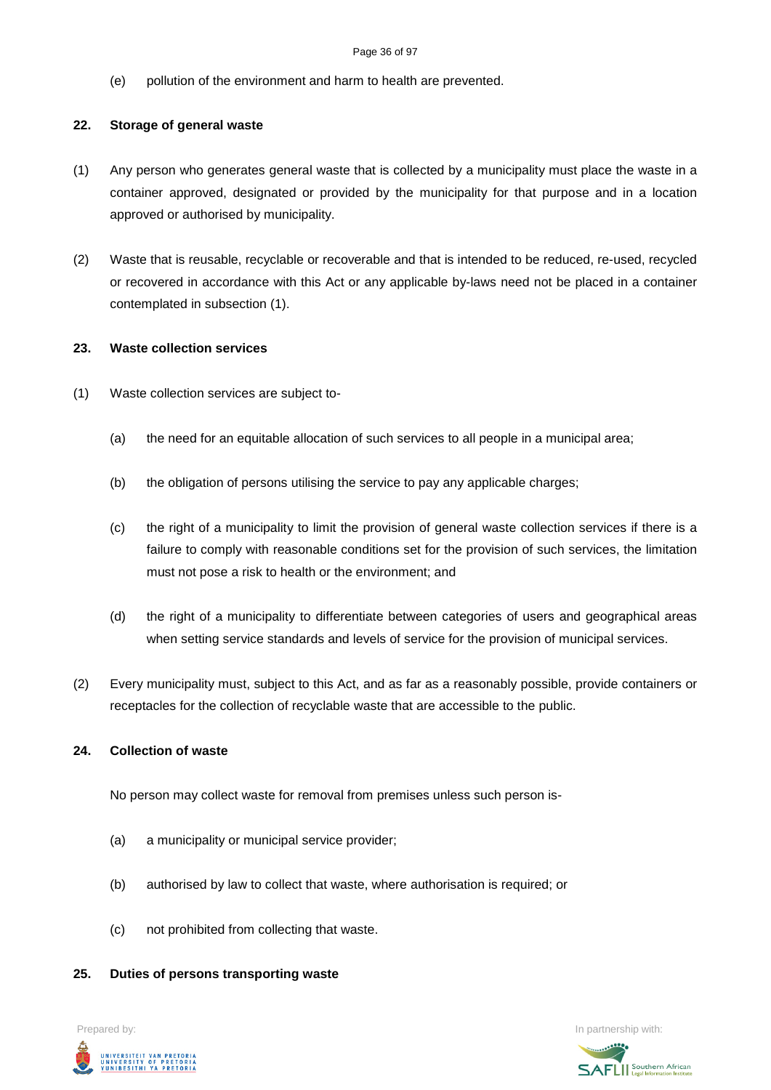#### Page 36 of 97

(e) pollution of the environment and harm to health are prevented.

# **22. Storage of general waste**

- (1) Any person who generates general waste that is collected by a municipality must place the waste in a container approved, designated or provided by the municipality for that purpose and in a location approved or authorised by municipality.
- (2) Waste that is reusable, recyclable or recoverable and that is intended to be reduced, re-used, recycled or recovered in accordance with this Act or any applicable by-laws need not be placed in a container contemplated in subsection (1).

### **23. Waste collection services**

- (1) Waste collection services are subject to-
	- (a) the need for an equitable allocation of such services to all people in a municipal area;
	- (b) the obligation of persons utilising the service to pay any applicable charges;
	- (c) the right of a municipality to limit the provision of general waste collection services if there is a failure to comply with reasonable conditions set for the provision of such services, the limitation must not pose a risk to health or the environment; and
	- (d) the right of a municipality to differentiate between categories of users and geographical areas when setting service standards and levels of service for the provision of municipal services.
- (2) Every municipality must, subject to this Act, and as far as a reasonably possible, provide containers or receptacles for the collection of recyclable waste that are accessible to the public.

#### **24. Collection of waste**

No person may collect waste for removal from premises unless such person is-

- (a) a municipality or municipal service provider;
- (b) authorised by law to collect that waste, where authorisation is required; or
- (c) not prohibited from collecting that waste.

#### **25. Duties of persons transporting waste**



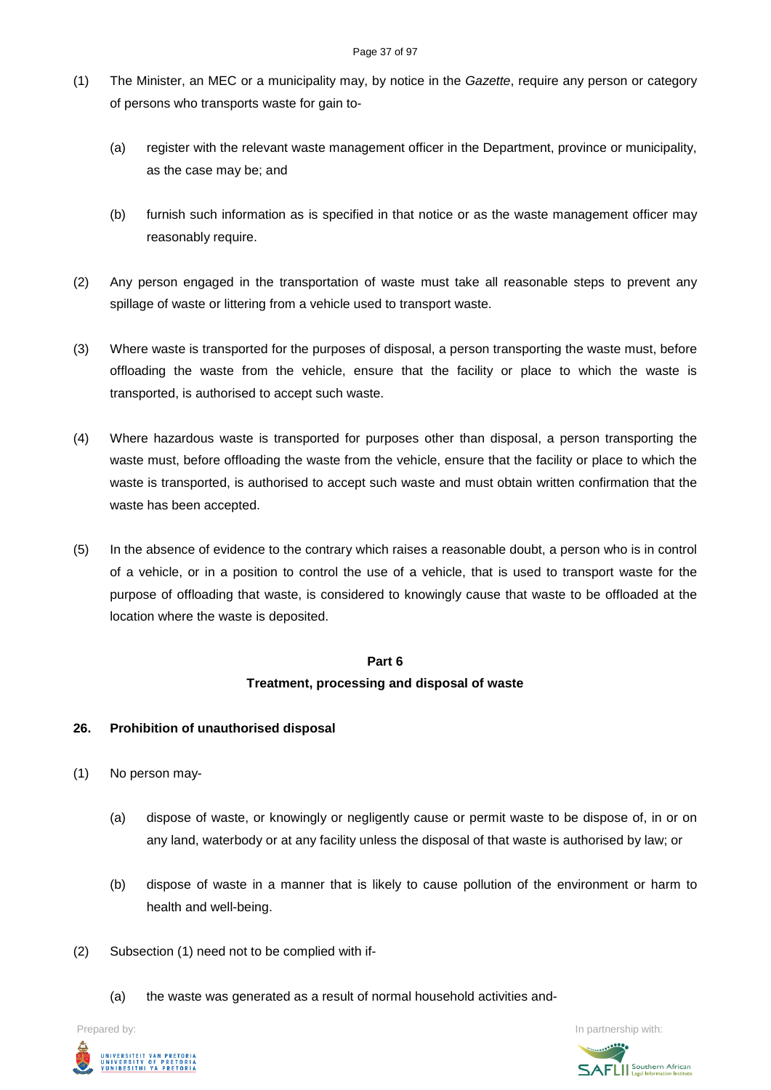- (1) The Minister, an MEC or a municipality may, by notice in the *Gazette*, require any person or category of persons who transports waste for gain to-
	- (a) register with the relevant waste management officer in the Department, province or municipality, as the case may be; and
	- (b) furnish such information as is specified in that notice or as the waste management officer may reasonably require.
- (2) Any person engaged in the transportation of waste must take all reasonable steps to prevent any spillage of waste or littering from a vehicle used to transport waste.
- (3) Where waste is transported for the purposes of disposal, a person transporting the waste must, before offloading the waste from the vehicle, ensure that the facility or place to which the waste is transported, is authorised to accept such waste.
- (4) Where hazardous waste is transported for purposes other than disposal, a person transporting the waste must, before offloading the waste from the vehicle, ensure that the facility or place to which the waste is transported, is authorised to accept such waste and must obtain written confirmation that the waste has been accepted.
- (5) In the absence of evidence to the contrary which raises a reasonable doubt, a person who is in control of a vehicle, or in a position to control the use of a vehicle, that is used to transport waste for the purpose of offloading that waste, is considered to knowingly cause that waste to be offloaded at the location where the waste is deposited.

# **Part 6 Treatment, processing and disposal of waste**

## **26. Prohibition of unauthorised disposal**

- (1) No person may-
	- (a) dispose of waste, or knowingly or negligently cause or permit waste to be dispose of, in or on any land, waterbody or at any facility unless the disposal of that waste is authorised by law; or
	- (b) dispose of waste in a manner that is likely to cause pollution of the environment or harm to health and well-being.
- (2) Subsection (1) need not to be complied with if-
	- (a) the waste was generated as a result of normal household activities and-

Prepared by: In partnership with:



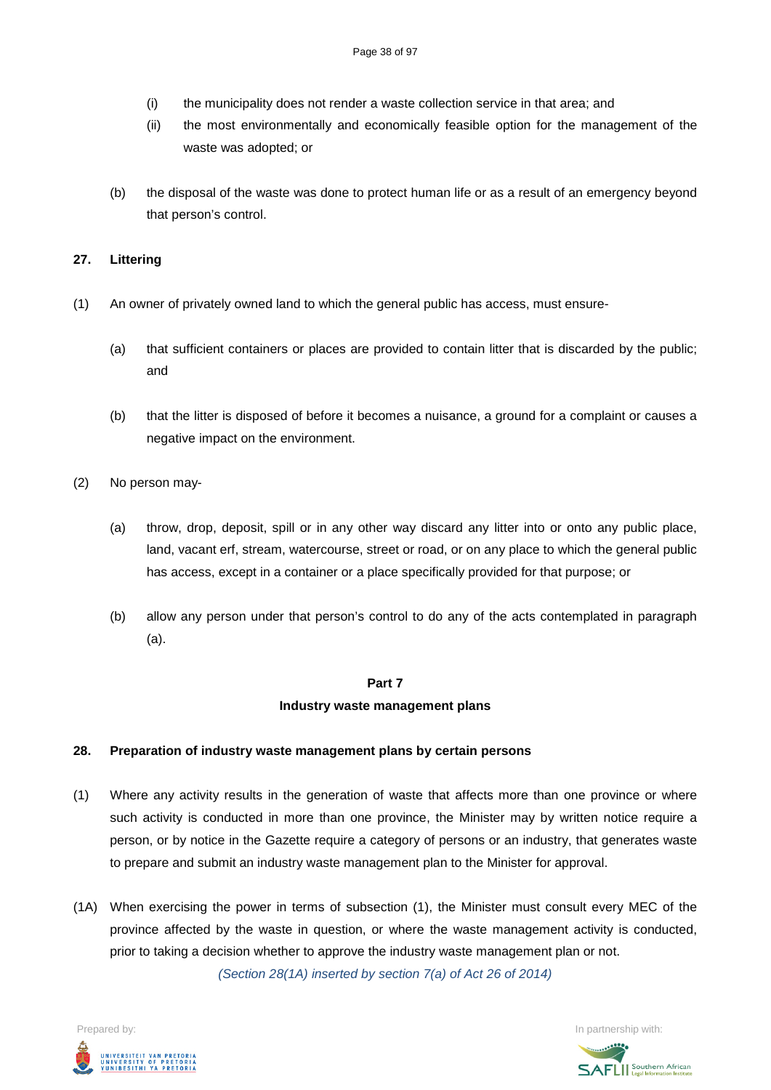- (i) the municipality does not render a waste collection service in that area; and
- (ii) the most environmentally and economically feasible option for the management of the waste was adopted; or
- (b) the disposal of the waste was done to protect human life or as a result of an emergency beyond that person's control.

### **27. Littering**

- (1) An owner of privately owned land to which the general public has access, must ensure-
	- (a) that sufficient containers or places are provided to contain litter that is discarded by the public; and
	- (b) that the litter is disposed of before it becomes a nuisance, a ground for a complaint or causes a negative impact on the environment.
- (2) No person may-
	- (a) throw, drop, deposit, spill or in any other way discard any litter into or onto any public place, land, vacant erf, stream, watercourse, street or road, or on any place to which the general public has access, except in a container or a place specifically provided for that purpose; or
	- (b) allow any person under that person's control to do any of the acts contemplated in paragraph (a).

### **Part 7**

### **Industry waste management plans**

### **28. Preparation of industry waste management plans by certain persons**

- (1) Where any activity results in the generation of waste that affects more than one province or where such activity is conducted in more than one province, the Minister may by written notice require a person, or by notice in the Gazette require a category of persons or an industry, that generates waste to prepare and submit an industry waste management plan to the Minister for approval.
- (1A) When exercising the power in terms of subsection (1), the Minister must consult every MEC of the province affected by the waste in question, or where the waste management activity is conducted, prior to taking a decision whether to approve the industry waste management plan or not. *(Section 28(1A) inserted by section 7(a) of Act 26 of 2014)*

Prepared by: In partnership with:  $\blacksquare$  is the partnership with:  $\blacksquare$  is the partnership with:  $\blacksquare$ UNIVERSITEIT VAN PRETORIA<br>UNIVERSITY OF PRETORIA<br>YUNIBESITHI YA PRETORIA

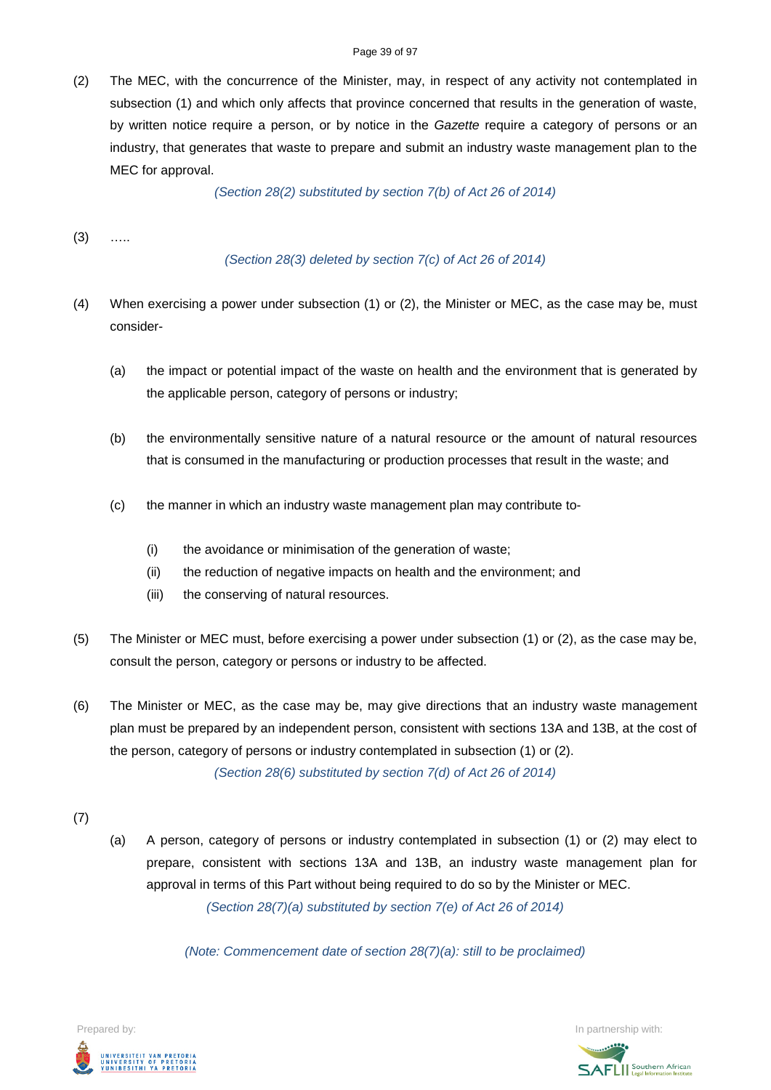(2) The MEC, with the concurrence of the Minister, may, in respect of any activity not contemplated in subsection (1) and which only affects that province concerned that results in the generation of waste, by written notice require a person, or by notice in the *Gazette* require a category of persons or an industry, that generates that waste to prepare and submit an industry waste management plan to the MEC for approval.

*(Section 28(2) substituted by section 7(b) of Act 26 of 2014)*

 $(3)$  …

*(Section 28(3) deleted by section 7(c) of Act 26 of 2014)*

- (4) When exercising a power under subsection (1) or (2), the Minister or MEC, as the case may be, must consider-
	- (a) the impact or potential impact of the waste on health and the environment that is generated by the applicable person, category of persons or industry;
	- (b) the environmentally sensitive nature of a natural resource or the amount of natural resources that is consumed in the manufacturing or production processes that result in the waste; and
	- (c) the manner in which an industry waste management plan may contribute to-
		- (i) the avoidance or minimisation of the generation of waste;
		- (ii) the reduction of negative impacts on health and the environment; and
		- (iii) the conserving of natural resources.
- (5) The Minister or MEC must, before exercising a power under subsection (1) or (2), as the case may be, consult the person, category or persons or industry to be affected.
- (6) The Minister or MEC, as the case may be, may give directions that an industry waste management plan must be prepared by an independent person, consistent with sections 13A and 13B, at the cost of the person, category of persons or industry contemplated in subsection (1) or (2).

*(Section 28(6) substituted by section 7(d) of Act 26 of 2014)*

- (7)
- (a) A person, category of persons or industry contemplated in subsection (1) or (2) may elect to prepare, consistent with sections 13A and 13B, an industry waste management plan for approval in terms of this Part without being required to do so by the Minister or MEC. *(Section 28(7)(a) substituted by section 7(e) of Act 26 of 2014)*

*(Note: Commencement date of section 28(7)(a): still to be proclaimed)*

Prepared by: In partnership with:  $\blacksquare$  is the partnership with:  $\blacksquare$  is the partnership with:  $\blacksquare$ UNIVERSITEIT VAN PRETORIA<br>UNIVERSITY OF PRETORIA<br>YUNIBESITHI YA PRETORIA

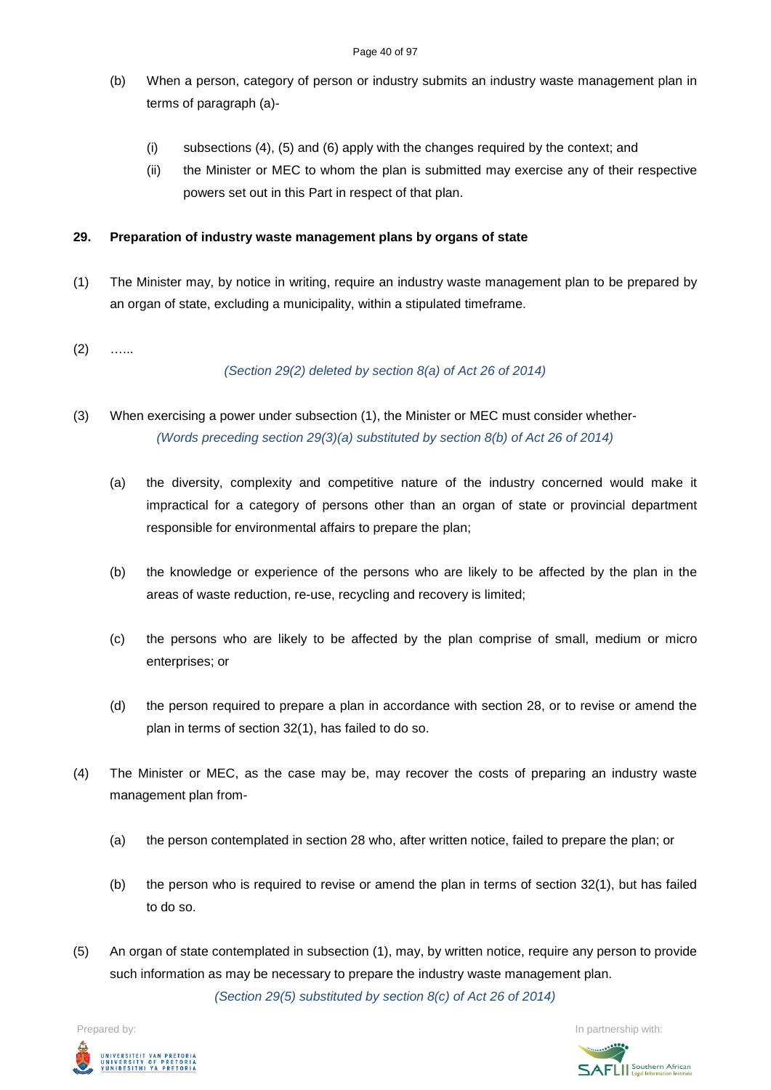- (b) When a person, category of person or industry submits an industry waste management plan in terms of paragraph (a)-
	- (i) subsections (4), (5) and (6) apply with the changes required by the context; and
	- (ii) the Minister or MEC to whom the plan is submitted may exercise any of their respective powers set out in this Part in respect of that plan.

## **29. Preparation of industry waste management plans by organs of state**

- (1) The Minister may, by notice in writing, require an industry waste management plan to be prepared by an organ of state, excluding a municipality, within a stipulated timeframe.
- $(2)$  …

*(Section 29(2) deleted by section 8(a) of Act 26 of 2014)*

- (3) When exercising a power under subsection (1), the Minister or MEC must consider whether- *(Words preceding section 29(3)(a) substituted by section 8(b) of Act 26 of 2014)*
	- (a) the diversity, complexity and competitive nature of the industry concerned would make it impractical for a category of persons other than an organ of state or provincial department responsible for environmental affairs to prepare the plan;
	- (b) the knowledge or experience of the persons who are likely to be affected by the plan in the areas of waste reduction, re-use, recycling and recovery is limited;
	- (c) the persons who are likely to be affected by the plan comprise of small, medium or micro enterprises; or
	- (d) the person required to prepare a plan in accordance with section 28, or to revise or amend the plan in terms of section 32(1), has failed to do so.
- (4) The Minister or MEC, as the case may be, may recover the costs of preparing an industry waste management plan from-
	- (a) the person contemplated in section 28 who, after written notice, failed to prepare the plan; or
	- (b) the person who is required to revise or amend the plan in terms of section 32(1), but has failed to do so.
- (5) An organ of state contemplated in subsection (1), may, by written notice, require any person to provide such information as may be necessary to prepare the industry waste management plan. *(Section 29(5) substituted by section 8(c) of Act 26 of 2014)*

Prepared by: In partnership with:



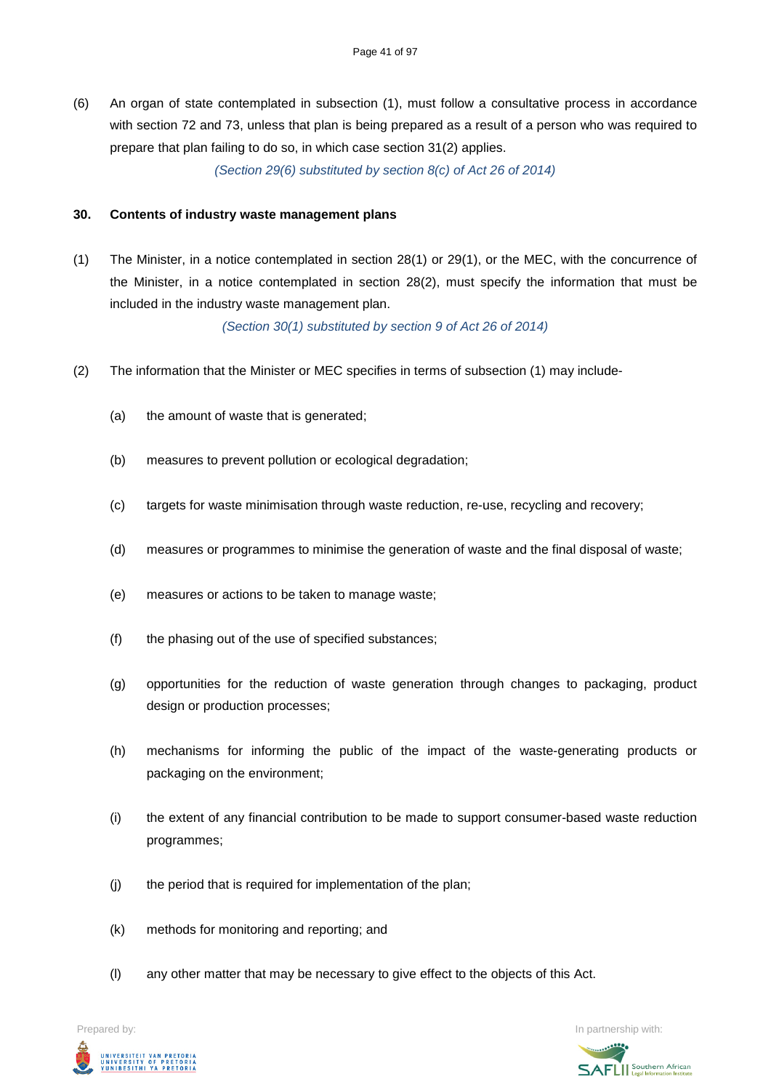(6) An organ of state contemplated in subsection (1), must follow a consultative process in accordance with section 72 and 73, unless that plan is being prepared as a result of a person who was required to prepare that plan failing to do so, in which case section 31(2) applies.

*(Section 29(6) substituted by section 8(c) of Act 26 of 2014)*

### **30. Contents of industry waste management plans**

(1) The Minister, in a notice contemplated in section 28(1) or 29(1), or the MEC, with the concurrence of the Minister, in a notice contemplated in section 28(2), must specify the information that must be included in the industry waste management plan.

*(Section 30(1) substituted by section 9 of Act 26 of 2014)*

- (2) The information that the Minister or MEC specifies in terms of subsection (1) may include-
	- (a) the amount of waste that is generated;
	- (b) measures to prevent pollution or ecological degradation;
	- (c) targets for waste minimisation through waste reduction, re-use, recycling and recovery;
	- (d) measures or programmes to minimise the generation of waste and the final disposal of waste;
	- (e) measures or actions to be taken to manage waste;
	- (f) the phasing out of the use of specified substances;
	- (g) opportunities for the reduction of waste generation through changes to packaging, product design or production processes;
	- (h) mechanisms for informing the public of the impact of the waste-generating products or packaging on the environment;
	- (i) the extent of any financial contribution to be made to support consumer-based waste reduction programmes;
	- (j) the period that is required for implementation of the plan;
	- (k) methods for monitoring and reporting; and
	- (l) any other matter that may be necessary to give effect to the objects of this Act.



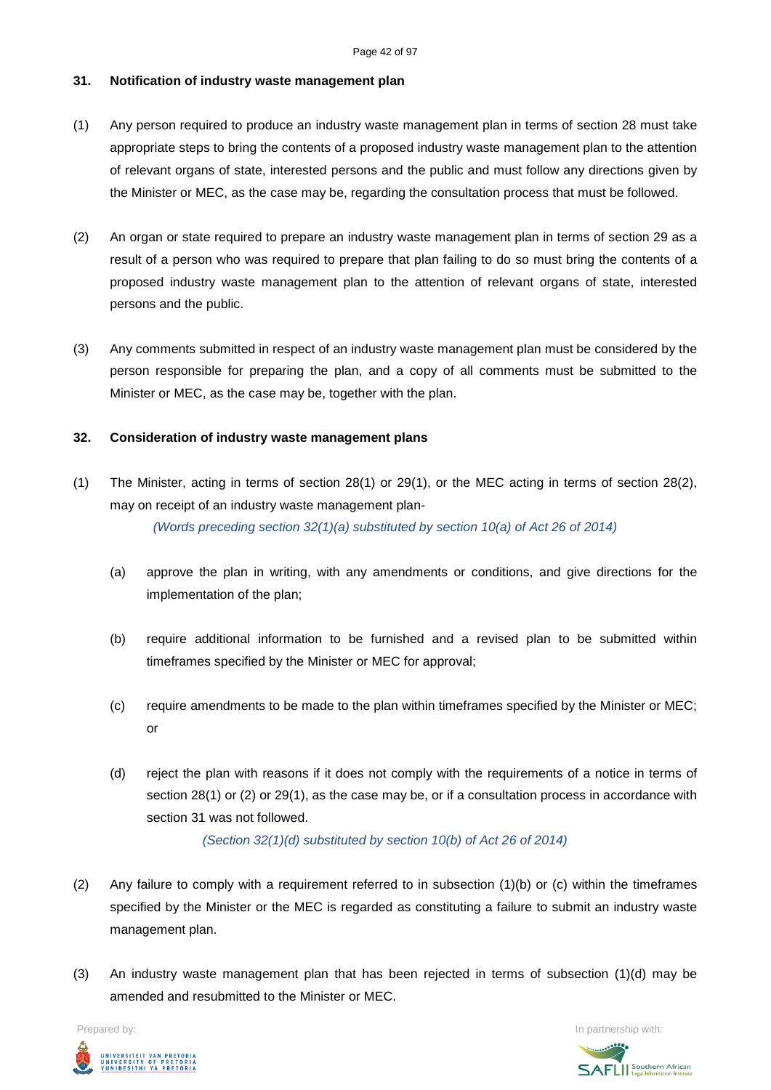## **31. Notification of industry waste management plan**

- (1) Any person required to produce an industry waste management plan in terms of section 28 must take appropriate steps to bring the contents of a proposed industry waste management plan to the attention of relevant organs of state, interested persons and the public and must follow any directions given by the Minister or MEC, as the case may be, regarding the consultation process that must be followed.
- (2) An organ or state required to prepare an industry waste management plan in terms of section 29 as a result of a person who was required to prepare that plan failing to do so must bring the contents of a proposed industry waste management plan to the attention of relevant organs of state, interested persons and the public.
- (3) Any comments submitted in respect of an industry waste management plan must be considered by the person responsible for preparing the plan, and a copy of all comments must be submitted to the Minister or MEC, as the case may be, together with the plan.

### **32. Consideration of industry waste management plans**

(1) The Minister, acting in terms of section 28(1) or 29(1), or the MEC acting in terms of section 28(2), may on receipt of an industry waste management plan-

*(Words preceding section 32(1)(a) substituted by section 10(a) of Act 26 of 2014)*

- (a) approve the plan in writing, with any amendments or conditions, and give directions for the implementation of the plan;
- (b) require additional information to be furnished and a revised plan to be submitted within timeframes specified by the Minister or MEC for approval;
- (c) require amendments to be made to the plan within timeframes specified by the Minister or MEC; or
- (d) reject the plan with reasons if it does not comply with the requirements of a notice in terms of section 28(1) or (2) or 29(1), as the case may be, or if a consultation process in accordance with section 31 was not followed.

*(Section 32(1)(d) substituted by section 10(b) of Act 26 of 2014)*

- (2) Any failure to comply with a requirement referred to in subsection (1)(b) or (c) within the timeframes specified by the Minister or the MEC is regarded as constituting a failure to submit an industry waste management plan.
- (3) An industry waste management plan that has been rejected in terms of subsection (1)(d) may be amended and resubmitted to the Minister or MEC.



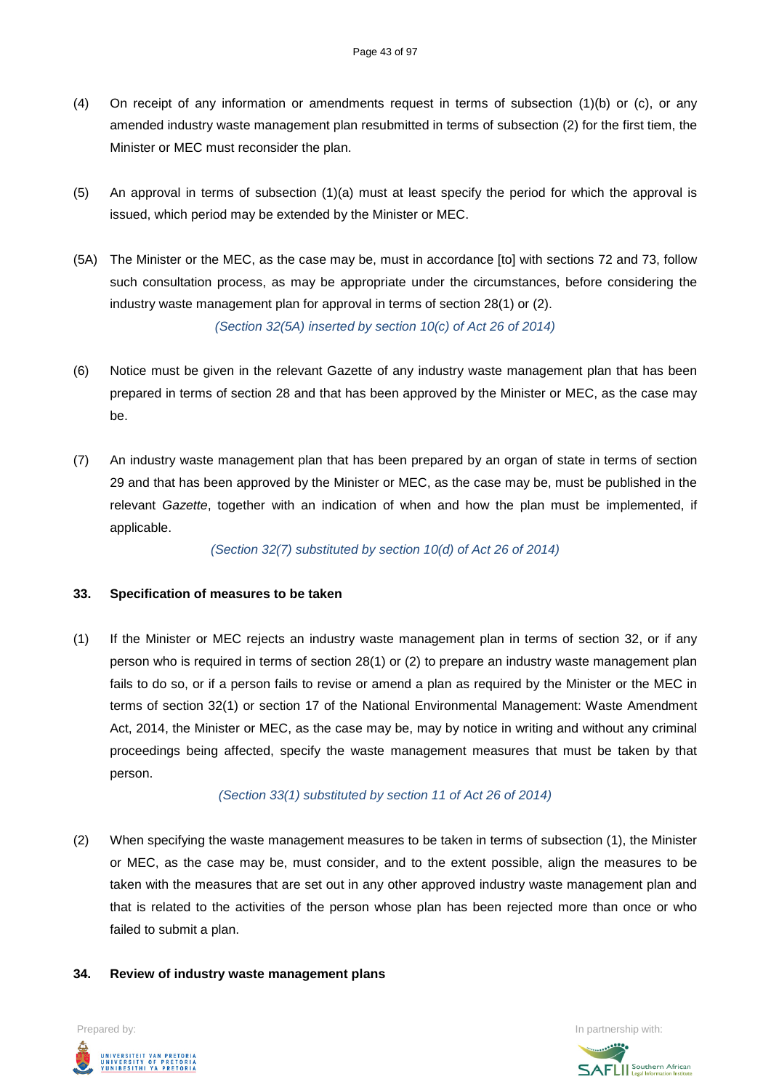- (4) On receipt of any information or amendments request in terms of subsection (1)(b) or (c), or any amended industry waste management plan resubmitted in terms of subsection (2) for the first tiem, the Minister or MEC must reconsider the plan.
- (5) An approval in terms of subsection (1)(a) must at least specify the period for which the approval is issued, which period may be extended by the Minister or MEC.
- (5A) The Minister or the MEC, as the case may be, must in accordance [to] with sections 72 and 73, follow such consultation process, as may be appropriate under the circumstances, before considering the industry waste management plan for approval in terms of section 28(1) or (2).

*(Section 32(5A) inserted by section 10(c) of Act 26 of 2014)*

- (6) Notice must be given in the relevant Gazette of any industry waste management plan that has been prepared in terms of section 28 and that has been approved by the Minister or MEC, as the case may be.
- (7) An industry waste management plan that has been prepared by an organ of state in terms of section 29 and that has been approved by the Minister or MEC, as the case may be, must be published in the relevant *Gazette*, together with an indication of when and how the plan must be implemented, if applicable.

*(Section 32(7) substituted by section 10(d) of Act 26 of 2014)*

## **33. Specification of measures to be taken**

(1) If the Minister or MEC rejects an industry waste management plan in terms of section 32, or if any person who is required in terms of section 28(1) or (2) to prepare an industry waste management plan fails to do so, or if a person fails to revise or amend a plan as required by the Minister or the MEC in terms of section 32(1) or section 17 of the National Environmental Management: Waste Amendment Act, 2014, the Minister or MEC, as the case may be, may by notice in writing and without any criminal proceedings being affected, specify the waste management measures that must be taken by that person.

### *(Section 33(1) substituted by section 11 of Act 26 of 2014)*

(2) When specifying the waste management measures to be taken in terms of subsection (1), the Minister or MEC, as the case may be, must consider, and to the extent possible, align the measures to be taken with the measures that are set out in any other approved industry waste management plan and that is related to the activities of the person whose plan has been rejected more than once or who failed to submit a plan.

### **34. Review of industry waste management plans**

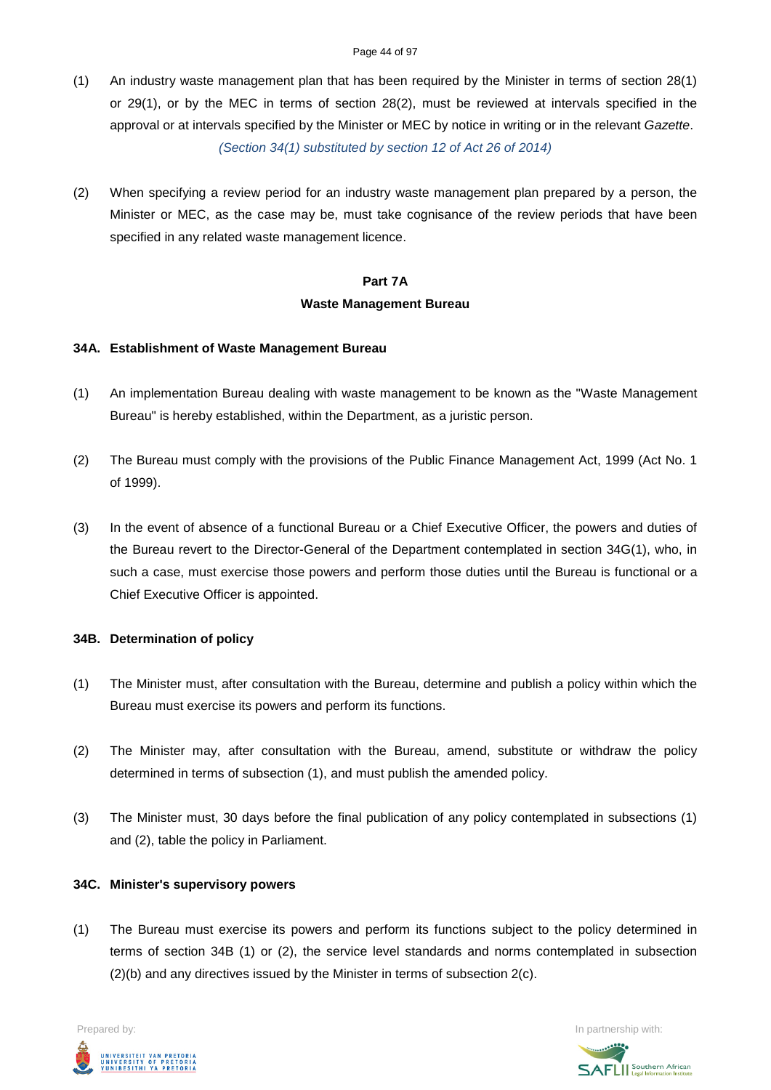- (1) An industry waste management plan that has been required by the Minister in terms of section 28(1) or 29(1), or by the MEC in terms of section 28(2), must be reviewed at intervals specified in the approval or at intervals specified by the Minister or MEC by notice in writing or in the relevant *Gazette*. *(Section 34(1) substituted by section 12 of Act 26 of 2014)*
- (2) When specifying a review period for an industry waste management plan prepared by a person, the Minister or MEC, as the case may be, must take cognisance of the review periods that have been specified in any related waste management licence.

# **Part 7A Waste Management Bureau**

### **34A. Establishment of Waste Management Bureau**

- (1) An implementation Bureau dealing with waste management to be known as the "Waste Management Bureau" is hereby established, within the Department, as a juristic person.
- (2) The Bureau must comply with the provisions of the Public Finance Management Act, 1999 (Act No. 1 of 1999).
- (3) In the event of absence of a functional Bureau or a Chief Executive Officer, the powers and duties of the Bureau revert to the Director-General of the Department contemplated in section 34G(1), who, in such a case, must exercise those powers and perform those duties until the Bureau is functional or a Chief Executive Officer is appointed.

### **34B. Determination of policy**

- (1) The Minister must, after consultation with the Bureau, determine and publish a policy within which the Bureau must exercise its powers and perform its functions.
- (2) The Minister may, after consultation with the Bureau, amend, substitute or withdraw the policy determined in terms of subsection (1), and must publish the amended policy.
- (3) The Minister must, 30 days before the final publication of any policy contemplated in subsections (1) and (2), table the policy in Parliament.

### **34C. Minister's supervisory powers**

(1) The Bureau must exercise its powers and perform its functions subject to the policy determined in terms of section 34B (1) or (2), the service level standards and norms contemplated in subsection (2)(b) and any directives issued by the Minister in terms of subsection 2(c).

Prepared by: In partnership with:  $\blacksquare$  is the partnership with:  $\blacksquare$  is the partnership with:  $\blacksquare$ UNIVERSITEIT VAN PRETORIA<br>UNIVERSITY OF PRETORIA<br>YUNIBESITHI YA PRETORIA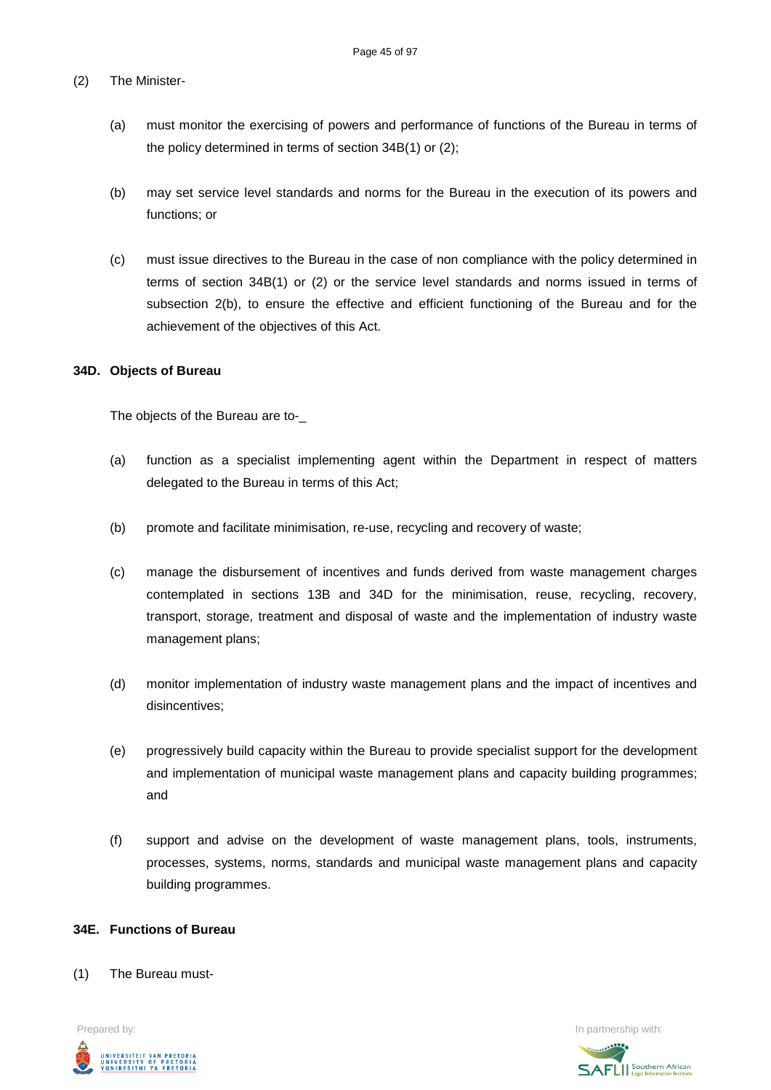### (2) The Minister-

- (a) must monitor the exercising of powers and performance of functions of the Bureau in terms of the policy determined in terms of section 34B(1) or (2);
- (b) may set service level standards and norms for the Bureau in the execution of its powers and functions; or
- (c) must issue directives to the Bureau in the case of non compliance with the policy determined in terms of section 34B(1) or (2) or the service level standards and norms issued in terms of subsection 2(b), to ensure the effective and efficient functioning of the Bureau and for the achievement of the objectives of this Act.

### **34D. Objects of Bureau**

The objects of the Bureau are to-\_

- (a) function as a specialist implementing agent within the Department in respect of matters delegated to the Bureau in terms of this Act;
- (b) promote and facilitate minimisation, re-use, recycling and recovery of waste;
- (c) manage the disbursement of incentives and funds derived from waste management charges contemplated in sections 13B and 34D for the minimisation, reuse, recycling, recovery, transport, storage, treatment and disposal of waste and the implementation of industry waste management plans;
- (d) monitor implementation of industry waste management plans and the impact of incentives and disincentives;
- (e) progressively build capacity within the Bureau to provide specialist support for the development and implementation of municipal waste management plans and capacity building programmes; and
- (f) support and advise on the development of waste management plans, tools, instruments, processes, systems, norms, standards and municipal waste management plans and capacity building programmes.

### **34E. Functions of Bureau**

(1) The Bureau must-

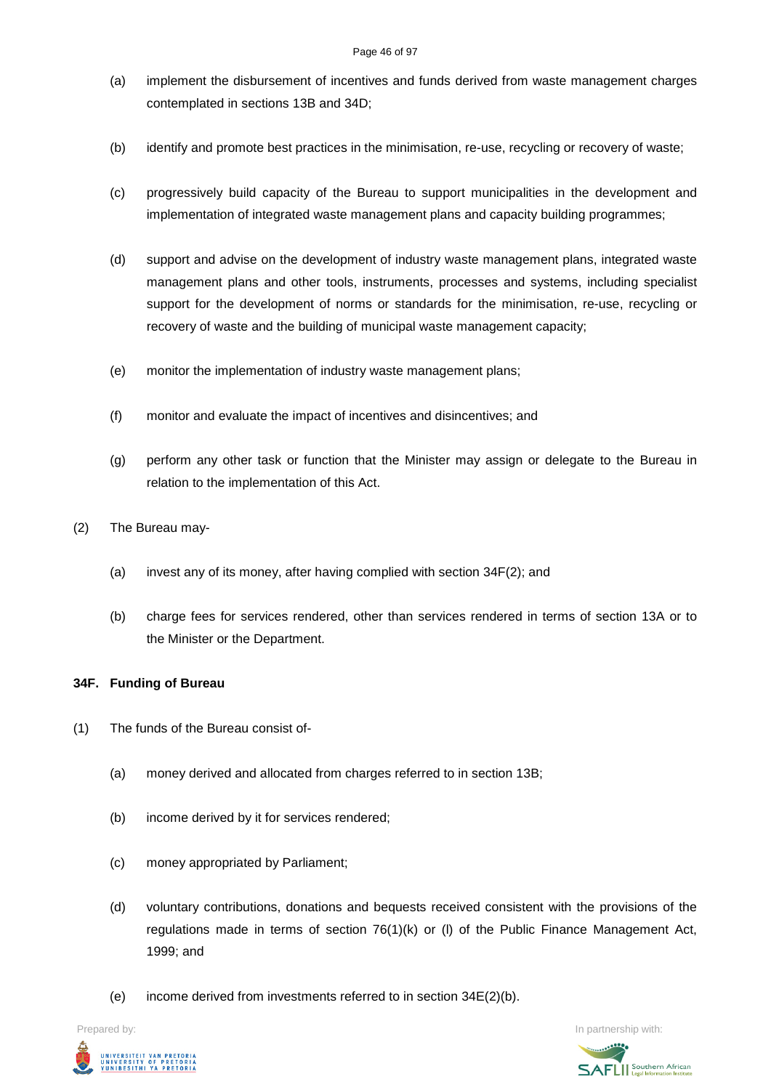### Page 46 of 97

- (a) implement the disbursement of incentives and funds derived from waste management charges contemplated in sections 13B and 34D;
- (b) identify and promote best practices in the minimisation, re-use, recycling or recovery of waste;
- (c) progressively build capacity of the Bureau to support municipalities in the development and implementation of integrated waste management plans and capacity building programmes;
- (d) support and advise on the development of industry waste management plans, integrated waste management plans and other tools, instruments, processes and systems, including specialist support for the development of norms or standards for the minimisation, re-use, recycling or recovery of waste and the building of municipal waste management capacity;
- (e) monitor the implementation of industry waste management plans;
- (f) monitor and evaluate the impact of incentives and disincentives; and
- (g) perform any other task or function that the Minister may assign or delegate to the Bureau in relation to the implementation of this Act.
- (2) The Bureau may-
	- (a) invest any of its money, after having complied with section 34F(2); and
	- (b) charge fees for services rendered, other than services rendered in terms of section 13A or to the Minister or the Department.

## **34F. Funding of Bureau**

- (1) The funds of the Bureau consist of-
	- (a) money derived and allocated from charges referred to in section 13B;
	- (b) income derived by it for services rendered;
	- (c) money appropriated by Parliament;
	- (d) voluntary contributions, donations and bequests received consistent with the provisions of the regulations made in terms of section 76(1)(k) or (l) of the Public Finance Management Act, 1999; and
	- (e) income derived from investments referred to in section 34E(2)(b).



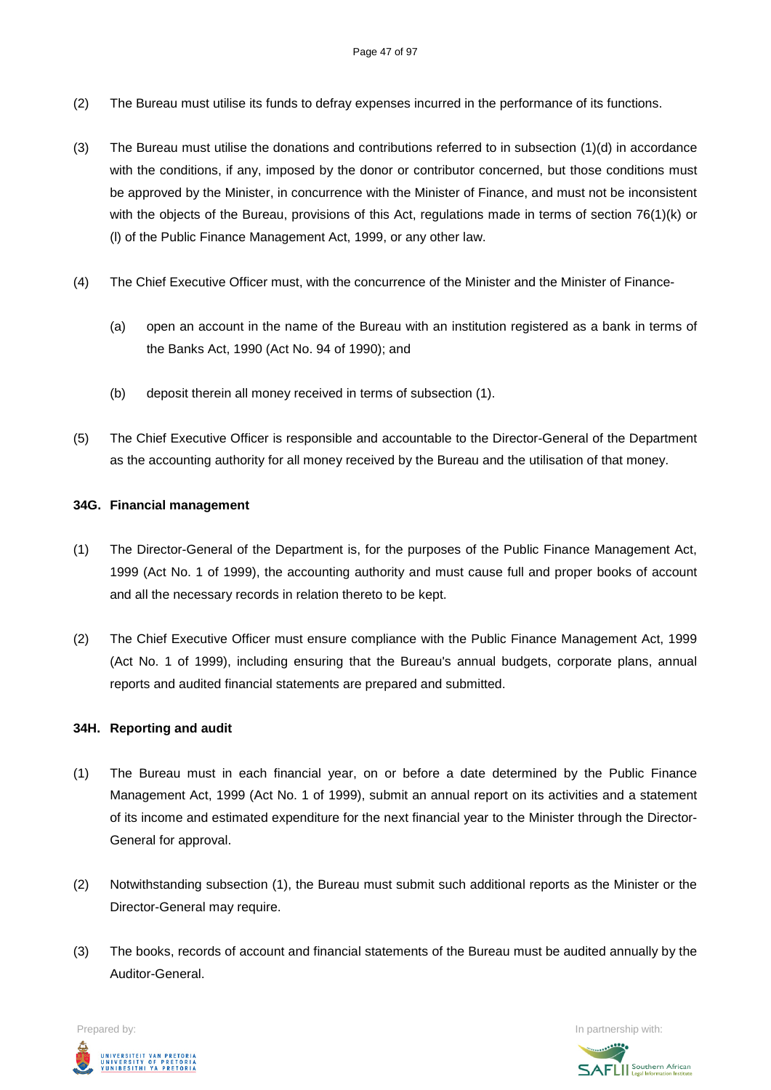- (2) The Bureau must utilise its funds to defray expenses incurred in the performance of its functions.
- (3) The Bureau must utilise the donations and contributions referred to in subsection (1)(d) in accordance with the conditions, if any, imposed by the donor or contributor concerned, but those conditions must be approved by the Minister, in concurrence with the Minister of Finance, and must not be inconsistent with the objects of the Bureau, provisions of this Act, regulations made in terms of section 76(1)(k) or (l) of the Public Finance Management Act, 1999, or any other law.
- (4) The Chief Executive Officer must, with the concurrence of the Minister and the Minister of Finance-
	- (a) open an account in the name of the Bureau with an institution registered as a bank in terms of the Banks Act, 1990 (Act No. 94 of 1990); and
	- (b) deposit therein all money received in terms of subsection (1).
- (5) The Chief Executive Officer is responsible and accountable to the Director-General of the Department as the accounting authority for all money received by the Bureau and the utilisation of that money.

### **34G. Financial management**

- (1) The Director-General of the Department is, for the purposes of the Public Finance Management Act, 1999 (Act No. 1 of 1999), the accounting authority and must cause full and proper books of account and all the necessary records in relation thereto to be kept.
- (2) The Chief Executive Officer must ensure compliance with the Public Finance Management Act, 1999 (Act No. 1 of 1999), including ensuring that the Bureau's annual budgets, corporate plans, annual reports and audited financial statements are prepared and submitted.

### **34H. Reporting and audit**

- (1) The Bureau must in each financial year, on or before a date determined by the Public Finance Management Act, 1999 (Act No. 1 of 1999), submit an annual report on its activities and a statement of its income and estimated expenditure for the next financial year to the Minister through the Director-General for approval.
- (2) Notwithstanding subsection (1), the Bureau must submit such additional reports as the Minister or the Director-General may require.
- (3) The books, records of account and financial statements of the Bureau must be audited annually by the Auditor-General.

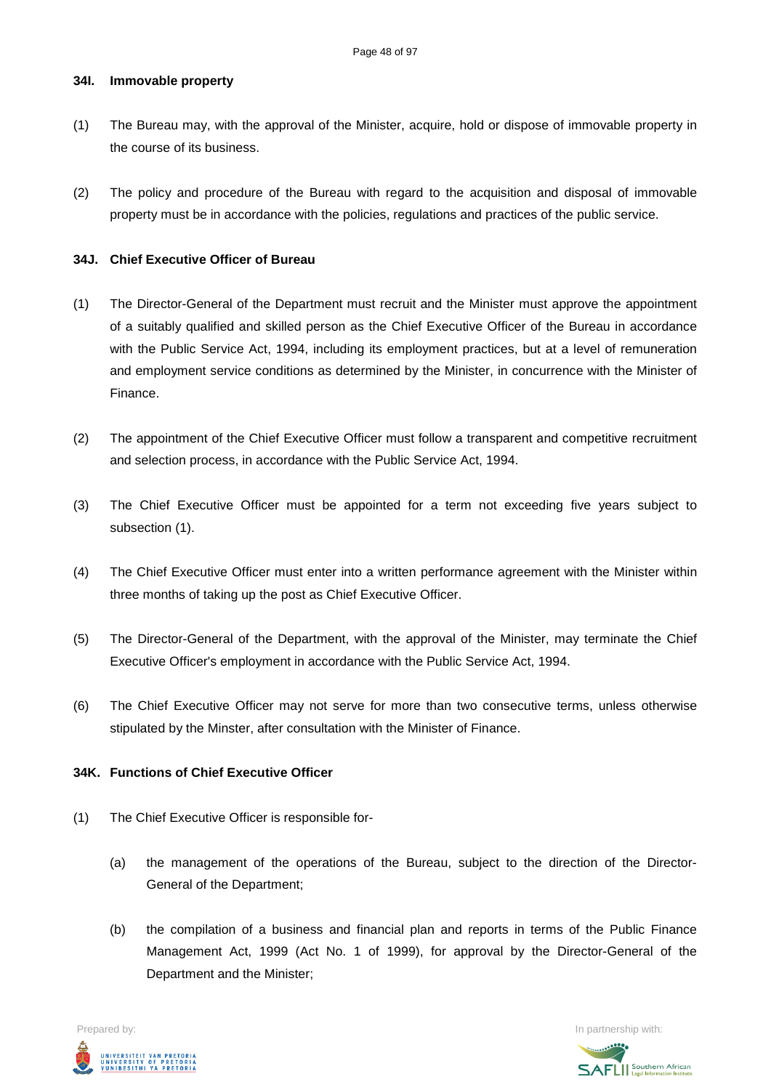### **34I. Immovable property**

- (1) The Bureau may, with the approval of the Minister, acquire, hold or dispose of immovable property in the course of its business.
- (2) The policy and procedure of the Bureau with regard to the acquisition and disposal of immovable property must be in accordance with the policies, regulations and practices of the public service.

### **34J. Chief Executive Officer of Bureau**

- (1) The Director-General of the Department must recruit and the Minister must approve the appointment of a suitably qualified and skilled person as the Chief Executive Officer of the Bureau in accordance with the Public Service Act, 1994, including its employment practices, but at a level of remuneration and employment service conditions as determined by the Minister, in concurrence with the Minister of Finance.
- (2) The appointment of the Chief Executive Officer must follow a transparent and competitive recruitment and selection process, in accordance with the Public Service Act, 1994.
- (3) The Chief Executive Officer must be appointed for a term not exceeding five years subject to subsection (1).
- (4) The Chief Executive Officer must enter into a written performance agreement with the Minister within three months of taking up the post as Chief Executive Officer.
- (5) The Director-General of the Department, with the approval of the Minister, may terminate the Chief Executive Officer's employment in accordance with the Public Service Act, 1994.
- (6) The Chief Executive Officer may not serve for more than two consecutive terms, unless otherwise stipulated by the Minster, after consultation with the Minister of Finance.

### **34K. Functions of Chief Executive Officer**

- (1) The Chief Executive Officer is responsible for-
	- (a) the management of the operations of the Bureau, subject to the direction of the Director-General of the Department;
	- (b) the compilation of a business and financial plan and reports in terms of the Public Finance Management Act, 1999 (Act No. 1 of 1999), for approval by the Director-General of the Department and the Minister;

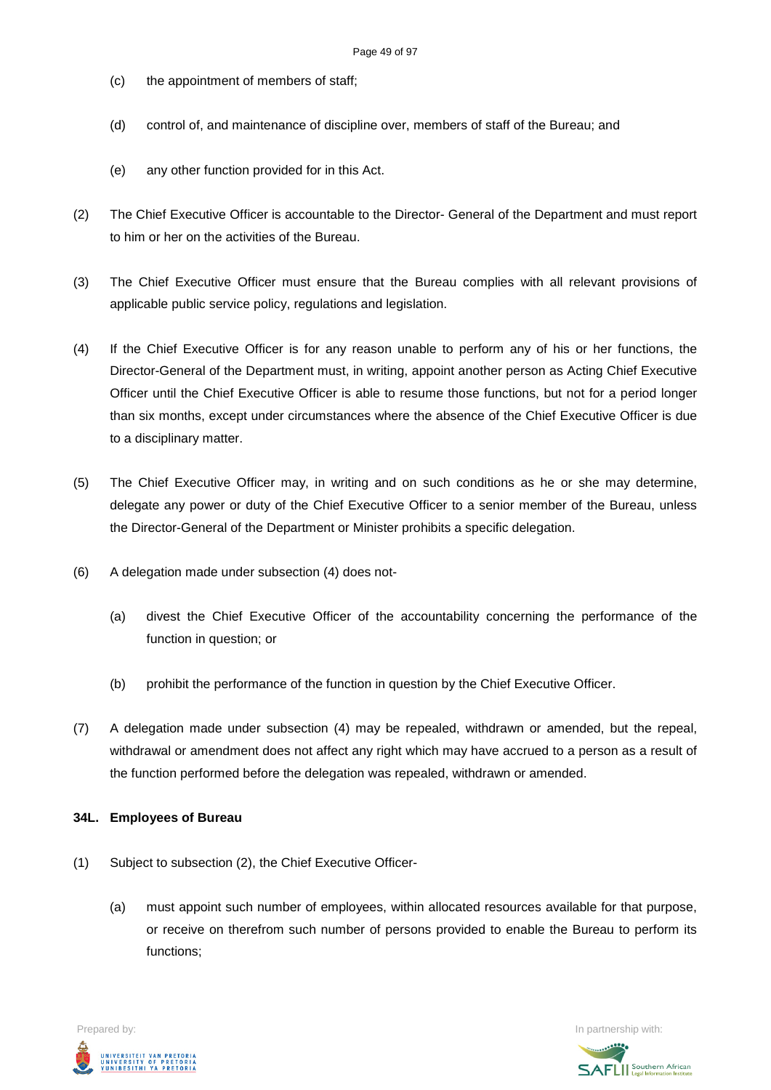- (c) the appointment of members of staff;
- (d) control of, and maintenance of discipline over, members of staff of the Bureau; and
- (e) any other function provided for in this Act.
- (2) The Chief Executive Officer is accountable to the Director- General of the Department and must report to him or her on the activities of the Bureau.
- (3) The Chief Executive Officer must ensure that the Bureau complies with all relevant provisions of applicable public service policy, regulations and legislation.
- (4) If the Chief Executive Officer is for any reason unable to perform any of his or her functions, the Director-General of the Department must, in writing, appoint another person as Acting Chief Executive Officer until the Chief Executive Officer is able to resume those functions, but not for a period longer than six months, except under circumstances where the absence of the Chief Executive Officer is due to a disciplinary matter.
- (5) The Chief Executive Officer may, in writing and on such conditions as he or she may determine, delegate any power or duty of the Chief Executive Officer to a senior member of the Bureau, unless the Director-General of the Department or Minister prohibits a specific delegation.
- (6) A delegation made under subsection (4) does not-
	- (a) divest the Chief Executive Officer of the accountability concerning the performance of the function in question; or
	- (b) prohibit the performance of the function in question by the Chief Executive Officer.
- (7) A delegation made under subsection (4) may be repealed, withdrawn or amended, but the repeal, withdrawal or amendment does not affect any right which may have accrued to a person as a result of the function performed before the delegation was repealed, withdrawn or amended.

### **34L. Employees of Bureau**

- (1) Subject to subsection (2), the Chief Executive Officer-
	- (a) must appoint such number of employees, within allocated resources available for that purpose, or receive on therefrom such number of persons provided to enable the Bureau to perform its functions;



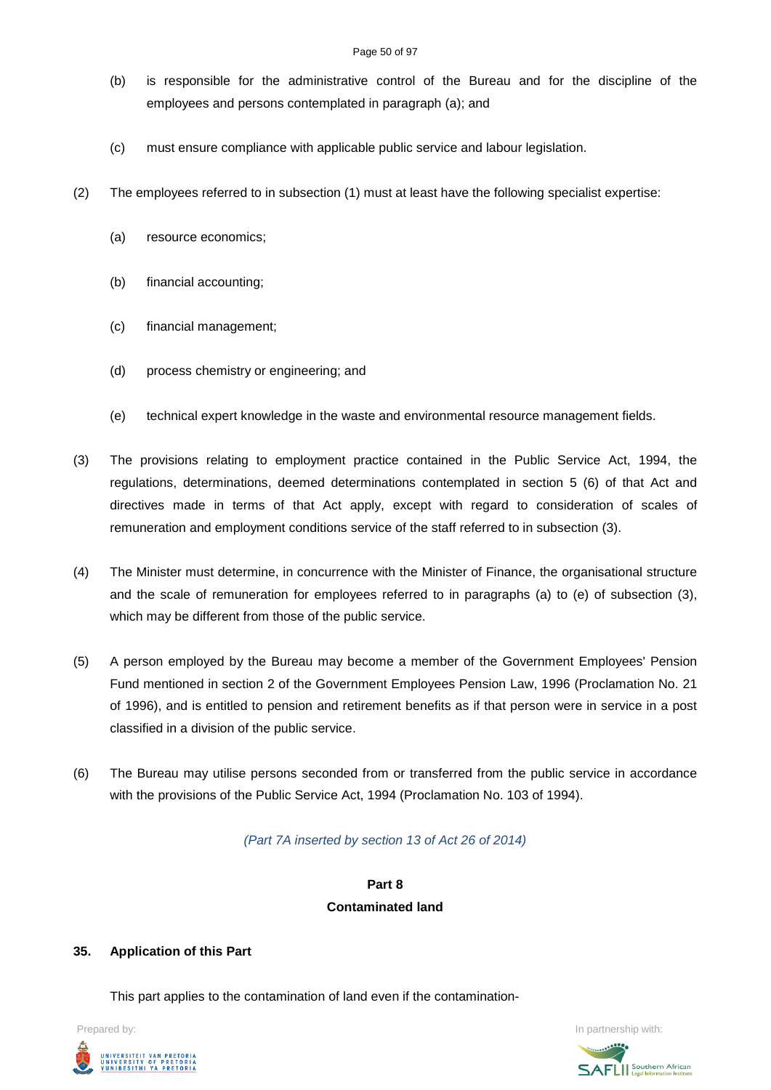### Page 50 of 97

- (b) is responsible for the administrative control of the Bureau and for the discipline of the employees and persons contemplated in paragraph (a); and
- (c) must ensure compliance with applicable public service and labour legislation.
- (2) The employees referred to in subsection (1) must at least have the following specialist expertise:
	- (a) resource economics;
	- (b) financial accounting;
	- (c) financial management;
	- (d) process chemistry or engineering; and
	- (e) technical expert knowledge in the waste and environmental resource management fields.
- (3) The provisions relating to employment practice contained in the Public Service Act, 1994, the regulations, determinations, deemed determinations contemplated in section 5 (6) of that Act and directives made in terms of that Act apply, except with regard to consideration of scales of remuneration and employment conditions service of the staff referred to in subsection (3).
- (4) The Minister must determine, in concurrence with the Minister of Finance, the organisational structure and the scale of remuneration for employees referred to in paragraphs (a) to (e) of subsection (3), which may be different from those of the public service.
- (5) A person employed by the Bureau may become a member of the Government Employees' Pension Fund mentioned in section 2 of the Government Employees Pension Law, 1996 (Proclamation No. 21 of 1996), and is entitled to pension and retirement benefits as if that person were in service in a post classified in a division of the public service.
- (6) The Bureau may utilise persons seconded from or transferred from the public service in accordance with the provisions of the Public Service Act, 1994 (Proclamation No. 103 of 1994).

### *(Part 7A inserted by section 13 of Act 26 of 2014)*

# **Part 8 Contaminated land**

### **35. Application of this Part**

This part applies to the contamination of land even if the contamination-



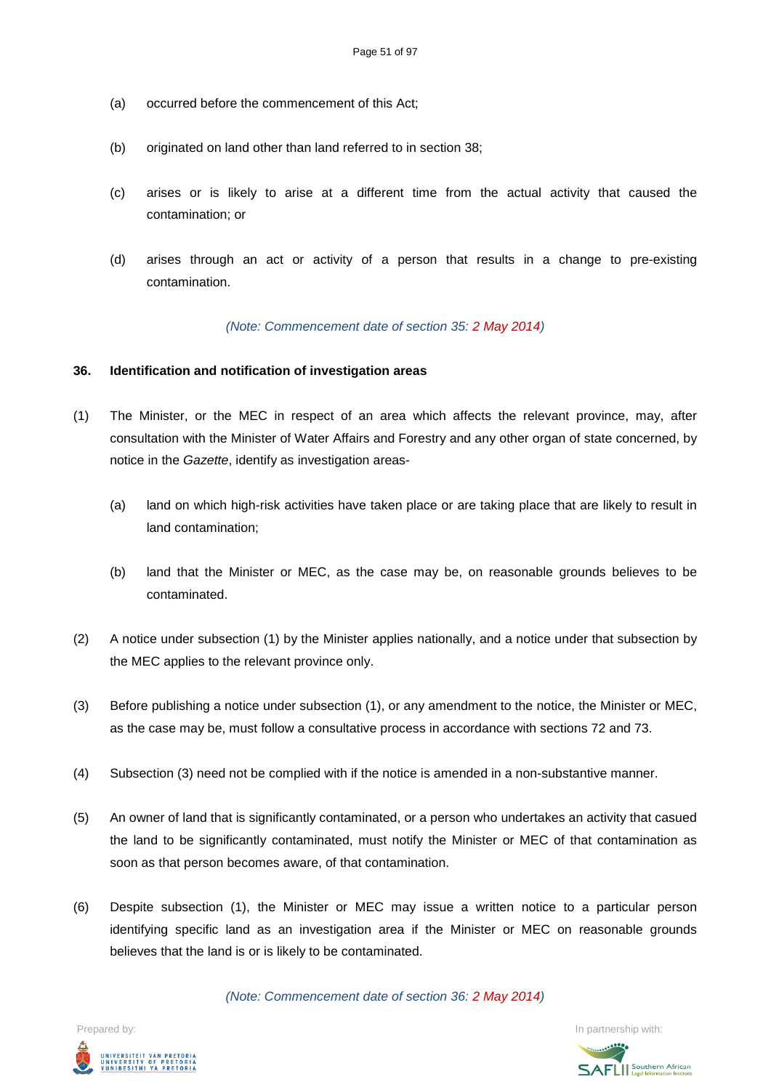- (a) occurred before the commencement of this Act;
- (b) originated on land other than land referred to in section 38;
- (c) arises or is likely to arise at a different time from the actual activity that caused the contamination; or
- (d) arises through an act or activity of a person that results in a change to pre-existing contamination.

*(Note: Commencement date of section 35: 2 May 2014)*

### **36. Identification and notification of investigation areas**

- (1) The Minister, or the MEC in respect of an area which affects the relevant province, may, after consultation with the Minister of Water Affairs and Forestry and any other organ of state concerned, by notice in the *Gazette*, identify as investigation areas-
	- (a) land on which high-risk activities have taken place or are taking place that are likely to result in land contamination;
	- (b) land that the Minister or MEC, as the case may be, on reasonable grounds believes to be contaminated.
- (2) A notice under subsection (1) by the Minister applies nationally, and a notice under that subsection by the MEC applies to the relevant province only.
- (3) Before publishing a notice under subsection (1), or any amendment to the notice, the Minister or MEC, as the case may be, must follow a consultative process in accordance with sections 72 and 73.
- (4) Subsection (3) need not be complied with if the notice is amended in a non-substantive manner.
- (5) An owner of land that is significantly contaminated, or a person who undertakes an activity that casued the land to be significantly contaminated, must notify the Minister or MEC of that contamination as soon as that person becomes aware, of that contamination.
- (6) Despite subsection (1), the Minister or MEC may issue a written notice to a particular person identifying specific land as an investigation area if the Minister or MEC on reasonable grounds believes that the land is or is likely to be contaminated.

*(Note: Commencement date of section 36: 2 May 2014)*



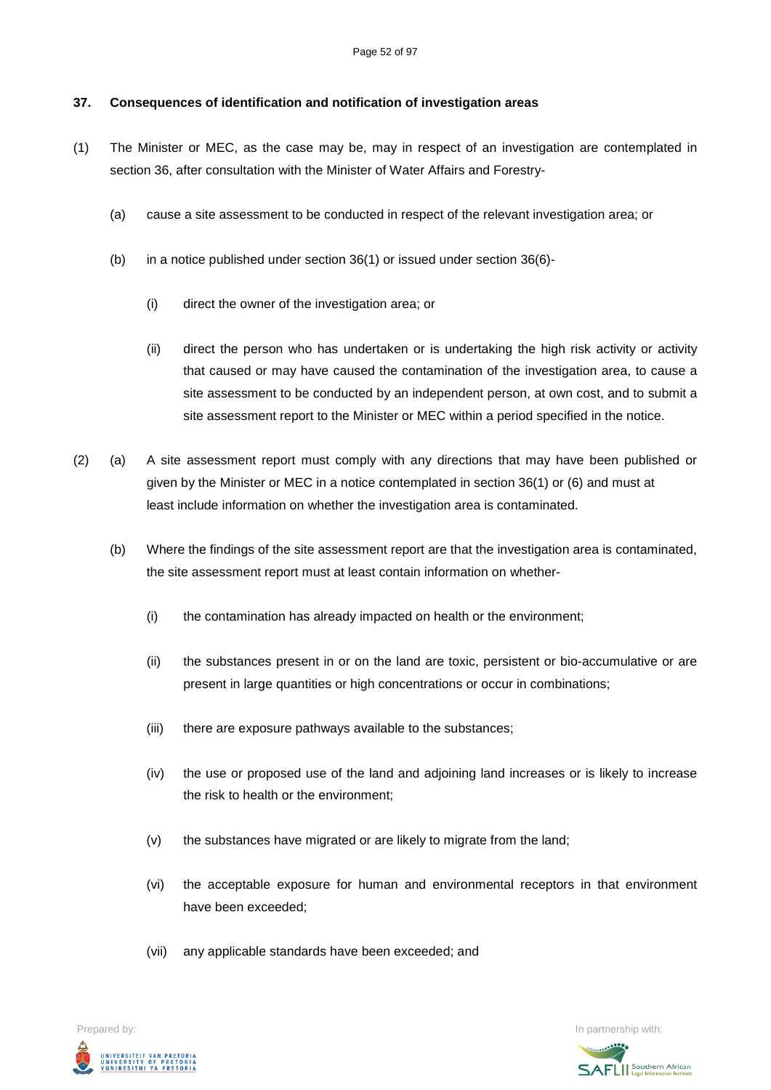### **37. Consequences of identification and notification of investigation areas**

- (1) The Minister or MEC, as the case may be, may in respect of an investigation are contemplated in section 36, after consultation with the Minister of Water Affairs and Forestry-
	- (a) cause a site assessment to be conducted in respect of the relevant investigation area; or
	- (b) in a notice published under section 36(1) or issued under section 36(6)-
		- (i) direct the owner of the investigation area; or
		- (ii) direct the person who has undertaken or is undertaking the high risk activity or activity that caused or may have caused the contamination of the investigation area, to cause a site assessment to be conducted by an independent person, at own cost, and to submit a site assessment report to the Minister or MEC within a period specified in the notice.
- (2) (a) A site assessment report must comply with any directions that may have been published or given by the Minister or MEC in a notice contemplated in section 36(1) or (6) and must at least include information on whether the investigation area is contaminated.
	- (b) Where the findings of the site assessment report are that the investigation area is contaminated, the site assessment report must at least contain information on whether-
		- (i) the contamination has already impacted on health or the environment;
		- (ii) the substances present in or on the land are toxic, persistent or bio-accumulative or are present in large quantities or high concentrations or occur in combinations;
		- (iii) there are exposure pathways available to the substances;
		- (iv) the use or proposed use of the land and adjoining land increases or is likely to increase the risk to health or the environment;
		- (v) the substances have migrated or are likely to migrate from the land;
		- (vi) the acceptable exposure for human and environmental receptors in that environment have been exceeded;
		- (vii) any applicable standards have been exceeded; and

Prepared by: In partnership with:  $\blacksquare$  is the partnership with:  $\blacksquare$  is the partnership with:  $\blacksquare$ INIVERSITEIT VAN PRETORIA<br>JNIVERSITY OF PRETORIA<br>YUNIBESITHI YA PRETORIA

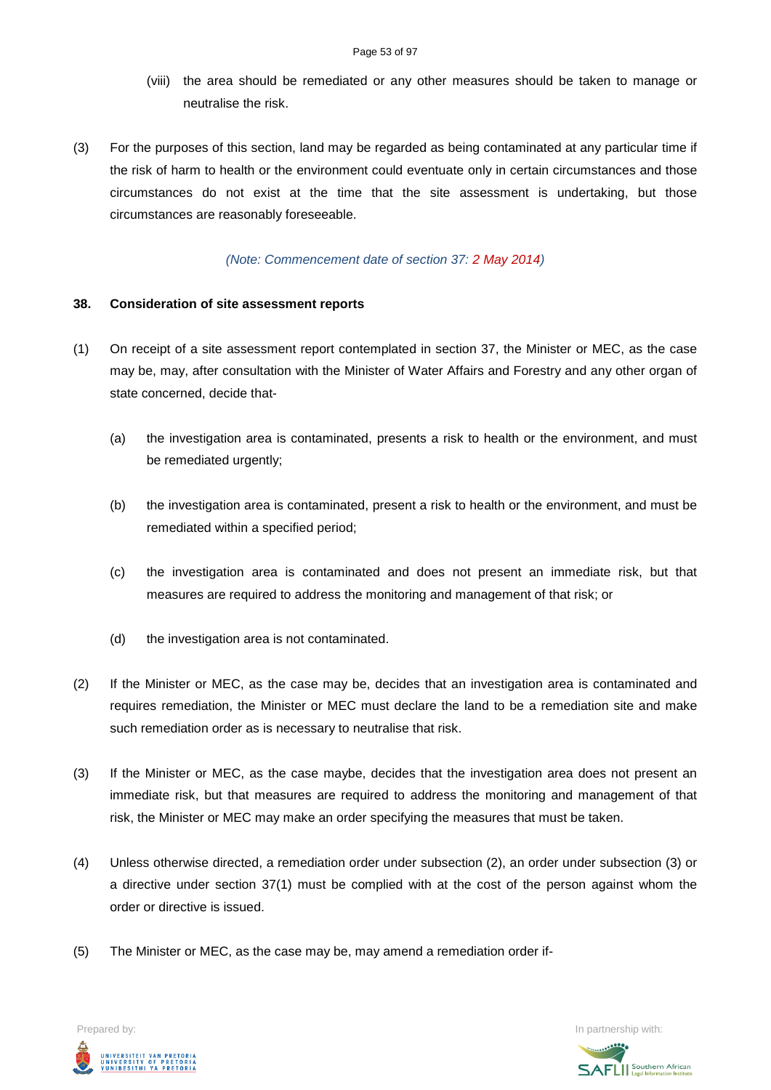- (viii) the area should be remediated or any other measures should be taken to manage or neutralise the risk.
- (3) For the purposes of this section, land may be regarded as being contaminated at any particular time if the risk of harm to health or the environment could eventuate only in certain circumstances and those circumstances do not exist at the time that the site assessment is undertaking, but those circumstances are reasonably foreseeable.

### *(Note: Commencement date of section 37: 2 May 2014)*

### **38. Consideration of site assessment reports**

- (1) On receipt of a site assessment report contemplated in section 37, the Minister or MEC, as the case may be, may, after consultation with the Minister of Water Affairs and Forestry and any other organ of state concerned, decide that-
	- (a) the investigation area is contaminated, presents a risk to health or the environment, and must be remediated urgently;
	- (b) the investigation area is contaminated, present a risk to health or the environment, and must be remediated within a specified period;
	- (c) the investigation area is contaminated and does not present an immediate risk, but that measures are required to address the monitoring and management of that risk; or
	- (d) the investigation area is not contaminated.
- (2) If the Minister or MEC, as the case may be, decides that an investigation area is contaminated and requires remediation, the Minister or MEC must declare the land to be a remediation site and make such remediation order as is necessary to neutralise that risk.
- (3) If the Minister or MEC, as the case maybe, decides that the investigation area does not present an immediate risk, but that measures are required to address the monitoring and management of that risk, the Minister or MEC may make an order specifying the measures that must be taken.
- (4) Unless otherwise directed, a remediation order under subsection (2), an order under subsection (3) or a directive under section 37(1) must be complied with at the cost of the person against whom the order or directive is issued.
- (5) The Minister or MEC, as the case may be, may amend a remediation order if-



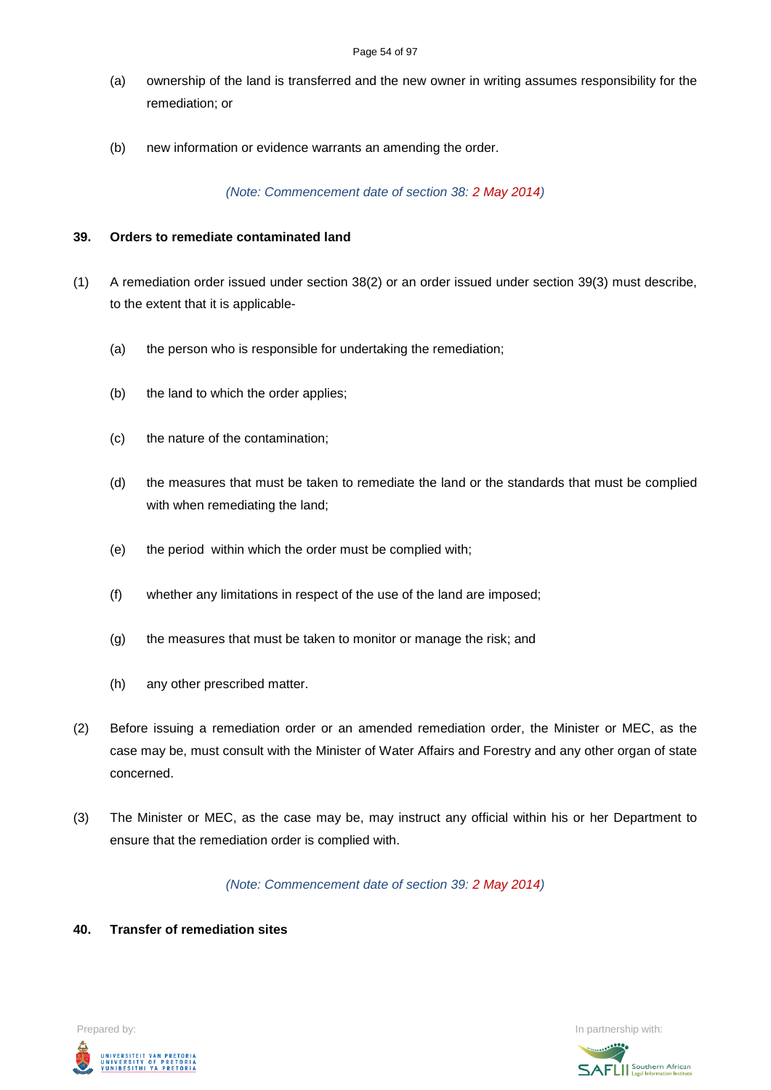- (a) ownership of the land is transferred and the new owner in writing assumes responsibility for the remediation; or
- (b) new information or evidence warrants an amending the order.

### *(Note: Commencement date of section 38: 2 May 2014)*

### **39. Orders to remediate contaminated land**

- (1) A remediation order issued under section 38(2) or an order issued under section 39(3) must describe, to the extent that it is applicable-
	- (a) the person who is responsible for undertaking the remediation;
	- (b) the land to which the order applies;
	- (c) the nature of the contamination;
	- (d) the measures that must be taken to remediate the land or the standards that must be complied with when remediating the land;
	- (e) the period within which the order must be complied with;
	- (f) whether any limitations in respect of the use of the land are imposed;
	- (g) the measures that must be taken to monitor or manage the risk; and
	- (h) any other prescribed matter.
- (2) Before issuing a remediation order or an amended remediation order, the Minister or MEC, as the case may be, must consult with the Minister of Water Affairs and Forestry and any other organ of state concerned.
- (3) The Minister or MEC, as the case may be, may instruct any official within his or her Department to ensure that the remediation order is complied with.

*(Note: Commencement date of section 39: 2 May 2014)*

### **40. Transfer of remediation sites**



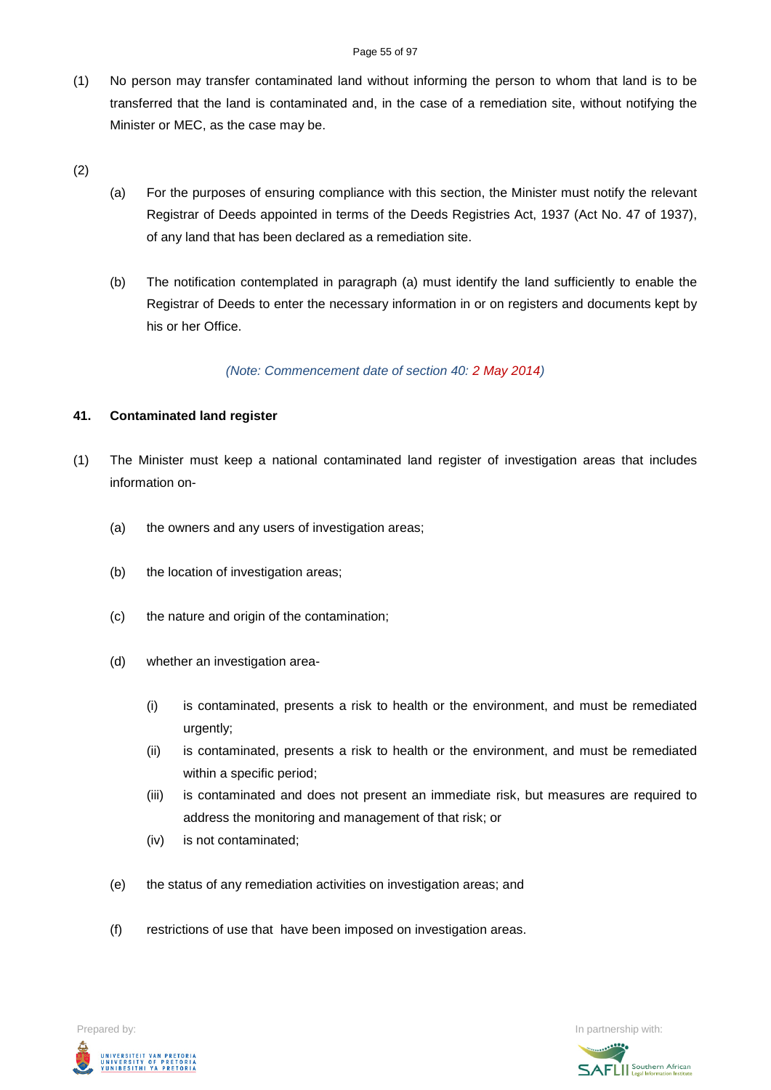### Page 55 of 97

- (1) No person may transfer contaminated land without informing the person to whom that land is to be transferred that the land is contaminated and, in the case of a remediation site, without notifying the Minister or MEC, as the case may be.
- (2)
- (a) For the purposes of ensuring compliance with this section, the Minister must notify the relevant Registrar of Deeds appointed in terms of the Deeds Registries Act, 1937 (Act No. 47 of 1937), of any land that has been declared as a remediation site.
- (b) The notification contemplated in paragraph (a) must identify the land sufficiently to enable the Registrar of Deeds to enter the necessary information in or on registers and documents kept by his or her Office.

*(Note: Commencement date of section 40: 2 May 2014)*

### **41. Contaminated land register**

- (1) The Minister must keep a national contaminated land register of investigation areas that includes information on-
	- (a) the owners and any users of investigation areas;
	- (b) the location of investigation areas;
	- (c) the nature and origin of the contamination;
	- (d) whether an investigation area-
		- (i) is contaminated, presents a risk to health or the environment, and must be remediated urgently;
		- (ii) is contaminated, presents a risk to health or the environment, and must be remediated within a specific period;
		- (iii) is contaminated and does not present an immediate risk, but measures are required to address the monitoring and management of that risk; or
		- (iv) is not contaminated;
	- (e) the status of any remediation activities on investigation areas; and
	- (f) restrictions of use that have been imposed on investigation areas.



Prepared by: **In partnership with:**  $\blacksquare$  Prepared by: **In partnership with:**  $\blacksquare$ 

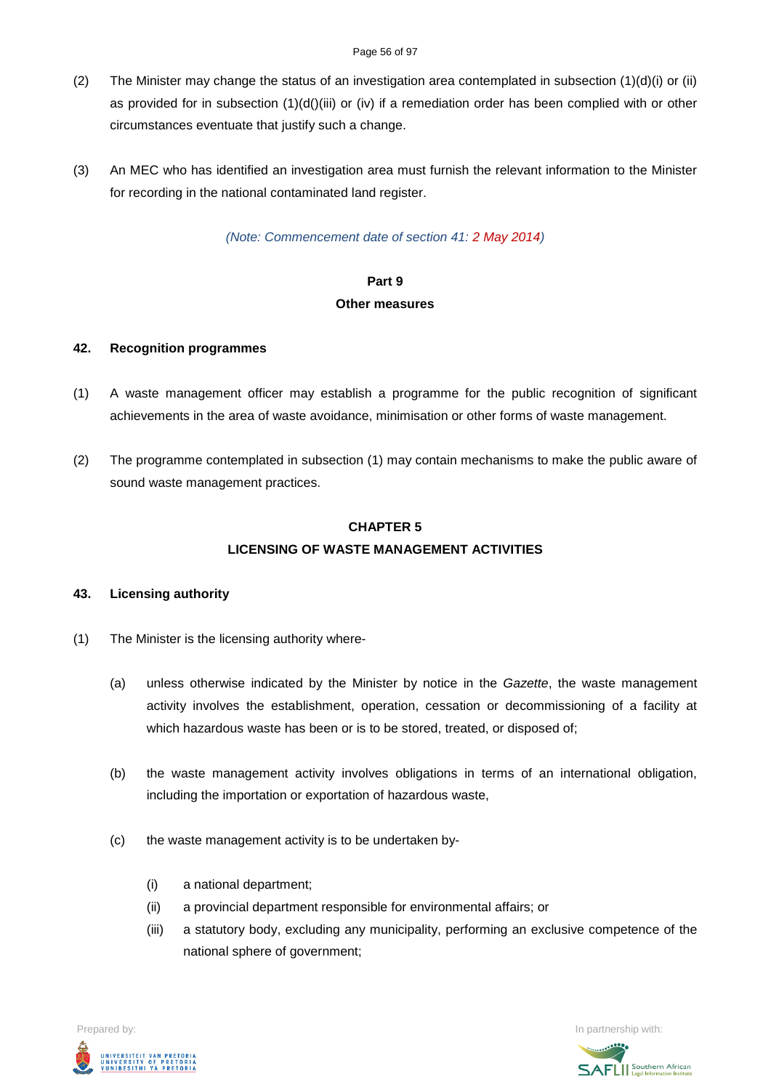### Page 56 of 97

- (2) The Minister may change the status of an investigation area contemplated in subsection  $(1)(d)(i)$  or (ii) as provided for in subsection  $(1)(d)(iii)$  or (iv) if a remediation order has been complied with or other circumstances eventuate that justify such a change.
- (3) An MEC who has identified an investigation area must furnish the relevant information to the Minister for recording in the national contaminated land register.

*(Note: Commencement date of section 41: 2 May 2014)*

# **Part 9**

### **Other measures**

### **42. Recognition programmes**

- (1) A waste management officer may establish a programme for the public recognition of significant achievements in the area of waste avoidance, minimisation or other forms of waste management.
- (2) The programme contemplated in subsection (1) may contain mechanisms to make the public aware of sound waste management practices.

## **CHAPTER 5 LICENSING OF WASTE MANAGEMENT ACTIVITIES**

## **43. Licensing authority**

- (1) The Minister is the licensing authority where-
	- (a) unless otherwise indicated by the Minister by notice in the *Gazette*, the waste management activity involves the establishment, operation, cessation or decommissioning of a facility at which hazardous waste has been or is to be stored, treated, or disposed of;
	- (b) the waste management activity involves obligations in terms of an international obligation, including the importation or exportation of hazardous waste,
	- (c) the waste management activity is to be undertaken by-
		- (i) a national department;
		- (ii) a provincial department responsible for environmental affairs; or
		- (iii) a statutory body, excluding any municipality, performing an exclusive competence of the national sphere of government;



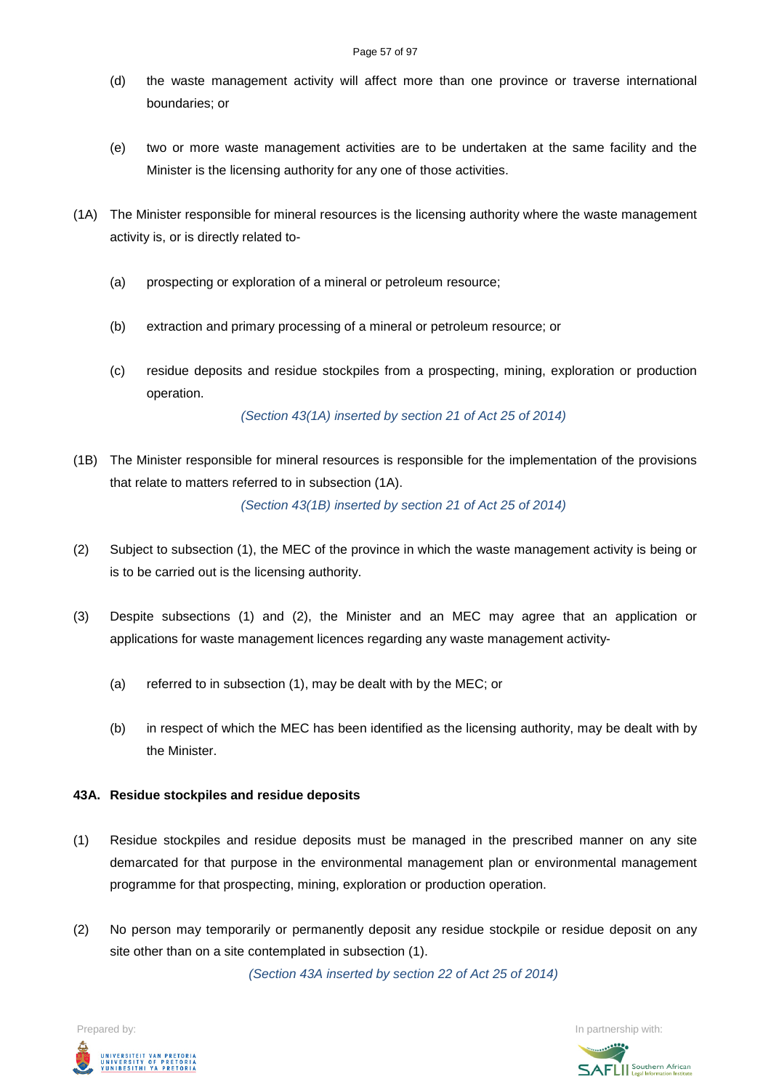- (d) the waste management activity will affect more than one province or traverse international boundaries; or
- (e) two or more waste management activities are to be undertaken at the same facility and the Minister is the licensing authority for any one of those activities.
- (1A) The Minister responsible for mineral resources is the licensing authority where the waste management activity is, or is directly related to-
	- (a) prospecting or exploration of a mineral or petroleum resource;
	- (b) extraction and primary processing of a mineral or petroleum resource; or
	- (c) residue deposits and residue stockpiles from a prospecting, mining, exploration or production operation.

*(Section 43(1A) inserted by section 21 of Act 25 of 2014)*

(1B) The Minister responsible for mineral resources is responsible for the implementation of the provisions that relate to matters referred to in subsection (1A).

*(Section 43(1B) inserted by section 21 of Act 25 of 2014)*

- (2) Subject to subsection (1), the MEC of the province in which the waste management activity is being or is to be carried out is the licensing authority.
- (3) Despite subsections (1) and (2), the Minister and an MEC may agree that an application or applications for waste management licences regarding any waste management activity-
	- (a) referred to in subsection (1), may be dealt with by the MEC; or
	- (b) in respect of which the MEC has been identified as the licensing authority, may be dealt with by the Minister.

### **43A. Residue stockpiles and residue deposits**

- (1) Residue stockpiles and residue deposits must be managed in the prescribed manner on any site demarcated for that purpose in the environmental management plan or environmental management programme for that prospecting, mining, exploration or production operation.
- (2) No person may temporarily or permanently deposit any residue stockpile or residue deposit on any site other than on a site contemplated in subsection (1).

*(Section 43A inserted by section 22 of Act 25 of 2014)*



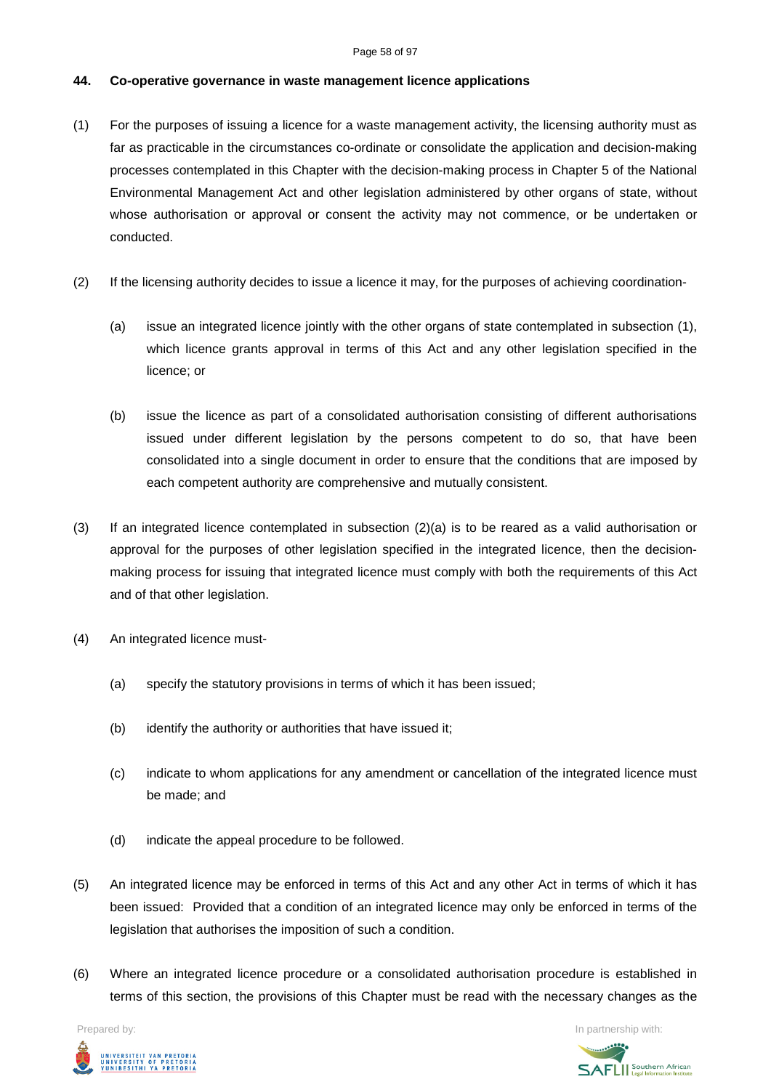### Page 58 of 97

### **44. Co-operative governance in waste management licence applications**

- (1) For the purposes of issuing a licence for a waste management activity, the licensing authority must as far as practicable in the circumstances co-ordinate or consolidate the application and decision-making processes contemplated in this Chapter with the decision-making process in Chapter 5 of the National Environmental Management Act and other legislation administered by other organs of state, without whose authorisation or approval or consent the activity may not commence, or be undertaken or conducted.
- (2) If the licensing authority decides to issue a licence it may, for the purposes of achieving coordination-
	- (a) issue an integrated licence jointly with the other organs of state contemplated in subsection (1), which licence grants approval in terms of this Act and any other legislation specified in the licence; or
	- (b) issue the licence as part of a consolidated authorisation consisting of different authorisations issued under different legislation by the persons competent to do so, that have been consolidated into a single document in order to ensure that the conditions that are imposed by each competent authority are comprehensive and mutually consistent.
- (3) If an integrated licence contemplated in subsection (2)(a) is to be reared as a valid authorisation or approval for the purposes of other legislation specified in the integrated licence, then the decisionmaking process for issuing that integrated licence must comply with both the requirements of this Act and of that other legislation.
- (4) An integrated licence must-
	- (a) specify the statutory provisions in terms of which it has been issued;
	- (b) identify the authority or authorities that have issued it;
	- (c) indicate to whom applications for any amendment or cancellation of the integrated licence must be made; and
	- (d) indicate the appeal procedure to be followed.
- (5) An integrated licence may be enforced in terms of this Act and any other Act in terms of which it has been issued: Provided that a condition of an integrated licence may only be enforced in terms of the legislation that authorises the imposition of such a condition.
- (6) Where an integrated licence procedure or a consolidated authorisation procedure is established in terms of this section, the provisions of this Chapter must be read with the necessary changes as the



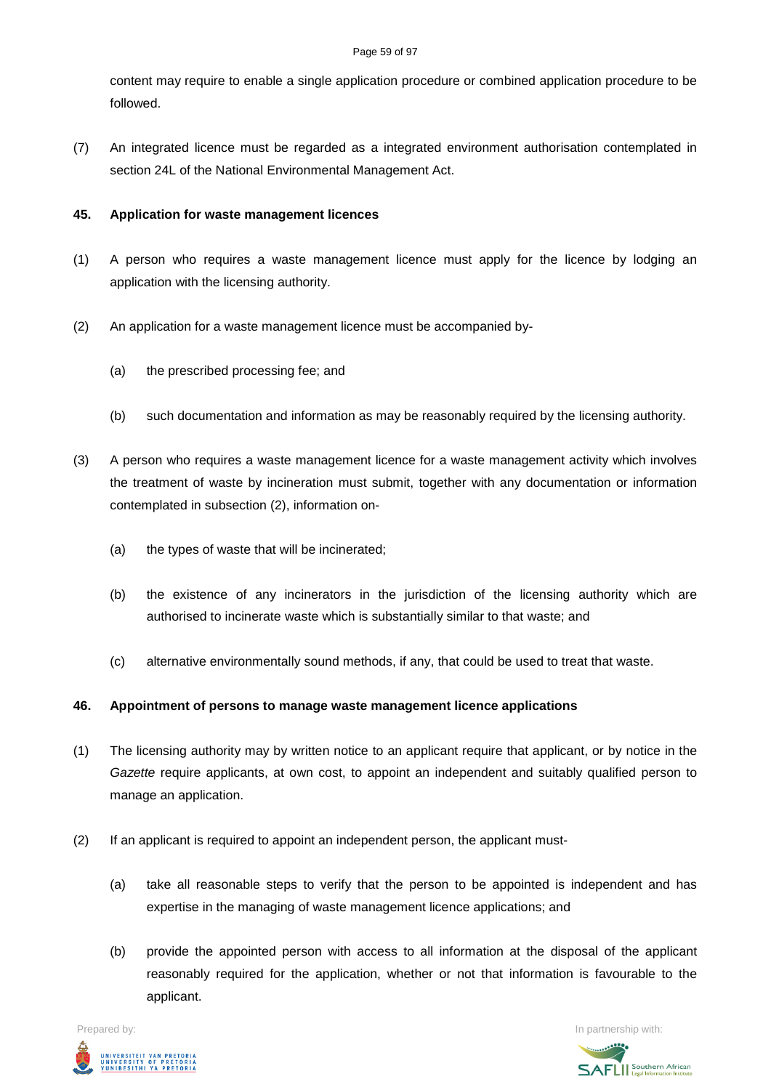### Page 59 of 97

content may require to enable a single application procedure or combined application procedure to be followed.

(7) An integrated licence must be regarded as a integrated environment authorisation contemplated in section 24L of the National Environmental Management Act.

### **45. Application for waste management licences**

- (1) A person who requires a waste management licence must apply for the licence by lodging an application with the licensing authority.
- (2) An application for a waste management licence must be accompanied by-
	- (a) the prescribed processing fee; and
	- (b) such documentation and information as may be reasonably required by the licensing authority.
- (3) A person who requires a waste management licence for a waste management activity which involves the treatment of waste by incineration must submit, together with any documentation or information contemplated in subsection (2), information on-
	- (a) the types of waste that will be incinerated;
	- (b) the existence of any incinerators in the jurisdiction of the licensing authority which are authorised to incinerate waste which is substantially similar to that waste; and
	- (c) alternative environmentally sound methods, if any, that could be used to treat that waste.

### **46. Appointment of persons to manage waste management licence applications**

- (1) The licensing authority may by written notice to an applicant require that applicant, or by notice in the *Gazette* require applicants, at own cost, to appoint an independent and suitably qualified person to manage an application.
- (2) If an applicant is required to appoint an independent person, the applicant must-
	- (a) take all reasonable steps to verify that the person to be appointed is independent and has expertise in the managing of waste management licence applications; and
	- (b) provide the appointed person with access to all information at the disposal of the applicant reasonably required for the application, whether or not that information is favourable to the applicant.



Prepared by: In partnership with:**SAFLI** Southern African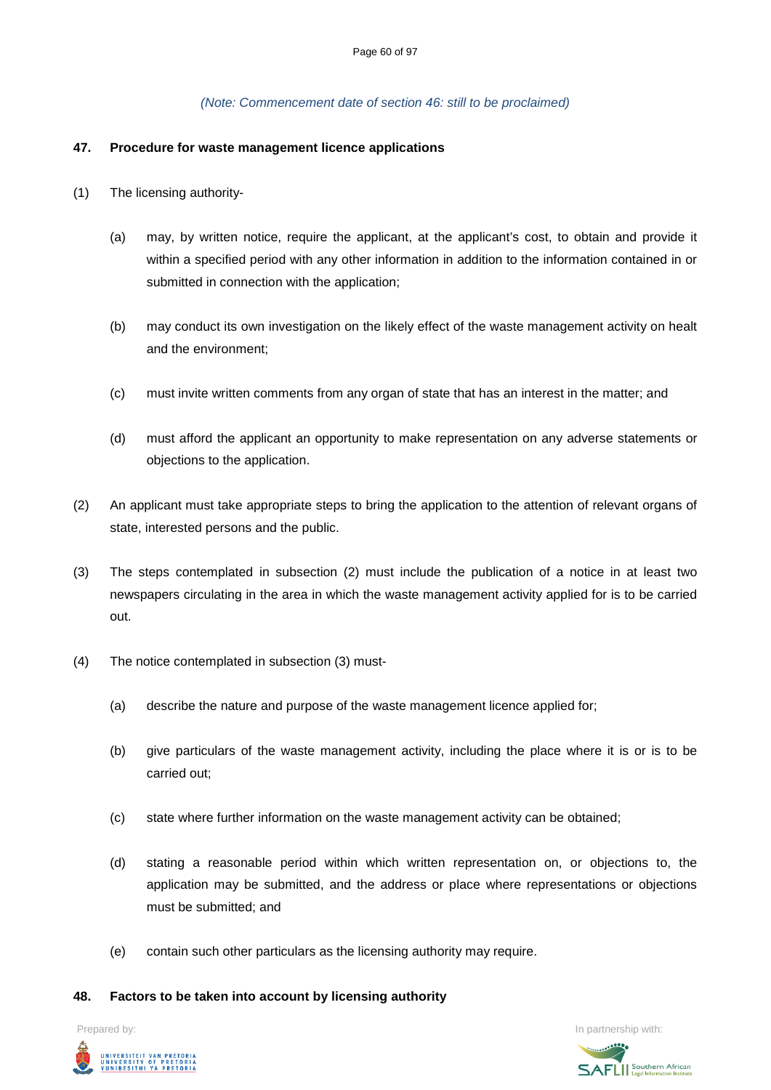### *(Note: Commencement date of section 46: still to be proclaimed)*

### **47. Procedure for waste management licence applications**

- (1) The licensing authority-
	- (a) may, by written notice, require the applicant, at the applicant's cost, to obtain and provide it within a specified period with any other information in addition to the information contained in or submitted in connection with the application;
	- (b) may conduct its own investigation on the likely effect of the waste management activity on healt and the environment;
	- (c) must invite written comments from any organ of state that has an interest in the matter; and
	- (d) must afford the applicant an opportunity to make representation on any adverse statements or objections to the application.
- (2) An applicant must take appropriate steps to bring the application to the attention of relevant organs of state, interested persons and the public.
- (3) The steps contemplated in subsection (2) must include the publication of a notice in at least two newspapers circulating in the area in which the waste management activity applied for is to be carried out.
- (4) The notice contemplated in subsection (3) must-
	- (a) describe the nature and purpose of the waste management licence applied for;
	- (b) give particulars of the waste management activity, including the place where it is or is to be carried out;
	- (c) state where further information on the waste management activity can be obtained;
	- (d) stating a reasonable period within which written representation on, or objections to, the application may be submitted, and the address or place where representations or objections must be submitted; and
	- (e) contain such other particulars as the licensing authority may require.

### **48. Factors to be taken into account by licensing authority**

Prepared by: In partnership with:



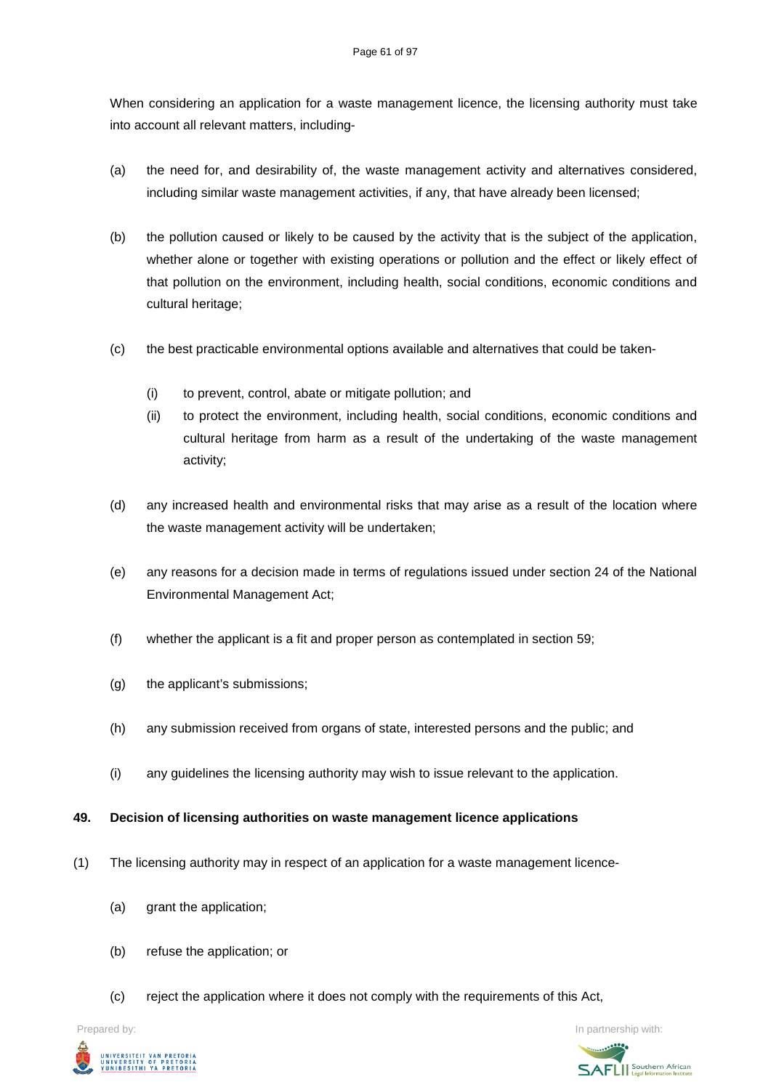When considering an application for a waste management licence, the licensing authority must take into account all relevant matters, including-

- (a) the need for, and desirability of, the waste management activity and alternatives considered, including similar waste management activities, if any, that have already been licensed;
- (b) the pollution caused or likely to be caused by the activity that is the subject of the application, whether alone or together with existing operations or pollution and the effect or likely effect of that pollution on the environment, including health, social conditions, economic conditions and cultural heritage;
- (c) the best practicable environmental options available and alternatives that could be taken-
	- (i) to prevent, control, abate or mitigate pollution; and
	- (ii) to protect the environment, including health, social conditions, economic conditions and cultural heritage from harm as a result of the undertaking of the waste management activity;
- (d) any increased health and environmental risks that may arise as a result of the location where the waste management activity will be undertaken;
- (e) any reasons for a decision made in terms of regulations issued under section 24 of the National Environmental Management Act;
- (f) whether the applicant is a fit and proper person as contemplated in section 59;
- (g) the applicant's submissions;
- (h) any submission received from organs of state, interested persons and the public; and
- (i) any guidelines the licensing authority may wish to issue relevant to the application.

### **49. Decision of licensing authorities on waste management licence applications**

- (1) The licensing authority may in respect of an application for a waste management licence-
	- (a) grant the application;
	- (b) refuse the application; or
	- (c) reject the application where it does not comply with the requirements of this Act,



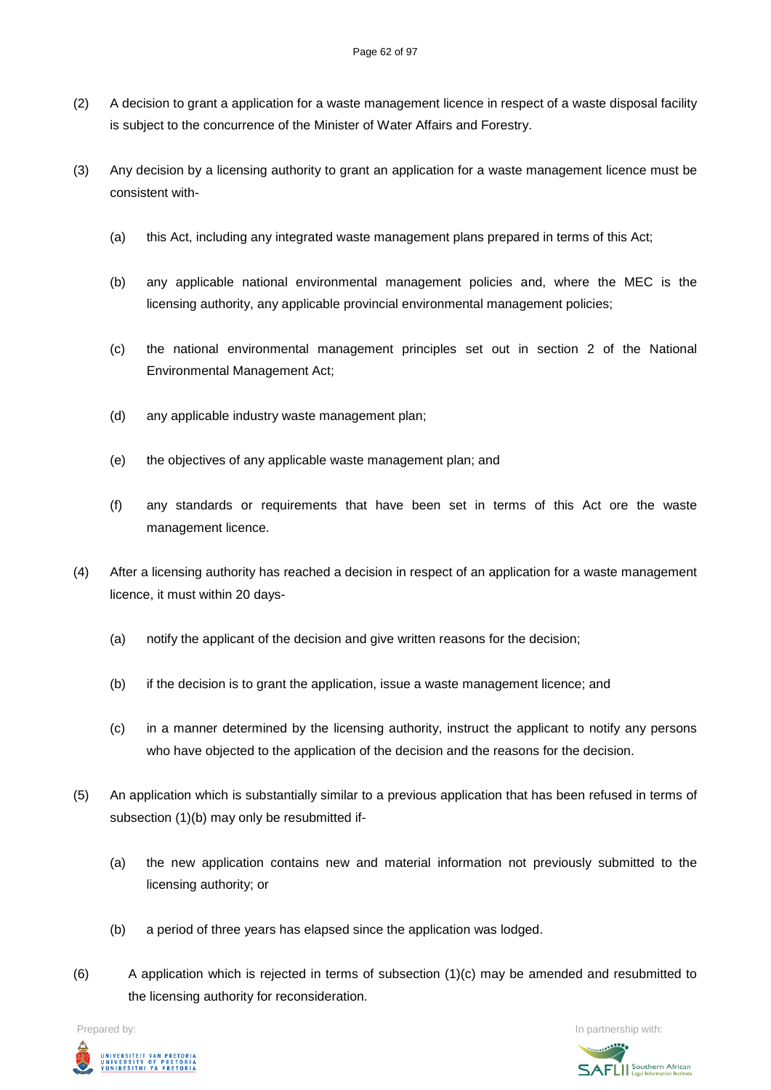- (2) A decision to grant a application for a waste management licence in respect of a waste disposal facility is subject to the concurrence of the Minister of Water Affairs and Forestry.
- (3) Any decision by a licensing authority to grant an application for a waste management licence must be consistent with-
	- (a) this Act, including any integrated waste management plans prepared in terms of this Act;
	- (b) any applicable national environmental management policies and, where the MEC is the licensing authority, any applicable provincial environmental management policies;
	- (c) the national environmental management principles set out in section 2 of the National Environmental Management Act;
	- (d) any applicable industry waste management plan;
	- (e) the objectives of any applicable waste management plan; and
	- (f) any standards or requirements that have been set in terms of this Act ore the waste management licence.
- (4) After a licensing authority has reached a decision in respect of an application for a waste management licence, it must within 20 days-
	- (a) notify the applicant of the decision and give written reasons for the decision;
	- (b) if the decision is to grant the application, issue a waste management licence; and
	- (c) in a manner determined by the licensing authority, instruct the applicant to notify any persons who have objected to the application of the decision and the reasons for the decision.
- (5) An application which is substantially similar to a previous application that has been refused in terms of subsection (1)(b) may only be resubmitted if-
	- (a) the new application contains new and material information not previously submitted to the licensing authority; or
	- (b) a period of three years has elapsed since the application was lodged.
- $(6)$  A application which is rejected in terms of subsection  $(1)(c)$  may be amended and resubmitted to the licensing authority for reconsideration.



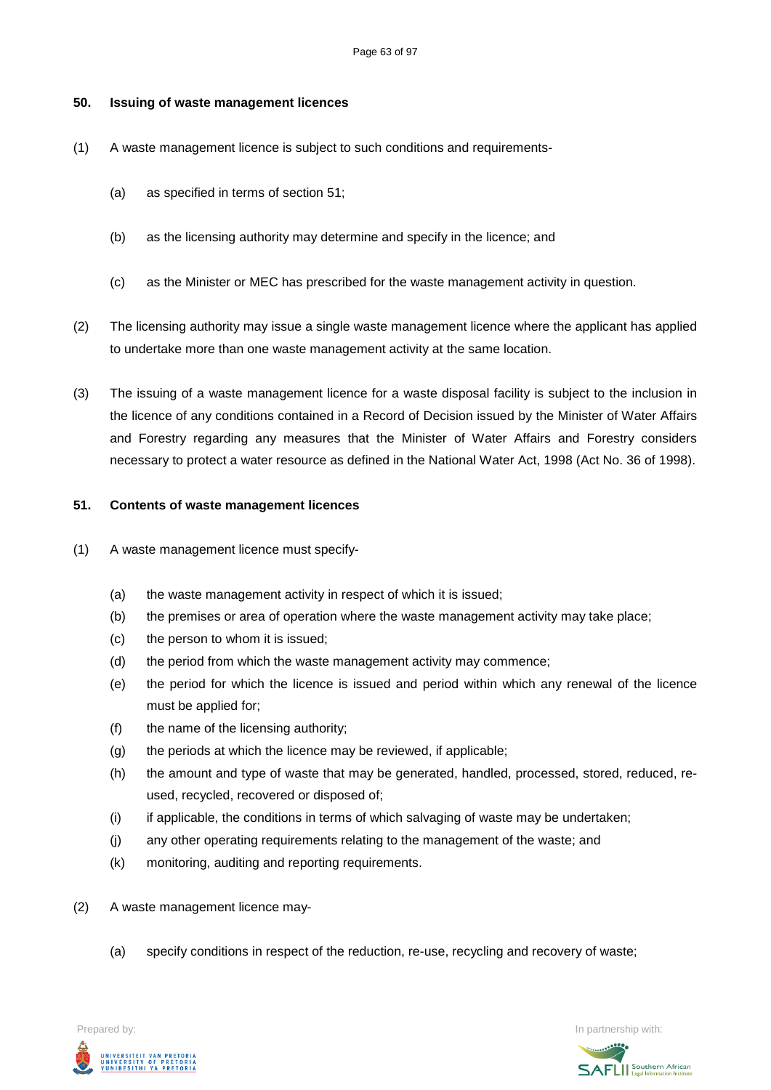### **50. Issuing of waste management licences**

- (1) A waste management licence is subject to such conditions and requirements-
	- (a) as specified in terms of section 51;
	- (b) as the licensing authority may determine and specify in the licence; and
	- (c) as the Minister or MEC has prescribed for the waste management activity in question.
- (2) The licensing authority may issue a single waste management licence where the applicant has applied to undertake more than one waste management activity at the same location.
- (3) The issuing of a waste management licence for a waste disposal facility is subject to the inclusion in the licence of any conditions contained in a Record of Decision issued by the Minister of Water Affairs and Forestry regarding any measures that the Minister of Water Affairs and Forestry considers necessary to protect a water resource as defined in the National Water Act, 1998 (Act No. 36 of 1998).

### **51. Contents of waste management licences**

- (1) A waste management licence must specify-
	- (a) the waste management activity in respect of which it is issued;
	- (b) the premises or area of operation where the waste management activity may take place;
	- (c) the person to whom it is issued;
	- (d) the period from which the waste management activity may commence;
	- (e) the period for which the licence is issued and period within which any renewal of the licence must be applied for;
	- (f) the name of the licensing authority;
	- (g) the periods at which the licence may be reviewed, if applicable;
	- (h) the amount and type of waste that may be generated, handled, processed, stored, reduced, reused, recycled, recovered or disposed of;
	- (i) if applicable, the conditions in terms of which salvaging of waste may be undertaken;
	- (j) any other operating requirements relating to the management of the waste; and
	- (k) monitoring, auditing and reporting requirements.
- (2) A waste management licence may-
	- (a) specify conditions in respect of the reduction, re-use, recycling and recovery of waste;



Prepared by: In partnership with:  $\blacksquare$  is the partnership with:  $\blacksquare$  is the partnership with:  $\blacksquare$ 

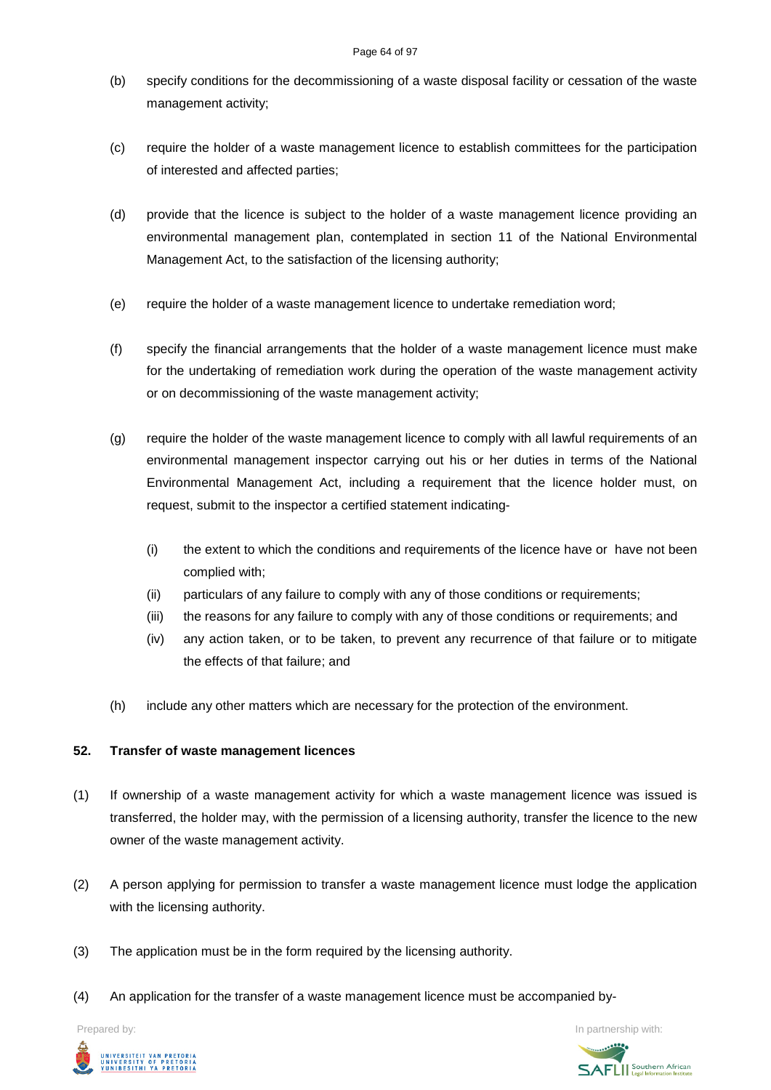### Page 64 of 97

- (b) specify conditions for the decommissioning of a waste disposal facility or cessation of the waste management activity;
- (c) require the holder of a waste management licence to establish committees for the participation of interested and affected parties;
- (d) provide that the licence is subject to the holder of a waste management licence providing an environmental management plan, contemplated in section 11 of the National Environmental Management Act, to the satisfaction of the licensing authority;
- (e) require the holder of a waste management licence to undertake remediation word;
- (f) specify the financial arrangements that the holder of a waste management licence must make for the undertaking of remediation work during the operation of the waste management activity or on decommissioning of the waste management activity;
- (g) require the holder of the waste management licence to comply with all lawful requirements of an environmental management inspector carrying out his or her duties in terms of the National Environmental Management Act, including a requirement that the licence holder must, on request, submit to the inspector a certified statement indicating-
	- (i) the extent to which the conditions and requirements of the licence have or have not been complied with;
	- (ii) particulars of any failure to comply with any of those conditions or requirements;
	- (iii) the reasons for any failure to comply with any of those conditions or requirements; and
	- (iv) any action taken, or to be taken, to prevent any recurrence of that failure or to mitigate the effects of that failure; and
- (h) include any other matters which are necessary for the protection of the environment.

## **52. Transfer of waste management licences**

- (1) If ownership of a waste management activity for which a waste management licence was issued is transferred, the holder may, with the permission of a licensing authority, transfer the licence to the new owner of the waste management activity.
- (2) A person applying for permission to transfer a waste management licence must lodge the application with the licensing authority.
- (3) The application must be in the form required by the licensing authority.
- (4) An application for the transfer of a waste management licence must be accompanied by-



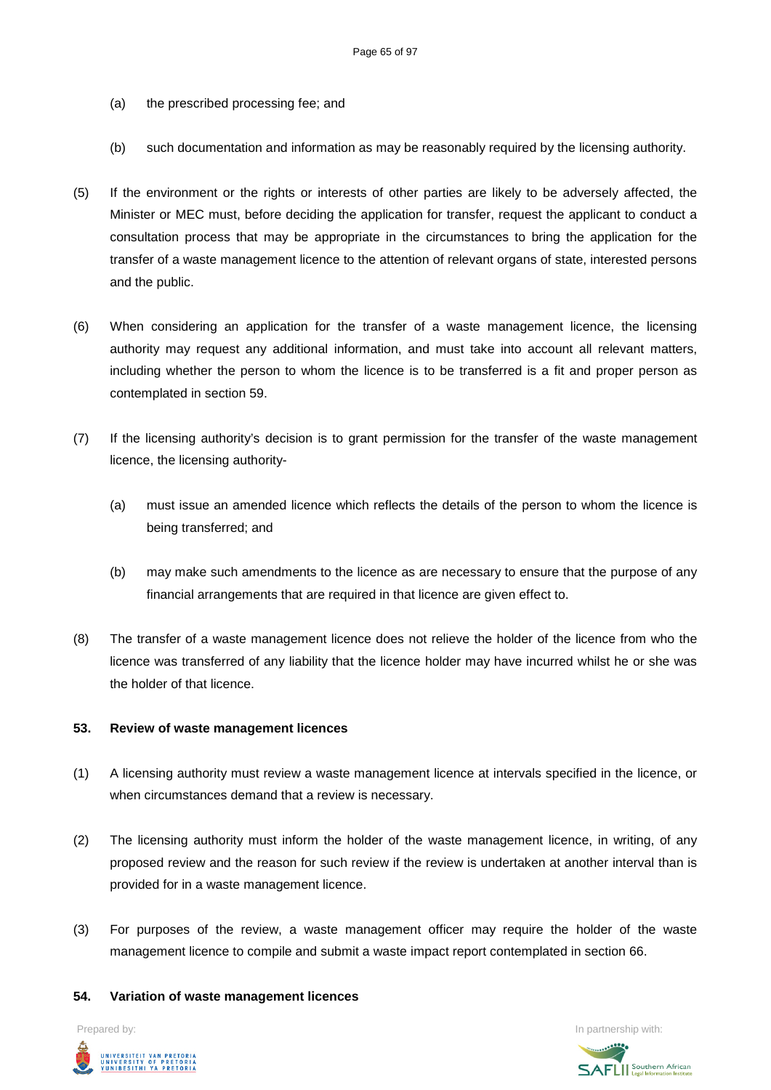- (a) the prescribed processing fee; and
- (b) such documentation and information as may be reasonably required by the licensing authority.
- (5) If the environment or the rights or interests of other parties are likely to be adversely affected, the Minister or MEC must, before deciding the application for transfer, request the applicant to conduct a consultation process that may be appropriate in the circumstances to bring the application for the transfer of a waste management licence to the attention of relevant organs of state, interested persons and the public.
- (6) When considering an application for the transfer of a waste management licence, the licensing authority may request any additional information, and must take into account all relevant matters, including whether the person to whom the licence is to be transferred is a fit and proper person as contemplated in section 59.
- (7) If the licensing authority's decision is to grant permission for the transfer of the waste management licence, the licensing authority-
	- (a) must issue an amended licence which reflects the details of the person to whom the licence is being transferred; and
	- (b) may make such amendments to the licence as are necessary to ensure that the purpose of any financial arrangements that are required in that licence are given effect to.
- (8) The transfer of a waste management licence does not relieve the holder of the licence from who the licence was transferred of any liability that the licence holder may have incurred whilst he or she was the holder of that licence.

### **53. Review of waste management licences**

- (1) A licensing authority must review a waste management licence at intervals specified in the licence, or when circumstances demand that a review is necessary.
- (2) The licensing authority must inform the holder of the waste management licence, in writing, of any proposed review and the reason for such review if the review is undertaken at another interval than is provided for in a waste management licence.
- (3) For purposes of the review, a waste management officer may require the holder of the waste management licence to compile and submit a waste impact report contemplated in section 66.

### **54. Variation of waste management licences**



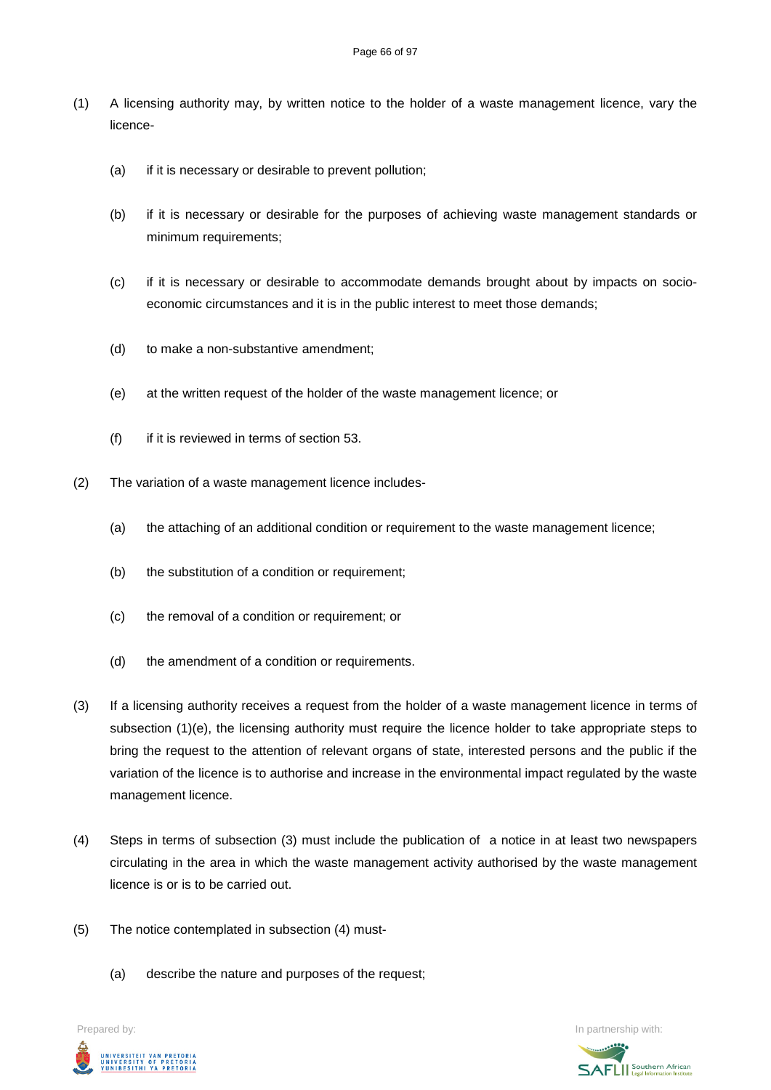- (1) A licensing authority may, by written notice to the holder of a waste management licence, vary the licence-
	- (a) if it is necessary or desirable to prevent pollution;
	- (b) if it is necessary or desirable for the purposes of achieving waste management standards or minimum requirements;
	- (c) if it is necessary or desirable to accommodate demands brought about by impacts on socioeconomic circumstances and it is in the public interest to meet those demands;
	- (d) to make a non-substantive amendment;
	- (e) at the written request of the holder of the waste management licence; or
	- (f) if it is reviewed in terms of section 53.
- (2) The variation of a waste management licence includes-
	- (a) the attaching of an additional condition or requirement to the waste management licence;
	- (b) the substitution of a condition or requirement;
	- (c) the removal of a condition or requirement; or
	- (d) the amendment of a condition or requirements.
- (3) If a licensing authority receives a request from the holder of a waste management licence in terms of subsection (1)(e), the licensing authority must require the licence holder to take appropriate steps to bring the request to the attention of relevant organs of state, interested persons and the public if the variation of the licence is to authorise and increase in the environmental impact regulated by the waste management licence.
- (4) Steps in terms of subsection (3) must include the publication of a notice in at least two newspapers circulating in the area in which the waste management activity authorised by the waste management licence is or is to be carried out.
- (5) The notice contemplated in subsection (4) must-
	- (a) describe the nature and purposes of the request;

Prepared by: In partnership with:UNIVERSITEIT VAN PRETORIA<br>UNIVERSITY OF PRETORIA<br>YUNIBESITHI YA PRETORIA

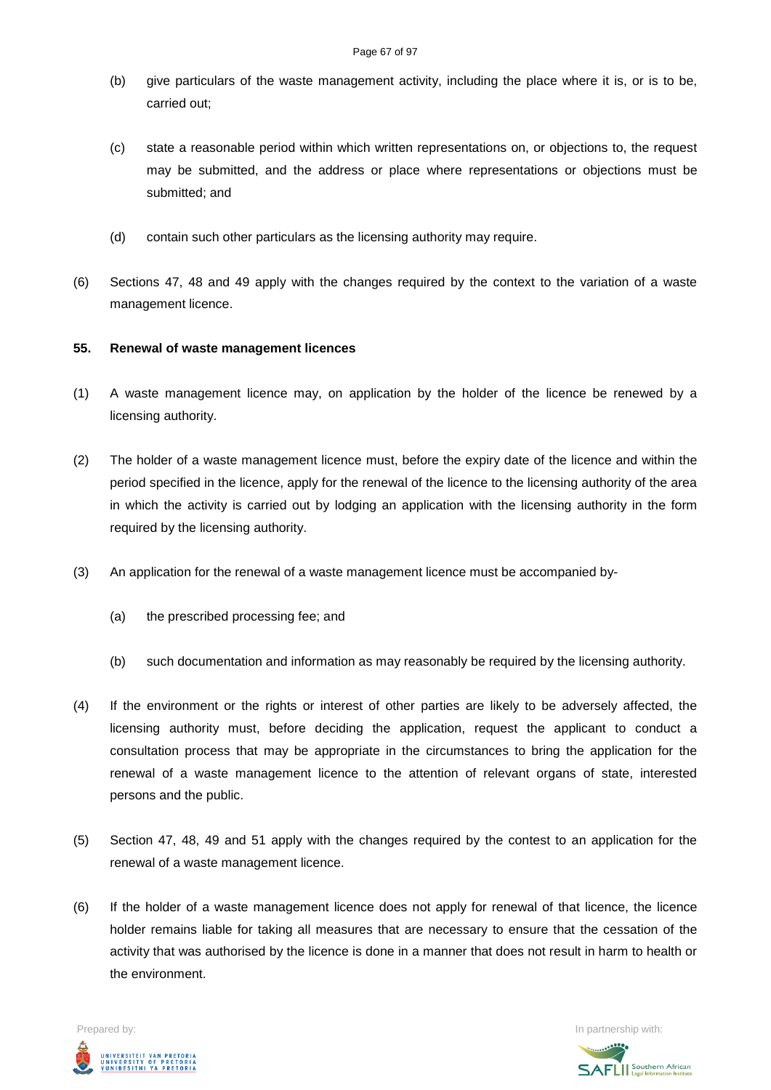- (b) give particulars of the waste management activity, including the place where it is, or is to be, carried out;
- (c) state a reasonable period within which written representations on, or objections to, the request may be submitted, and the address or place where representations or objections must be submitted; and
- (d) contain such other particulars as the licensing authority may require.
- (6) Sections 47, 48 and 49 apply with the changes required by the context to the variation of a waste management licence.

### **55. Renewal of waste management licences**

- (1) A waste management licence may, on application by the holder of the licence be renewed by a licensing authority.
- (2) The holder of a waste management licence must, before the expiry date of the licence and within the period specified in the licence, apply for the renewal of the licence to the licensing authority of the area in which the activity is carried out by lodging an application with the licensing authority in the form required by the licensing authority.
- (3) An application for the renewal of a waste management licence must be accompanied by-
	- (a) the prescribed processing fee; and
	- (b) such documentation and information as may reasonably be required by the licensing authority.
- (4) If the environment or the rights or interest of other parties are likely to be adversely affected, the licensing authority must, before deciding the application, request the applicant to conduct a consultation process that may be appropriate in the circumstances to bring the application for the renewal of a waste management licence to the attention of relevant organs of state, interested persons and the public.
- (5) Section 47, 48, 49 and 51 apply with the changes required by the contest to an application for the renewal of a waste management licence.
- (6) If the holder of a waste management licence does not apply for renewal of that licence, the licence holder remains liable for taking all measures that are necessary to ensure that the cessation of the activity that was authorised by the licence is done in a manner that does not result in harm to health or the environment.

Prepared by: In partnership with:  $\blacksquare$  is the partnership with:  $\blacksquare$  is the partnership with:  $\blacksquare$ UNIVERSITEIT VAN PRETORIA<br>UNIVERSITY OF PRETORIA<br>YUNIBESITHI YA PRETORIA

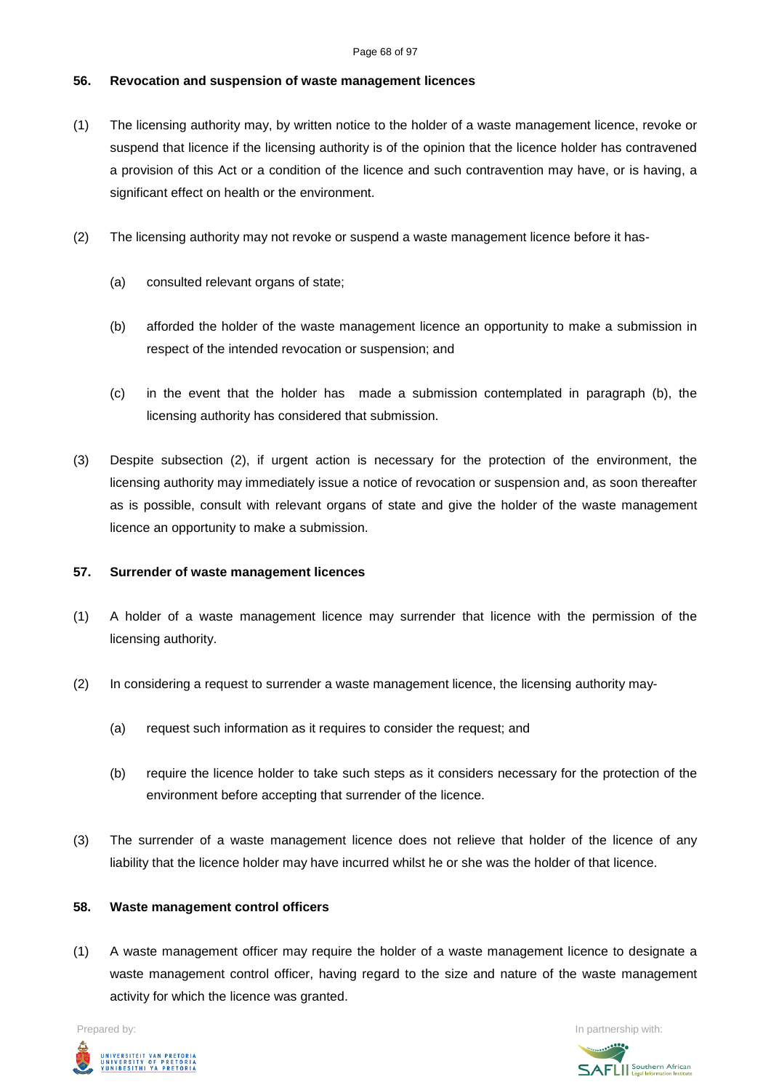### Page 68 of 97

### **56. Revocation and suspension of waste management licences**

- (1) The licensing authority may, by written notice to the holder of a waste management licence, revoke or suspend that licence if the licensing authority is of the opinion that the licence holder has contravened a provision of this Act or a condition of the licence and such contravention may have, or is having, a significant effect on health or the environment.
- (2) The licensing authority may not revoke or suspend a waste management licence before it has-
	- (a) consulted relevant organs of state;
	- (b) afforded the holder of the waste management licence an opportunity to make a submission in respect of the intended revocation or suspension; and
	- (c) in the event that the holder has made a submission contemplated in paragraph (b), the licensing authority has considered that submission.
- (3) Despite subsection (2), if urgent action is necessary for the protection of the environment, the licensing authority may immediately issue a notice of revocation or suspension and, as soon thereafter as is possible, consult with relevant organs of state and give the holder of the waste management licence an opportunity to make a submission.

### **57. Surrender of waste management licences**

- (1) A holder of a waste management licence may surrender that licence with the permission of the licensing authority.
- (2) In considering a request to surrender a waste management licence, the licensing authority may-
	- (a) request such information as it requires to consider the request; and
	- (b) require the licence holder to take such steps as it considers necessary for the protection of the environment before accepting that surrender of the licence.
- (3) The surrender of a waste management licence does not relieve that holder of the licence of any liability that the licence holder may have incurred whilst he or she was the holder of that licence.

### **58. Waste management control officers**

(1) A waste management officer may require the holder of a waste management licence to designate a waste management control officer, having regard to the size and nature of the waste management activity for which the licence was granted.



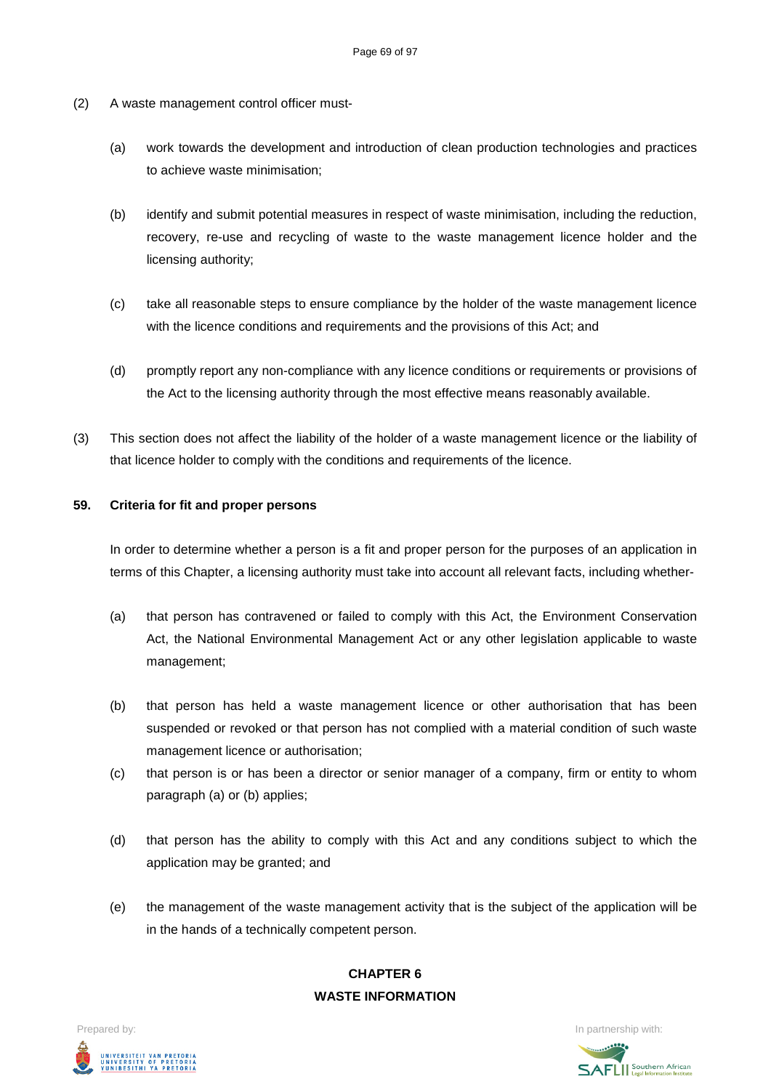- (2) A waste management control officer must-
	- (a) work towards the development and introduction of clean production technologies and practices to achieve waste minimisation;
	- (b) identify and submit potential measures in respect of waste minimisation, including the reduction, recovery, re-use and recycling of waste to the waste management licence holder and the licensing authority;
	- (c) take all reasonable steps to ensure compliance by the holder of the waste management licence with the licence conditions and requirements and the provisions of this Act; and
	- (d) promptly report any non-compliance with any licence conditions or requirements or provisions of the Act to the licensing authority through the most effective means reasonably available.
- (3) This section does not affect the liability of the holder of a waste management licence or the liability of that licence holder to comply with the conditions and requirements of the licence.

### **59. Criteria for fit and proper persons**

In order to determine whether a person is a fit and proper person for the purposes of an application in terms of this Chapter, a licensing authority must take into account all relevant facts, including whether-

- (a) that person has contravened or failed to comply with this Act, the Environment Conservation Act, the National Environmental Management Act or any other legislation applicable to waste management;
- (b) that person has held a waste management licence or other authorisation that has been suspended or revoked or that person has not complied with a material condition of such waste management licence or authorisation;
- (c) that person is or has been a director or senior manager of a company, firm or entity to whom paragraph (a) or (b) applies;
- (d) that person has the ability to comply with this Act and any conditions subject to which the application may be granted; and
- (e) the management of the waste management activity that is the subject of the application will be in the hands of a technically competent person.

# **CHAPTER 6 WASTE INFORMATION**

Prepared by: In partnership with:  $\blacksquare$  is the partnership with:  $\blacksquare$  is the partnership with:  $\blacksquare$ UNIVERSITEIT VAN PRETORIA<br>UNIVERSITY OF PRETORIA<br>YUNIBESITHI YA PRETORIA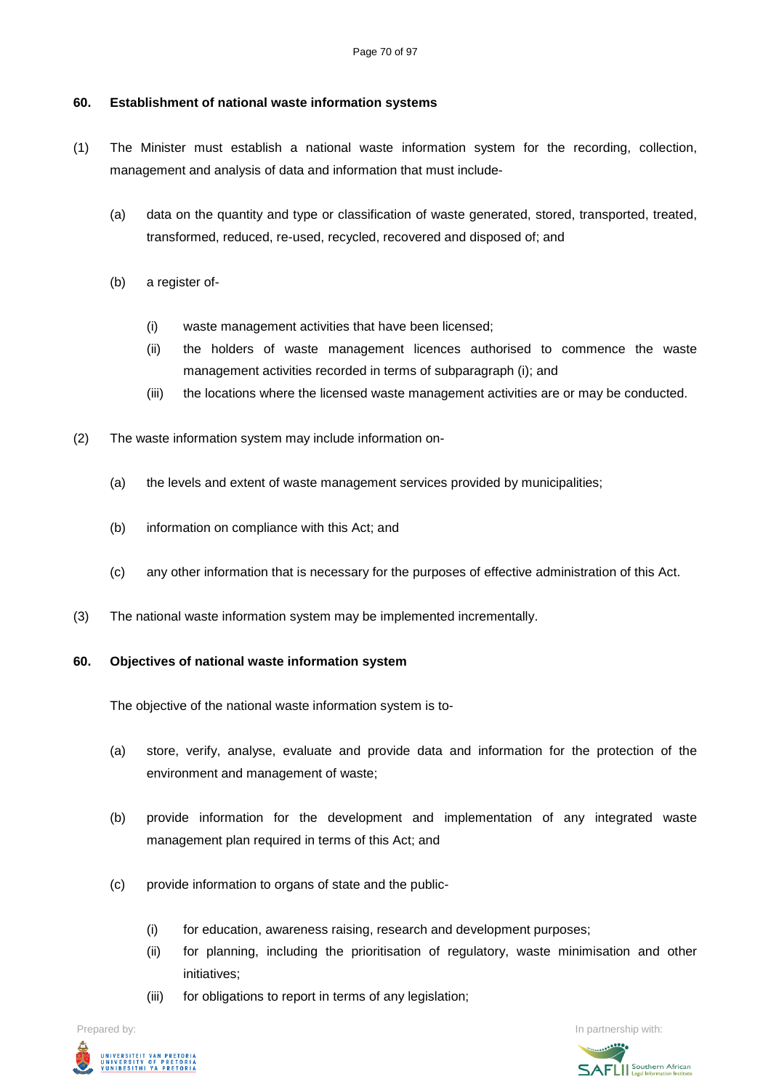### **60. Establishment of national waste information systems**

- (1) The Minister must establish a national waste information system for the recording, collection, management and analysis of data and information that must include-
	- (a) data on the quantity and type or classification of waste generated, stored, transported, treated, transformed, reduced, re-used, recycled, recovered and disposed of; and
	- (b) a register of-
		- (i) waste management activities that have been licensed;
		- (ii) the holders of waste management licences authorised to commence the waste management activities recorded in terms of subparagraph (i); and
		- (iii) the locations where the licensed waste management activities are or may be conducted.
- (2) The waste information system may include information on-
	- (a) the levels and extent of waste management services provided by municipalities;
	- (b) information on compliance with this Act; and
	- (c) any other information that is necessary for the purposes of effective administration of this Act.
- (3) The national waste information system may be implemented incrementally.

### **60. Objectives of national waste information system**

The objective of the national waste information system is to-

- (a) store, verify, analyse, evaluate and provide data and information for the protection of the environment and management of waste;
- (b) provide information for the development and implementation of any integrated waste management plan required in terms of this Act; and
- (c) provide information to organs of state and the public-
	- (i) for education, awareness raising, research and development purposes;
	- (ii) for planning, including the prioritisation of regulatory, waste minimisation and other initiatives;
	- (iii) for obligations to report in terms of any legislation;

Prepared by: In partnership with:



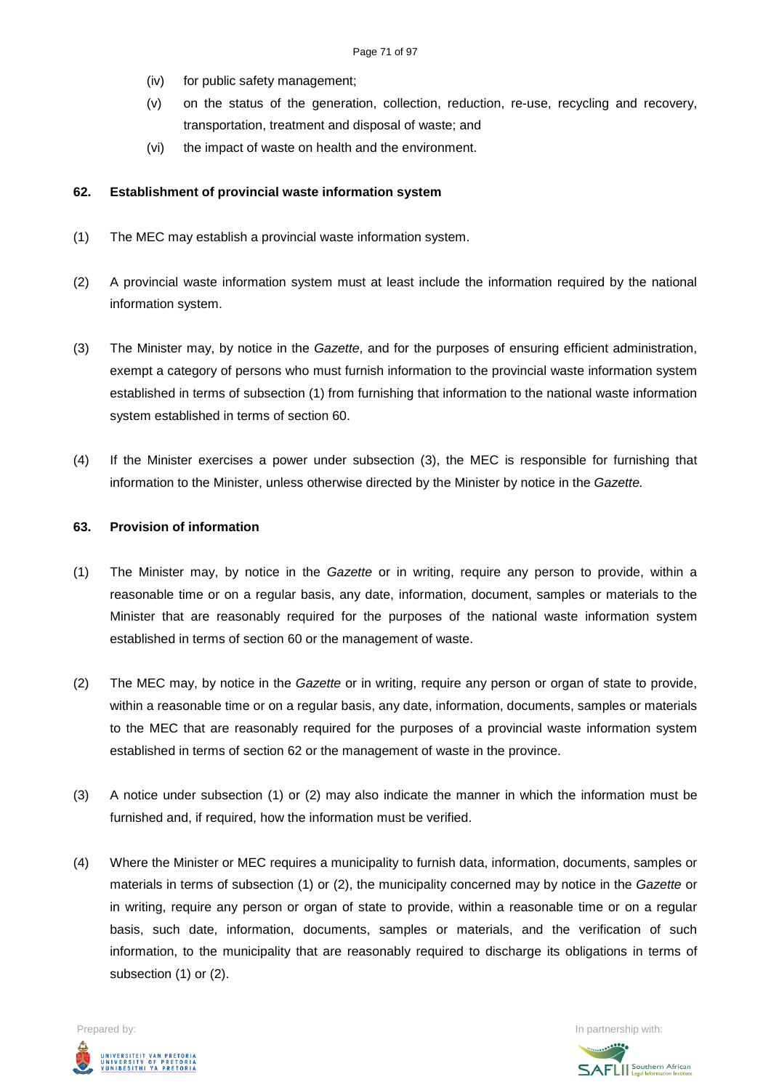- (iv) for public safety management;
- (v) on the status of the generation, collection, reduction, re-use, recycling and recovery, transportation, treatment and disposal of waste; and
- (vi) the impact of waste on health and the environment.

### **62. Establishment of provincial waste information system**

- (1) The MEC may establish a provincial waste information system.
- (2) A provincial waste information system must at least include the information required by the national information system.
- (3) The Minister may, by notice in the *Gazette*, and for the purposes of ensuring efficient administration, exempt a category of persons who must furnish information to the provincial waste information system established in terms of subsection (1) from furnishing that information to the national waste information system established in terms of section 60.
- (4) If the Minister exercises a power under subsection (3), the MEC is responsible for furnishing that information to the Minister, unless otherwise directed by the Minister by notice in the *Gazette.*

### **63. Provision of information**

- (1) The Minister may, by notice in the *Gazette* or in writing, require any person to provide, within a reasonable time or on a regular basis, any date, information, document, samples or materials to the Minister that are reasonably required for the purposes of the national waste information system established in terms of section 60 or the management of waste.
- (2) The MEC may, by notice in the *Gazette* or in writing, require any person or organ of state to provide, within a reasonable time or on a regular basis, any date, information, documents, samples or materials to the MEC that are reasonably required for the purposes of a provincial waste information system established in terms of section 62 or the management of waste in the province.
- (3) A notice under subsection (1) or (2) may also indicate the manner in which the information must be furnished and, if required, how the information must be verified.
- (4) Where the Minister or MEC requires a municipality to furnish data, information, documents, samples or materials in terms of subsection (1) or (2), the municipality concerned may by notice in the *Gazette* or in writing, require any person or organ of state to provide, within a reasonable time or on a regular basis, such date, information, documents, samples or materials, and the verification of such information, to the municipality that are reasonably required to discharge its obligations in terms of subsection (1) or (2).



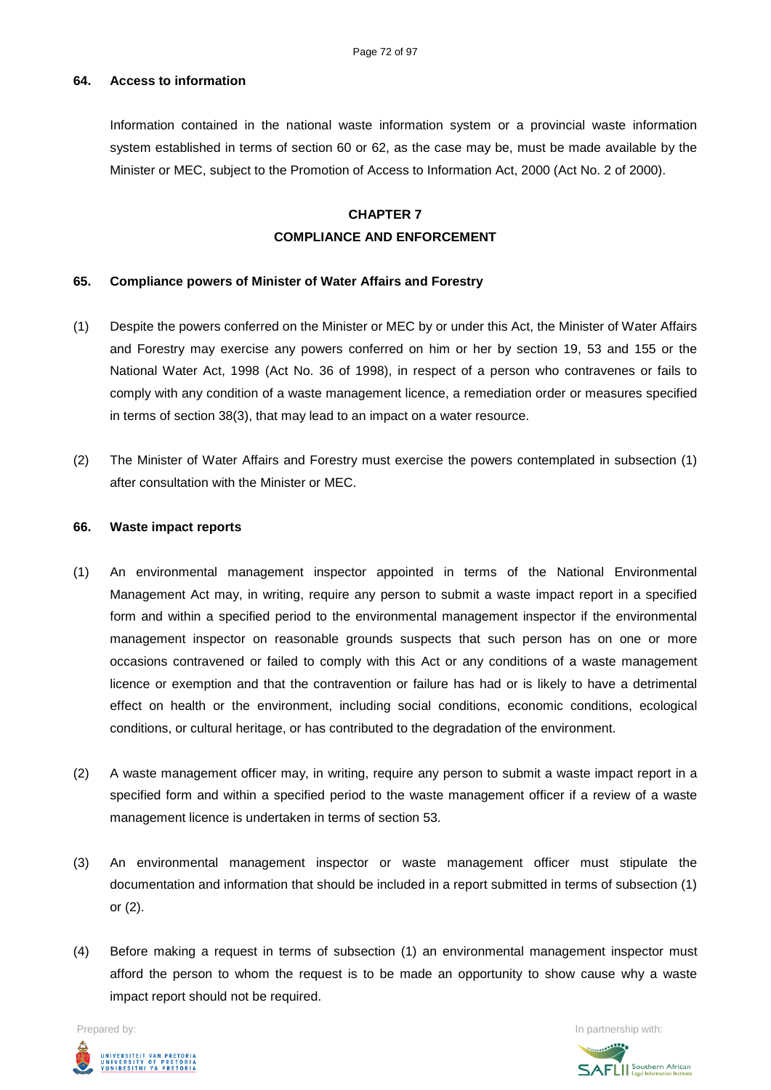### **64. Access to information**

Information contained in the national waste information system or a provincial waste information system established in terms of section 60 or 62, as the case may be, must be made available by the Minister or MEC, subject to the Promotion of Access to Information Act, 2000 (Act No. 2 of 2000).

# **CHAPTER 7 COMPLIANCE AND ENFORCEMENT**

### **65. Compliance powers of Minister of Water Affairs and Forestry**

- (1) Despite the powers conferred on the Minister or MEC by or under this Act, the Minister of Water Affairs and Forestry may exercise any powers conferred on him or her by section 19, 53 and 155 or the National Water Act, 1998 (Act No. 36 of 1998), in respect of a person who contravenes or fails to comply with any condition of a waste management licence, a remediation order or measures specified in terms of section 38(3), that may lead to an impact on a water resource.
- (2) The Minister of Water Affairs and Forestry must exercise the powers contemplated in subsection (1) after consultation with the Minister or MEC.

### **66. Waste impact reports**

- (1) An environmental management inspector appointed in terms of the National Environmental Management Act may, in writing, require any person to submit a waste impact report in a specified form and within a specified period to the environmental management inspector if the environmental management inspector on reasonable grounds suspects that such person has on one or more occasions contravened or failed to comply with this Act or any conditions of a waste management licence or exemption and that the contravention or failure has had or is likely to have a detrimental effect on health or the environment, including social conditions, economic conditions, ecological conditions, or cultural heritage, or has contributed to the degradation of the environment.
- (2) A waste management officer may, in writing, require any person to submit a waste impact report in a specified form and within a specified period to the waste management officer if a review of a waste management licence is undertaken in terms of section 53.
- (3) An environmental management inspector or waste management officer must stipulate the documentation and information that should be included in a report submitted in terms of subsection (1) or (2).
- (4) Before making a request in terms of subsection (1) an environmental management inspector must afford the person to whom the request is to be made an opportunity to show cause why a waste impact report should not be required.

Prepared by: In partnership with:



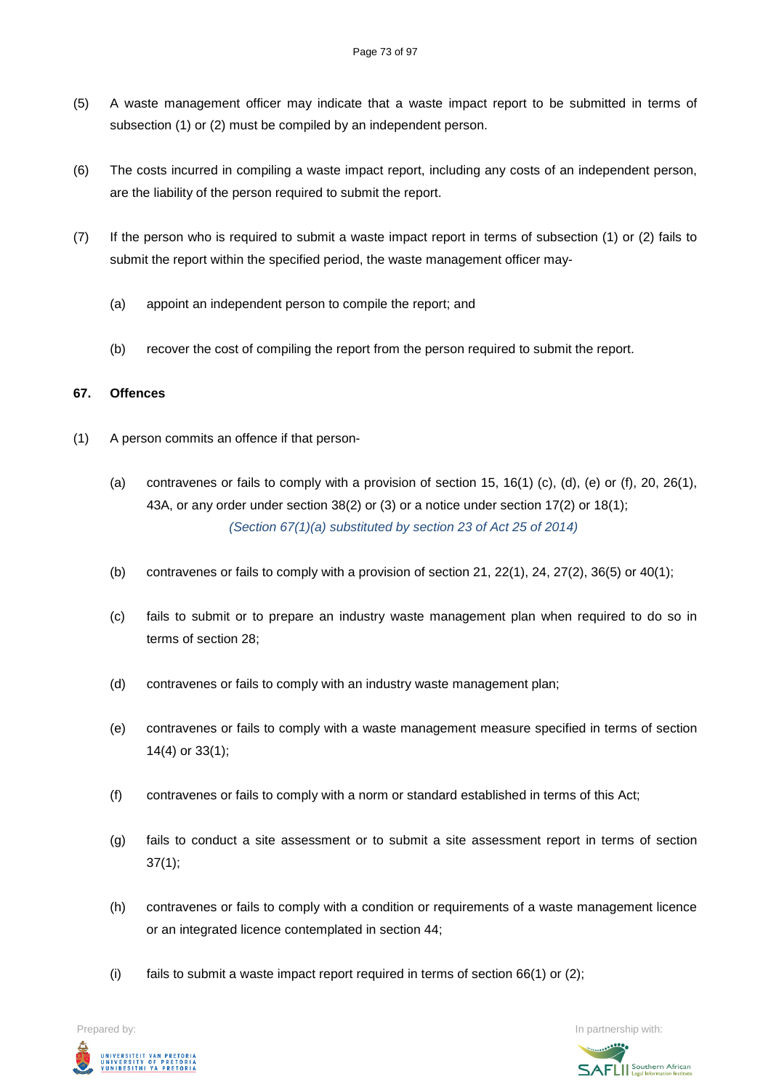- (5) A waste management officer may indicate that a waste impact report to be submitted in terms of subsection (1) or (2) must be compiled by an independent person.
- (6) The costs incurred in compiling a waste impact report, including any costs of an independent person, are the liability of the person required to submit the report.
- (7) If the person who is required to submit a waste impact report in terms of subsection (1) or (2) fails to submit the report within the specified period, the waste management officer may-
	- (a) appoint an independent person to compile the report; and
	- (b) recover the cost of compiling the report from the person required to submit the report.

## **67. Offences**

- (1) A person commits an offence if that person-
	- (a) contravenes or fails to comply with a provision of section 15, 16(1) (c), (d), (e) or (f), 20, 26(1), 43A, or any order under section 38(2) or (3) or a notice under section 17(2) or 18(1); *(Section 67(1)(a) substituted by section 23 of Act 25 of 2014)*
	- (b) contravenes or fails to comply with a provision of section 21, 22(1), 24, 27(2), 36(5) or 40(1);
	- (c) fails to submit or to prepare an industry waste management plan when required to do so in terms of section 28;
	- (d) contravenes or fails to comply with an industry waste management plan;
	- (e) contravenes or fails to comply with a waste management measure specified in terms of section 14(4) or 33(1);
	- (f) contravenes or fails to comply with a norm or standard established in terms of this Act;
	- (g) fails to conduct a site assessment or to submit a site assessment report in terms of section  $37(1);$
	- (h) contravenes or fails to comply with a condition or requirements of a waste management licence or an integrated licence contemplated in section 44;
	- (i) fails to submit a waste impact report required in terms of section  $66(1)$  or  $(2)$ ;

UNIVERSITEIT VAN PRETORIA<br>UNIVERSITY OF PRETORIA<br>YUNIBESITHI YA PRETORIA

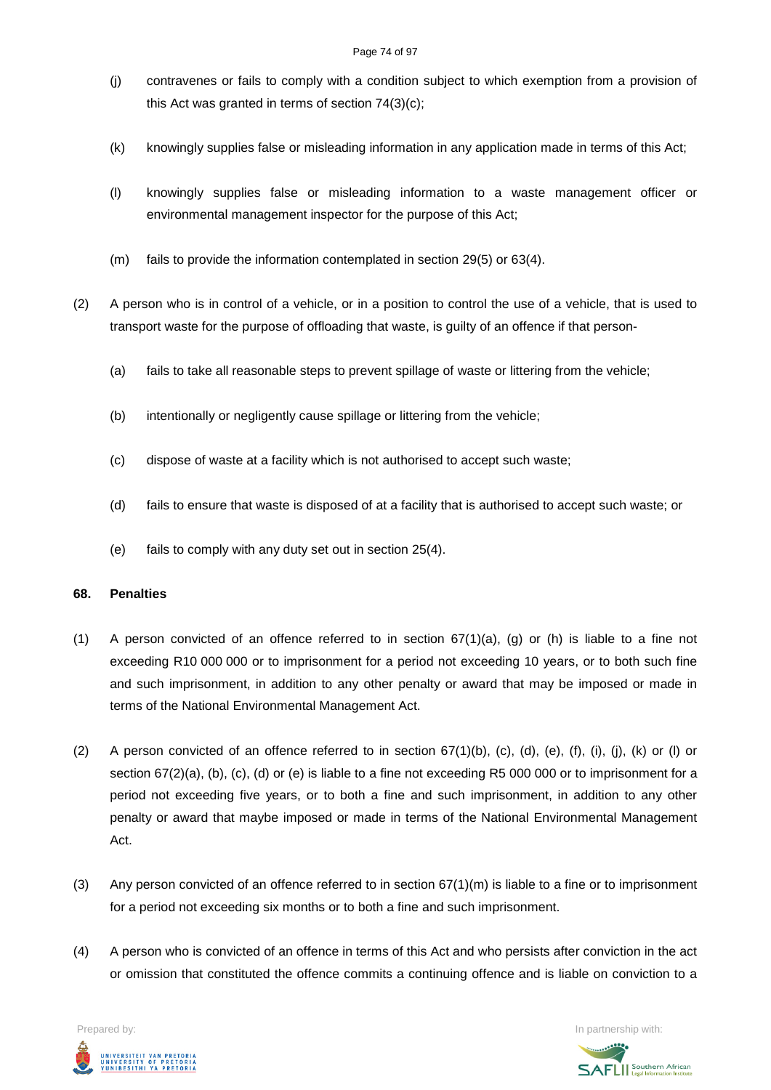#### Page 74 of 97

- (j) contravenes or fails to comply with a condition subject to which exemption from a provision of this Act was granted in terms of section 74(3)(c);
- (k) knowingly supplies false or misleading information in any application made in terms of this Act;
- (l) knowingly supplies false or misleading information to a waste management officer or environmental management inspector for the purpose of this Act;
- (m) fails to provide the information contemplated in section 29(5) or 63(4).
- (2) A person who is in control of a vehicle, or in a position to control the use of a vehicle, that is used to transport waste for the purpose of offloading that waste, is guilty of an offence if that person-
	- (a) fails to take all reasonable steps to prevent spillage of waste or littering from the vehicle;
	- (b) intentionally or negligently cause spillage or littering from the vehicle;
	- (c) dispose of waste at a facility which is not authorised to accept such waste;
	- (d) fails to ensure that waste is disposed of at a facility that is authorised to accept such waste; or
	- (e) fails to comply with any duty set out in section 25(4).

## **68. Penalties**

- (1) A person convicted of an offence referred to in section  $67(1)(a)$ , (g) or (h) is liable to a fine not exceeding R10 000 000 or to imprisonment for a period not exceeding 10 years, or to both such fine and such imprisonment, in addition to any other penalty or award that may be imposed or made in terms of the National Environmental Management Act.
- (2) A person convicted of an offence referred to in section  $67(1)(b)$ , (c), (d), (e), (f), (i), (j), (k) or (l) or section 67(2)(a), (b), (c), (d) or (e) is liable to a fine not exceeding R5 000 000 or to imprisonment for a period not exceeding five years, or to both a fine and such imprisonment, in addition to any other penalty or award that maybe imposed or made in terms of the National Environmental Management Act.
- (3) Any person convicted of an offence referred to in section  $67(1)(m)$  is liable to a fine or to imprisonment for a period not exceeding six months or to both a fine and such imprisonment.
- (4) A person who is convicted of an offence in terms of this Act and who persists after conviction in the act or omission that constituted the offence commits a continuing offence and is liable on conviction to a

UNIVERSITEIT VAN PRETORIA<br>UNIVERSITY OF PRETORIA<br>YUNIBESITHI YA PRETORIA

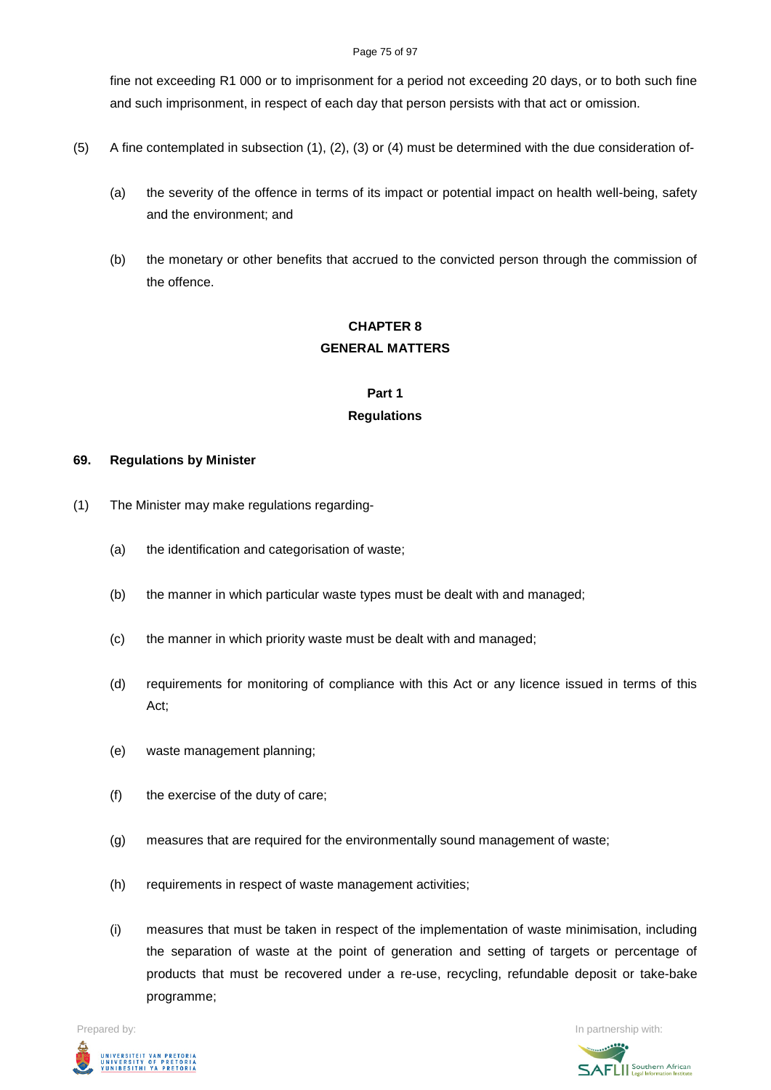#### Page 75 of 97

fine not exceeding R1 000 or to imprisonment for a period not exceeding 20 days, or to both such fine and such imprisonment, in respect of each day that person persists with that act or omission.

- (5) A fine contemplated in subsection (1), (2), (3) or (4) must be determined with the due consideration of-
	- (a) the severity of the offence in terms of its impact or potential impact on health well-being, safety and the environment; and
	- (b) the monetary or other benefits that accrued to the convicted person through the commission of the offence.

# **CHAPTER 8 GENERAL MATTERS**

# **Part 1 Regulations**

## **69. Regulations by Minister**

- (1) The Minister may make regulations regarding-
	- (a) the identification and categorisation of waste;
	- (b) the manner in which particular waste types must be dealt with and managed;
	- (c) the manner in which priority waste must be dealt with and managed;
	- (d) requirements for monitoring of compliance with this Act or any licence issued in terms of this Act;
	- (e) waste management planning;
	- (f) the exercise of the duty of care;
	- (g) measures that are required for the environmentally sound management of waste;
	- (h) requirements in respect of waste management activities;
	- (i) measures that must be taken in respect of the implementation of waste minimisation, including the separation of waste at the point of generation and setting of targets or percentage of products that must be recovered under a re-use, recycling, refundable deposit or take-bake programme;



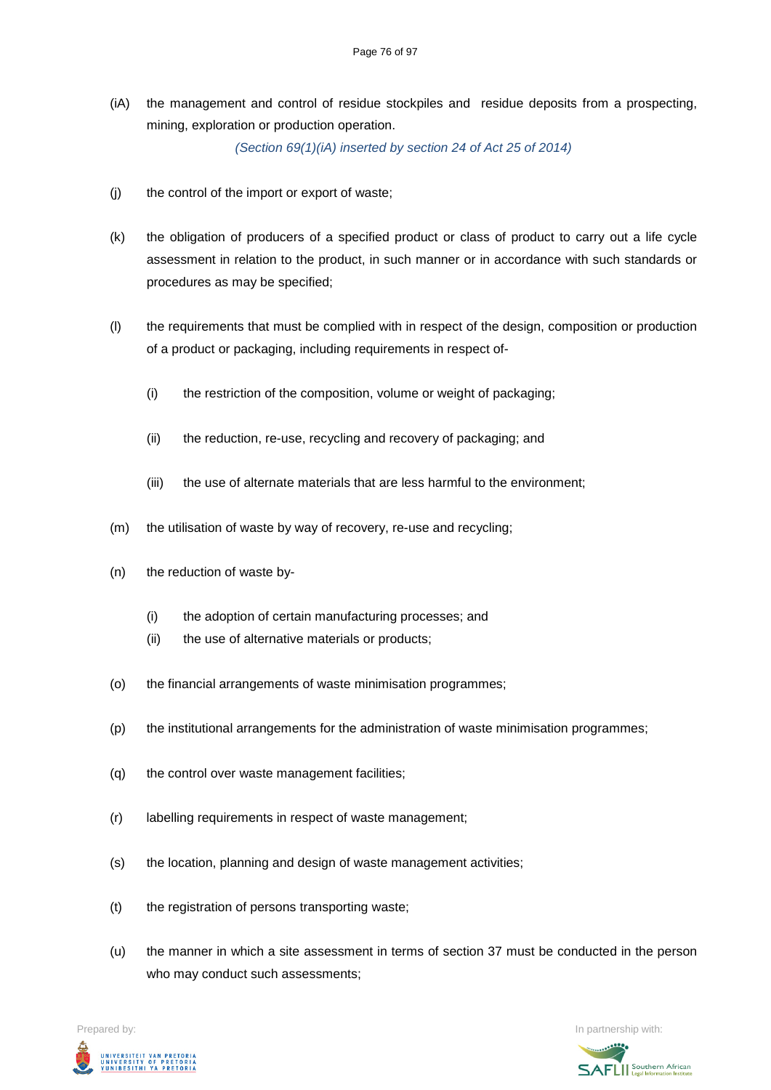(iA) the management and control of residue stockpiles and residue deposits from a prospecting, mining, exploration or production operation.

*(Section 69(1)(iA) inserted by section 24 of Act 25 of 2014)*

- (j) the control of the import or export of waste;
- (k) the obligation of producers of a specified product or class of product to carry out a life cycle assessment in relation to the product, in such manner or in accordance with such standards or procedures as may be specified;
- (l) the requirements that must be complied with in respect of the design, composition or production of a product or packaging, including requirements in respect of-
	- (i) the restriction of the composition, volume or weight of packaging;
	- (ii) the reduction, re-use, recycling and recovery of packaging; and
	- (iii) the use of alternate materials that are less harmful to the environment;
- (m) the utilisation of waste by way of recovery, re-use and recycling;
- (n) the reduction of waste by-
	- (i) the adoption of certain manufacturing processes; and
	- (ii) the use of alternative materials or products;
- (o) the financial arrangements of waste minimisation programmes;
- (p) the institutional arrangements for the administration of waste minimisation programmes;
- (q) the control over waste management facilities;
- (r) labelling requirements in respect of waste management;
- (s) the location, planning and design of waste management activities;
- (t) the registration of persons transporting waste;
- (u) the manner in which a site assessment in terms of section 37 must be conducted in the person who may conduct such assessments:

Prepared by: In partnership with:



**SAFLI** Southern African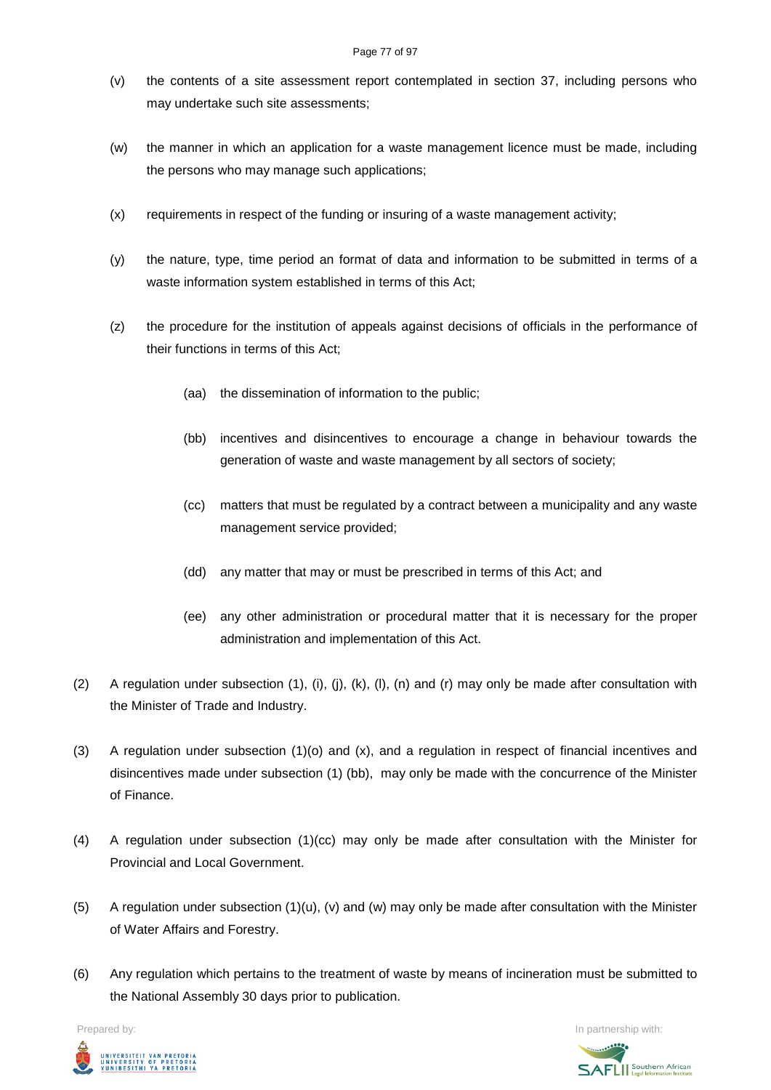- (v) the contents of a site assessment report contemplated in section 37, including persons who may undertake such site assessments;
- (w) the manner in which an application for a waste management licence must be made, including the persons who may manage such applications;
- (x) requirements in respect of the funding or insuring of a waste management activity;
- (y) the nature, type, time period an format of data and information to be submitted in terms of a waste information system established in terms of this Act;
- (z) the procedure for the institution of appeals against decisions of officials in the performance of their functions in terms of this Act;
	- (aa) the dissemination of information to the public;
	- (bb) incentives and disincentives to encourage a change in behaviour towards the generation of waste and waste management by all sectors of society;
	- (cc) matters that must be regulated by a contract between a municipality and any waste management service provided;
	- (dd) any matter that may or must be prescribed in terms of this Act; and
	- (ee) any other administration or procedural matter that it is necessary for the proper administration and implementation of this Act.
- (2) A regulation under subsection (1), (i), (j), (k), (l), (n) and (r) may only be made after consultation with the Minister of Trade and Industry.
- (3) A regulation under subsection (1)(o) and (x), and a regulation in respect of financial incentives and disincentives made under subsection (1) (bb), may only be made with the concurrence of the Minister of Finance.
- (4) A regulation under subsection (1)(cc) may only be made after consultation with the Minister for Provincial and Local Government.
- (5) A regulation under subsection  $(1)(u)$ ,  $(v)$  and  $(w)$  may only be made after consultation with the Minister of Water Affairs and Forestry.
- (6) Any regulation which pertains to the treatment of waste by means of incineration must be submitted to the National Assembly 30 days prior to publication.



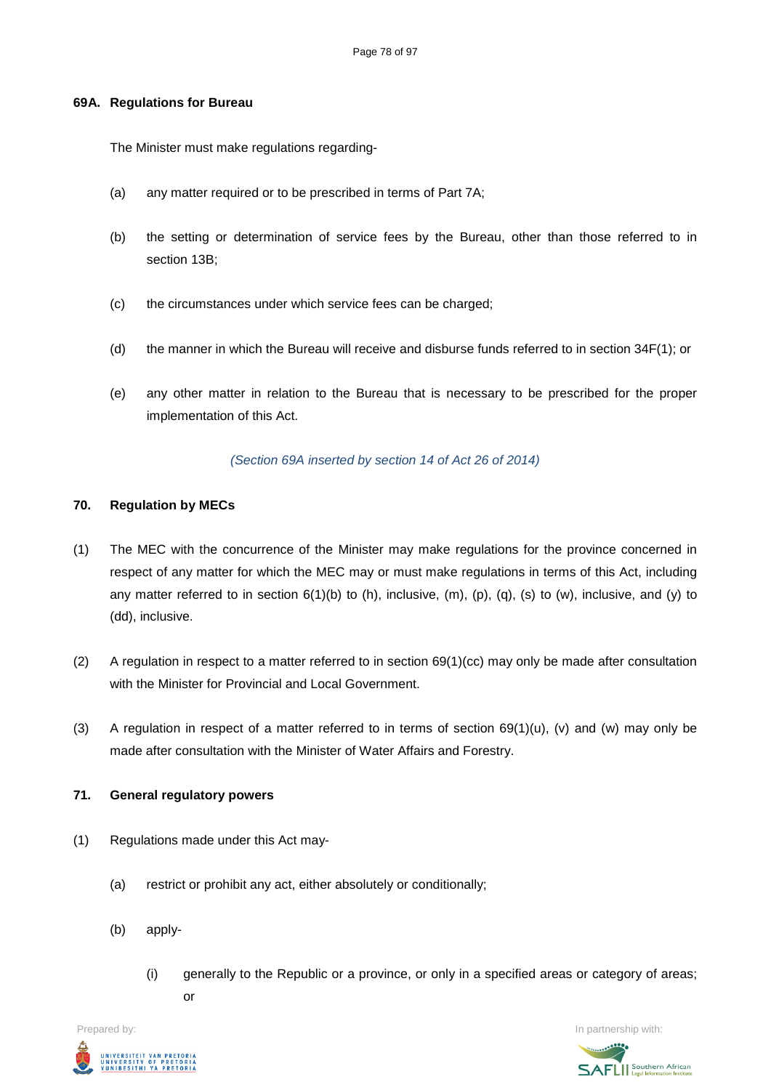#### **69A. Regulations for Bureau**

The Minister must make regulations regarding-

- (a) any matter required or to be prescribed in terms of Part 7A;
- (b) the setting or determination of service fees by the Bureau, other than those referred to in section 13B;
- (c) the circumstances under which service fees can be charged;
- (d) the manner in which the Bureau will receive and disburse funds referred to in section 34F(1); or
- (e) any other matter in relation to the Bureau that is necessary to be prescribed for the proper implementation of this Act.

#### *(Section 69A inserted by section 14 of Act 26 of 2014)*

#### **70. Regulation by MECs**

- (1) The MEC with the concurrence of the Minister may make regulations for the province concerned in respect of any matter for which the MEC may or must make regulations in terms of this Act, including any matter referred to in section  $6(1)(b)$  to (h), inclusive, (m), (p), (q), (s) to (w), inclusive, and (y) to (dd), inclusive.
- (2) A regulation in respect to a matter referred to in section  $69(1)(cc)$  may only be made after consultation with the Minister for Provincial and Local Government.
- (3) A regulation in respect of a matter referred to in terms of section  $69(1)(u)$ , (v) and (w) may only be made after consultation with the Minister of Water Affairs and Forestry.

#### **71. General regulatory powers**

- (1) Regulations made under this Act may-
	- (a) restrict or prohibit any act, either absolutely or conditionally;
	- (b) apply-
		- (i) generally to the Republic or a province, or only in a specified areas or category of areas; or



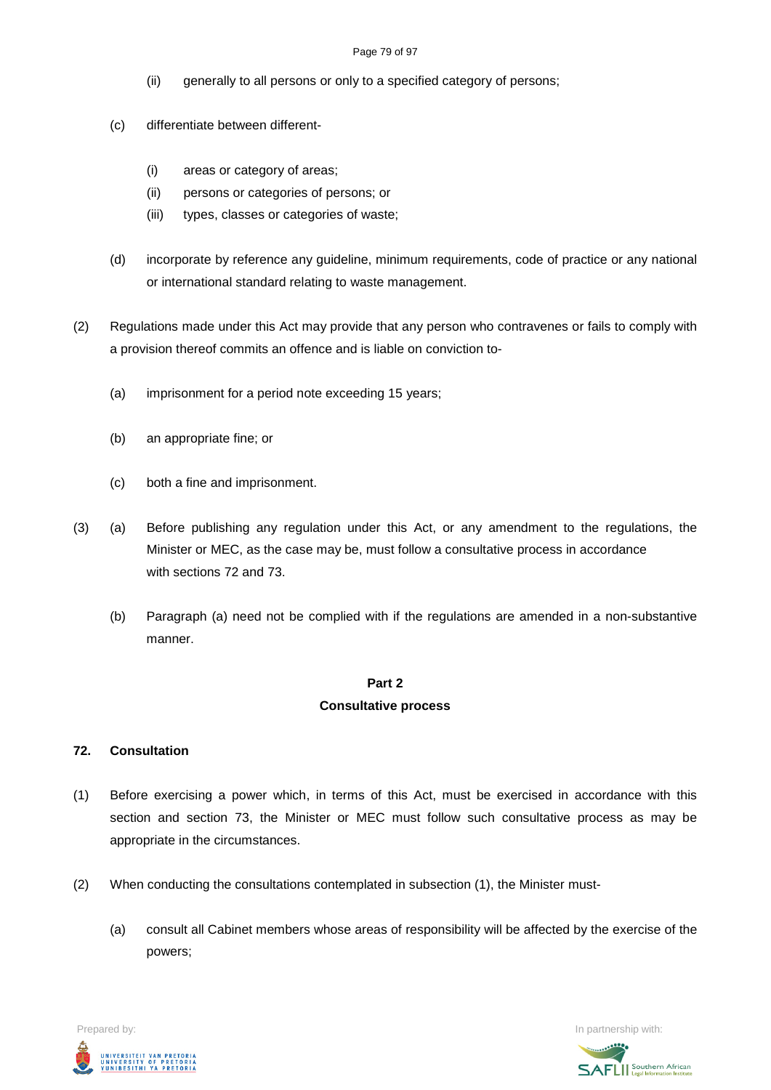#### Page 79 of 97

- (ii) generally to all persons or only to a specified category of persons;
- (c) differentiate between different-
	- (i) areas or category of areas;
	- (ii) persons or categories of persons; or
	- (iii) types, classes or categories of waste;
- (d) incorporate by reference any guideline, minimum requirements, code of practice or any national or international standard relating to waste management.
- (2) Regulations made under this Act may provide that any person who contravenes or fails to comply with a provision thereof commits an offence and is liable on conviction to-
	- (a) imprisonment for a period note exceeding 15 years;
	- (b) an appropriate fine; or
	- (c) both a fine and imprisonment.
- (3) (a) Before publishing any regulation under this Act, or any amendment to the regulations, the Minister or MEC, as the case may be, must follow a consultative process in accordance with sections 72 and 73.
	- (b) Paragraph (a) need not be complied with if the regulations are amended in a non-substantive manner.

## **Part 2**

## **Consultative process**

## **72. Consultation**

- (1) Before exercising a power which, in terms of this Act, must be exercised in accordance with this section and section 73, the Minister or MEC must follow such consultative process as may be appropriate in the circumstances.
- (2) When conducting the consultations contemplated in subsection (1), the Minister must-
	- (a) consult all Cabinet members whose areas of responsibility will be affected by the exercise of the powers;



**SAFLI** Southern African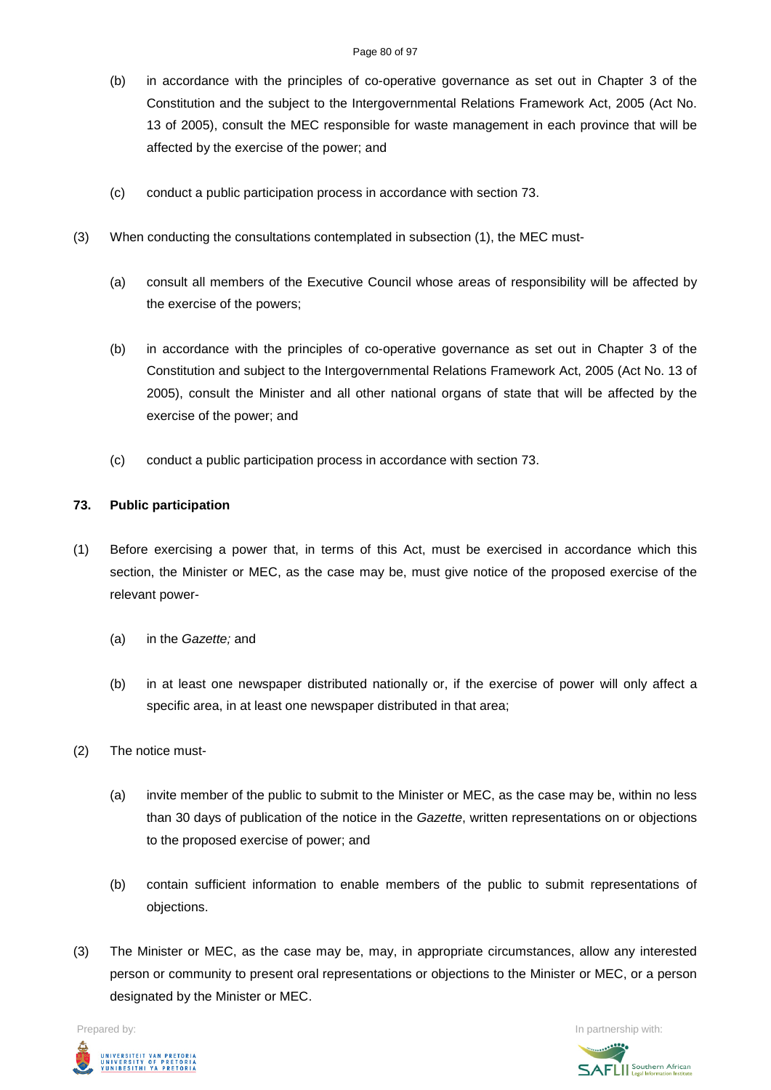- (b) in accordance with the principles of co-operative governance as set out in Chapter 3 of the Constitution and the subject to the Intergovernmental Relations Framework Act, 2005 (Act No. 13 of 2005), consult the MEC responsible for waste management in each province that will be affected by the exercise of the power; and
- (c) conduct a public participation process in accordance with section 73.
- (3) When conducting the consultations contemplated in subsection (1), the MEC must-
	- (a) consult all members of the Executive Council whose areas of responsibility will be affected by the exercise of the powers;
	- (b) in accordance with the principles of co-operative governance as set out in Chapter 3 of the Constitution and subject to the Intergovernmental Relations Framework Act, 2005 (Act No. 13 of 2005), consult the Minister and all other national organs of state that will be affected by the exercise of the power; and
	- (c) conduct a public participation process in accordance with section 73.

## **73. Public participation**

- (1) Before exercising a power that, in terms of this Act, must be exercised in accordance which this section, the Minister or MEC, as the case may be, must give notice of the proposed exercise of the relevant power-
	- (a) in the *Gazette;* and
	- (b) in at least one newspaper distributed nationally or, if the exercise of power will only affect a specific area, in at least one newspaper distributed in that area;
- (2) The notice must-
	- (a) invite member of the public to submit to the Minister or MEC, as the case may be, within no less than 30 days of publication of the notice in the *Gazette*, written representations on or objections to the proposed exercise of power; and
	- (b) contain sufficient information to enable members of the public to submit representations of objections.
- (3) The Minister or MEC, as the case may be, may, in appropriate circumstances, allow any interested person or community to present oral representations or objections to the Minister or MEC, or a person designated by the Minister or MEC.



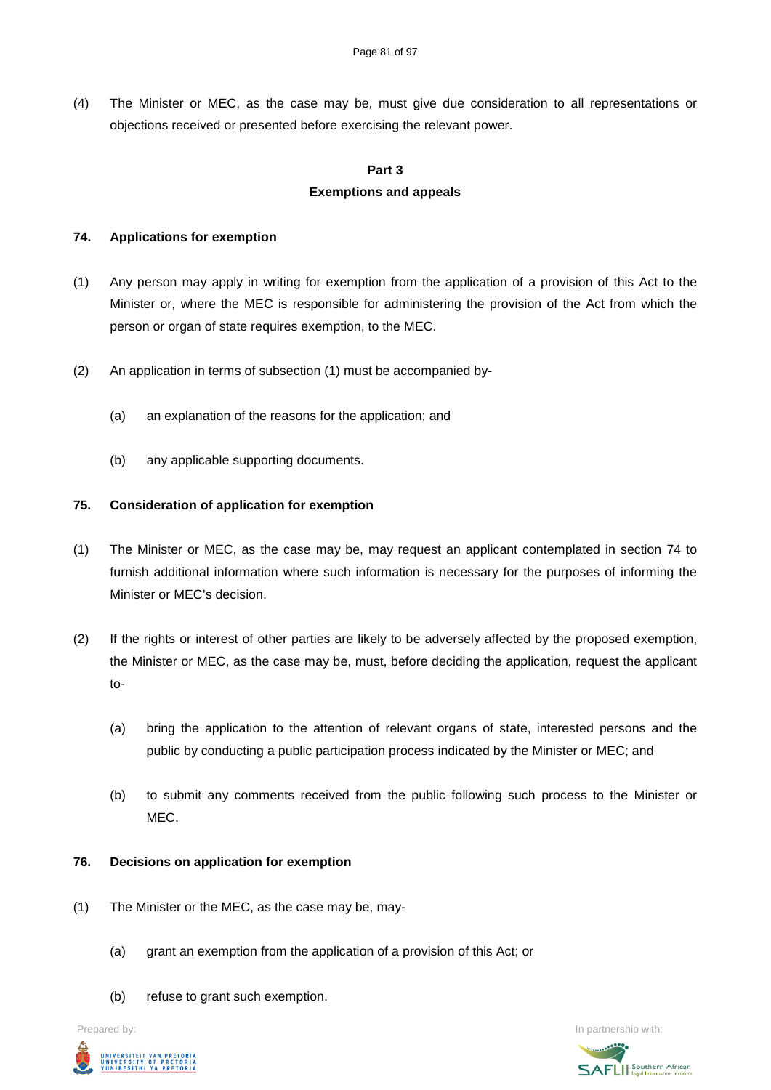(4) The Minister or MEC, as the case may be, must give due consideration to all representations or objections received or presented before exercising the relevant power.

#### **Part 3**

## **Exemptions and appeals**

## **74. Applications for exemption**

- (1) Any person may apply in writing for exemption from the application of a provision of this Act to the Minister or, where the MEC is responsible for administering the provision of the Act from which the person or organ of state requires exemption, to the MEC.
- (2) An application in terms of subsection (1) must be accompanied by-
	- (a) an explanation of the reasons for the application; and
	- (b) any applicable supporting documents.

## **75. Consideration of application for exemption**

- (1) The Minister or MEC, as the case may be, may request an applicant contemplated in section 74 to furnish additional information where such information is necessary for the purposes of informing the Minister or MEC's decision.
- (2) If the rights or interest of other parties are likely to be adversely affected by the proposed exemption, the Minister or MEC, as the case may be, must, before deciding the application, request the applicant to-
	- (a) bring the application to the attention of relevant organs of state, interested persons and the public by conducting a public participation process indicated by the Minister or MEC; and
	- (b) to submit any comments received from the public following such process to the Minister or MEC.

## **76. Decisions on application for exemption**

- (1) The Minister or the MEC, as the case may be, may-
	- (a) grant an exemption from the application of a provision of this Act; or
	- (b) refuse to grant such exemption.



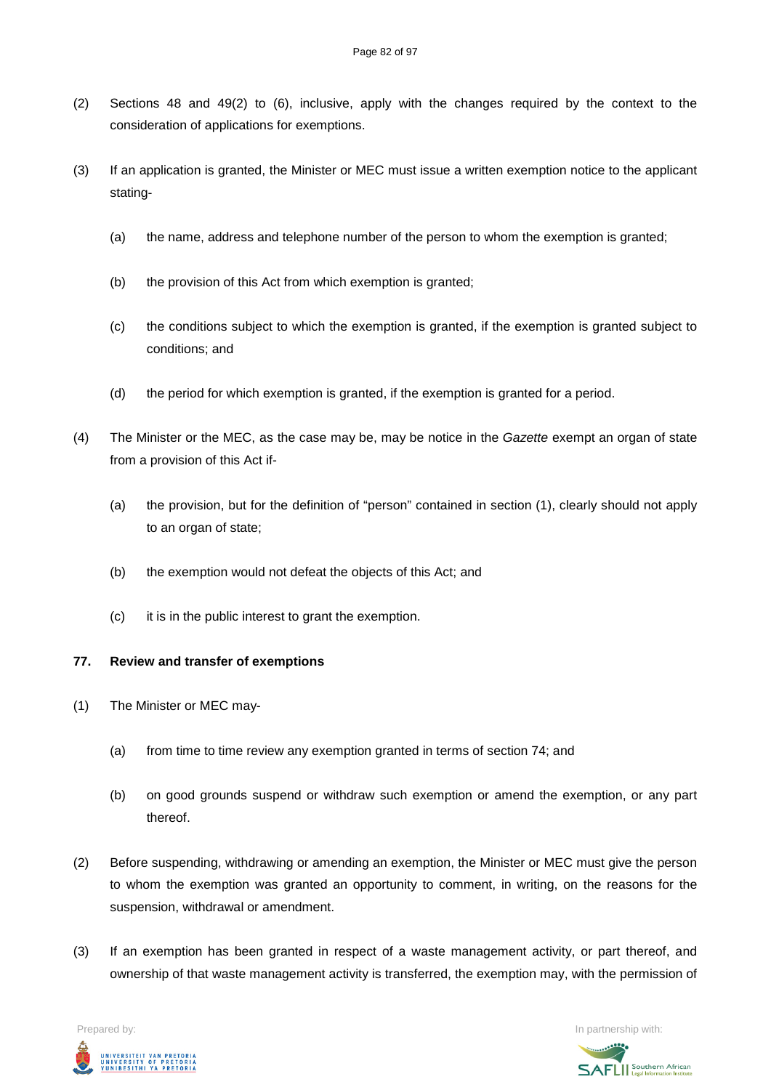- (2) Sections 48 and 49(2) to (6), inclusive, apply with the changes required by the context to the consideration of applications for exemptions.
- (3) If an application is granted, the Minister or MEC must issue a written exemption notice to the applicant stating-
	- (a) the name, address and telephone number of the person to whom the exemption is granted;
	- (b) the provision of this Act from which exemption is granted;
	- (c) the conditions subject to which the exemption is granted, if the exemption is granted subject to conditions; and
	- (d) the period for which exemption is granted, if the exemption is granted for a period.
- (4) The Minister or the MEC, as the case may be, may be notice in the *Gazette* exempt an organ of state from a provision of this Act if-
	- (a) the provision, but for the definition of "person" contained in section (1), clearly should not apply to an organ of state;
	- (b) the exemption would not defeat the objects of this Act; and
	- (c) it is in the public interest to grant the exemption.

## **77. Review and transfer of exemptions**

- (1) The Minister or MEC may-
	- (a) from time to time review any exemption granted in terms of section 74; and
	- (b) on good grounds suspend or withdraw such exemption or amend the exemption, or any part thereof.
- (2) Before suspending, withdrawing or amending an exemption, the Minister or MEC must give the person to whom the exemption was granted an opportunity to comment, in writing, on the reasons for the suspension, withdrawal or amendment.
- (3) If an exemption has been granted in respect of a waste management activity, or part thereof, and ownership of that waste management activity is transferred, the exemption may, with the permission of

UNIVERSITEIT VAN PRETORIA<br>UNIVERSITY OF PRETORIA<br>YUNIBESITHI YA PRETORIA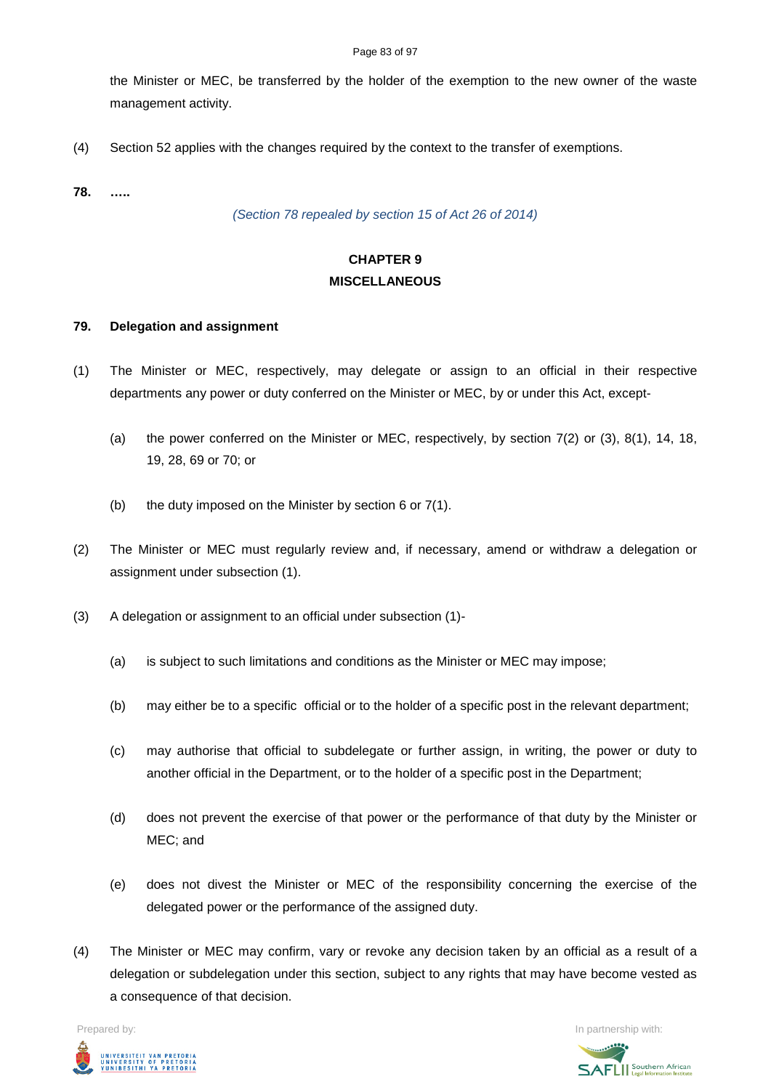the Minister or MEC, be transferred by the holder of the exemption to the new owner of the waste management activity.

(4) Section 52 applies with the changes required by the context to the transfer of exemptions.

**78. …..**

*(Section 78 repealed by section 15 of Act 26 of 2014)*

# **CHAPTER 9 MISCELLANEOUS**

#### **79. Delegation and assignment**

- (1) The Minister or MEC, respectively, may delegate or assign to an official in their respective departments any power or duty conferred on the Minister or MEC, by or under this Act, except-
	- (a) the power conferred on the Minister or MEC, respectively, by section 7(2) or (3), 8(1), 14, 18, 19, 28, 69 or 70; or
	- (b) the duty imposed on the Minister by section  $6$  or  $7(1)$ .
- (2) The Minister or MEC must regularly review and, if necessary, amend or withdraw a delegation or assignment under subsection (1).
- (3) A delegation or assignment to an official under subsection (1)-
	- (a) is subject to such limitations and conditions as the Minister or MEC may impose;
	- (b) may either be to a specific official or to the holder of a specific post in the relevant department;
	- (c) may authorise that official to subdelegate or further assign, in writing, the power or duty to another official in the Department, or to the holder of a specific post in the Department;
	- (d) does not prevent the exercise of that power or the performance of that duty by the Minister or MEC; and
	- (e) does not divest the Minister or MEC of the responsibility concerning the exercise of the delegated power or the performance of the assigned duty.
- (4) The Minister or MEC may confirm, vary or revoke any decision taken by an official as a result of a delegation or subdelegation under this section, subject to any rights that may have become vested as a consequence of that decision.

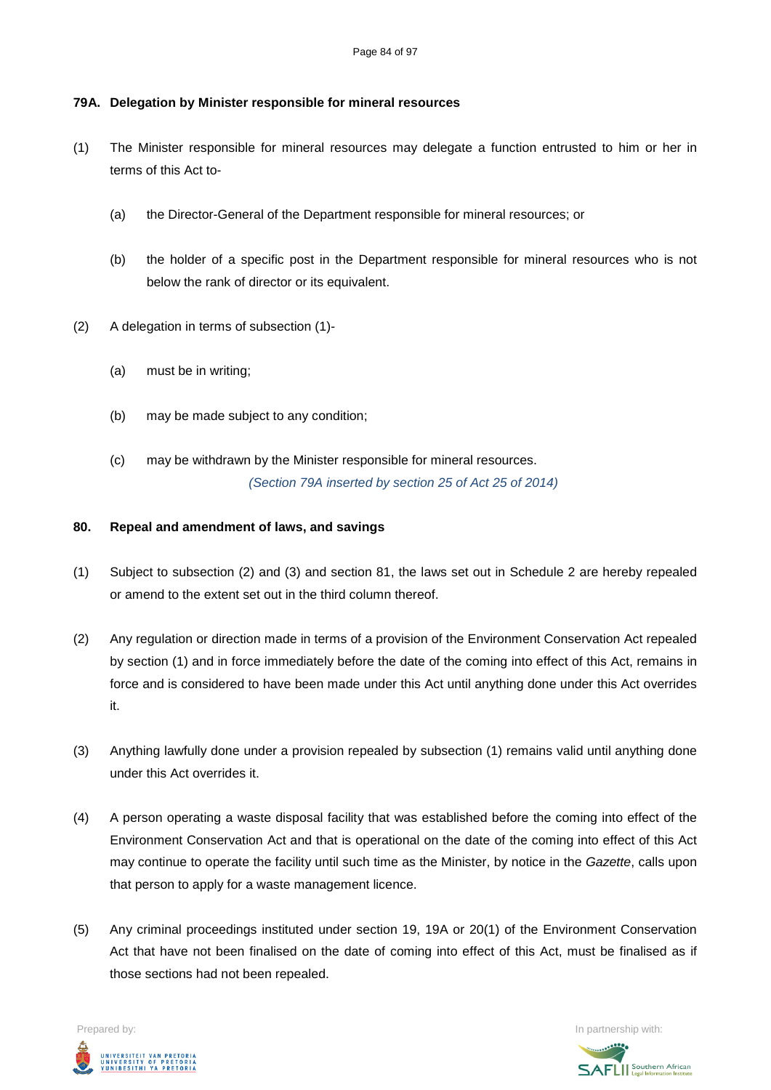# **79A. Delegation by Minister responsible for mineral resources**

- (1) The Minister responsible for mineral resources may delegate a function entrusted to him or her in terms of this Act to-
	- (a) the Director-General of the Department responsible for mineral resources; or
	- (b) the holder of a specific post in the Department responsible for mineral resources who is not below the rank of director or its equivalent.
- (2) A delegation in terms of subsection (1)-
	- (a) must be in writing;
	- (b) may be made subject to any condition;
	- (c) may be withdrawn by the Minister responsible for mineral resources. *(Section 79A inserted by section 25 of Act 25 of 2014)*

## **80. Repeal and amendment of laws, and savings**

- (1) Subject to subsection (2) and (3) and section 81, the laws set out in Schedule 2 are hereby repealed or amend to the extent set out in the third column thereof.
- (2) Any regulation or direction made in terms of a provision of the Environment Conservation Act repealed by section (1) and in force immediately before the date of the coming into effect of this Act, remains in force and is considered to have been made under this Act until anything done under this Act overrides it.
- (3) Anything lawfully done under a provision repealed by subsection (1) remains valid until anything done under this Act overrides it.
- (4) A person operating a waste disposal facility that was established before the coming into effect of the Environment Conservation Act and that is operational on the date of the coming into effect of this Act may continue to operate the facility until such time as the Minister, by notice in the *Gazette*, calls upon that person to apply for a waste management licence.
- (5) Any criminal proceedings instituted under section 19, 19A or 20(1) of the Environment Conservation Act that have not been finalised on the date of coming into effect of this Act, must be finalised as if those sections had not been repealed.

UNIVERSITEIT VAN PRETORIA<br>UNIVERSITY OF PRETORIA<br>YUNIBESITHI YA PRETORIA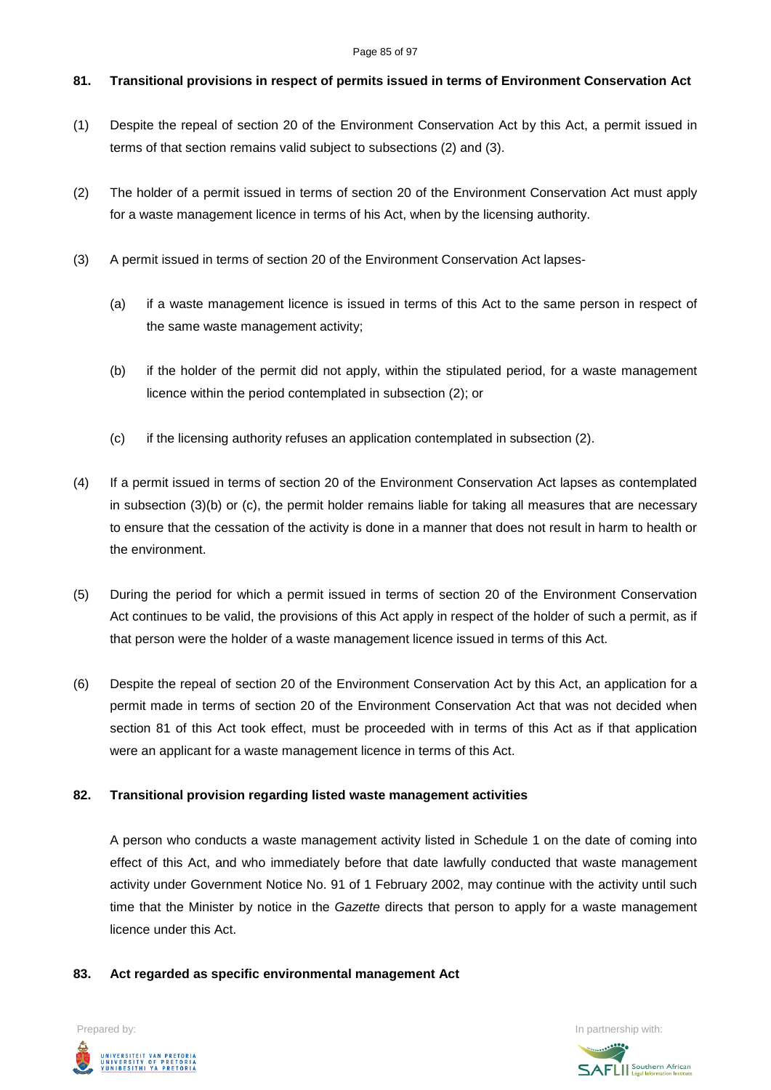#### Page 85 of 97

# **81. Transitional provisions in respect of permits issued in terms of Environment Conservation Act**

- (1) Despite the repeal of section 20 of the Environment Conservation Act by this Act, a permit issued in terms of that section remains valid subject to subsections (2) and (3).
- (2) The holder of a permit issued in terms of section 20 of the Environment Conservation Act must apply for a waste management licence in terms of his Act, when by the licensing authority.
- (3) A permit issued in terms of section 20 of the Environment Conservation Act lapses-
	- (a) if a waste management licence is issued in terms of this Act to the same person in respect of the same waste management activity;
	- (b) if the holder of the permit did not apply, within the stipulated period, for a waste management licence within the period contemplated in subsection (2); or
	- (c) if the licensing authority refuses an application contemplated in subsection (2).
- (4) If a permit issued in terms of section 20 of the Environment Conservation Act lapses as contemplated in subsection (3)(b) or (c), the permit holder remains liable for taking all measures that are necessary to ensure that the cessation of the activity is done in a manner that does not result in harm to health or the environment.
- (5) During the period for which a permit issued in terms of section 20 of the Environment Conservation Act continues to be valid, the provisions of this Act apply in respect of the holder of such a permit, as if that person were the holder of a waste management licence issued in terms of this Act.
- (6) Despite the repeal of section 20 of the Environment Conservation Act by this Act, an application for a permit made in terms of section 20 of the Environment Conservation Act that was not decided when section 81 of this Act took effect, must be proceeded with in terms of this Act as if that application were an applicant for a waste management licence in terms of this Act.

# **82. Transitional provision regarding listed waste management activities**

A person who conducts a waste management activity listed in Schedule 1 on the date of coming into effect of this Act, and who immediately before that date lawfully conducted that waste management activity under Government Notice No. 91 of 1 February 2002, may continue with the activity until such time that the Minister by notice in the *Gazette* directs that person to apply for a waste management licence under this Act.

# **83. Act regarded as specific environmental management Act**



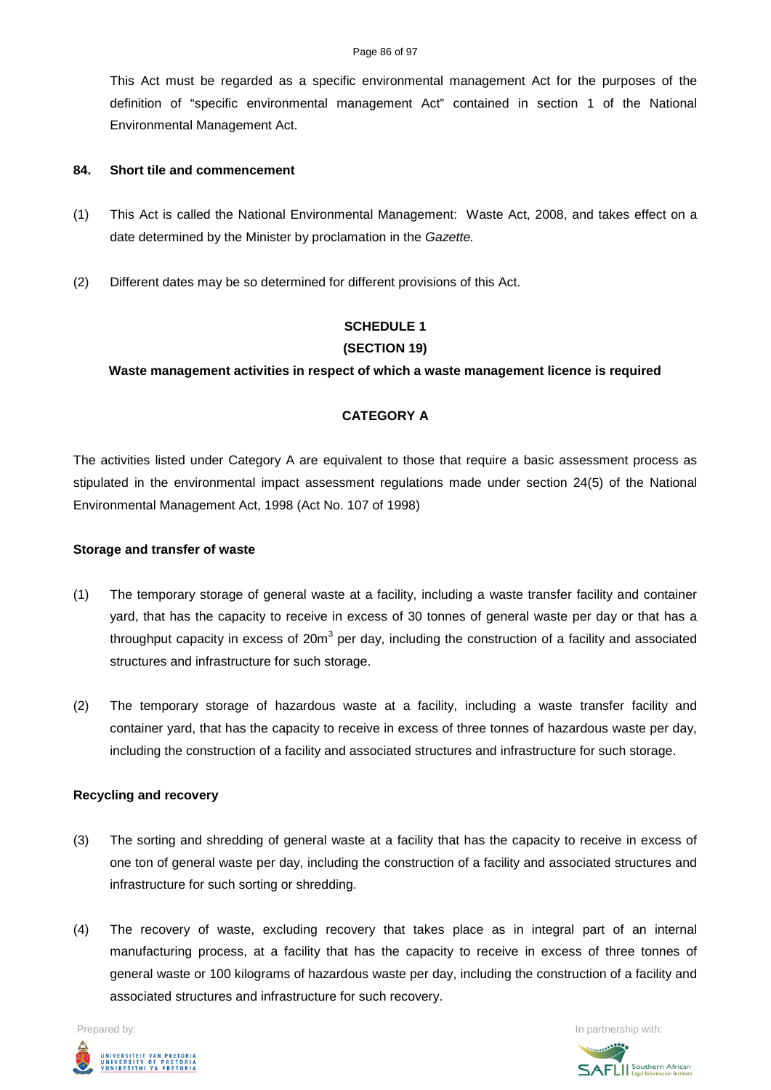#### Page 86 of 97

This Act must be regarded as a specific environmental management Act for the purposes of the definition of "specific environmental management Act" contained in section 1 of the National Environmental Management Act.

#### **84. Short tile and commencement**

- (1) This Act is called the National Environmental Management: Waste Act, 2008, and takes effect on a date determined by the Minister by proclamation in the *Gazette.*
- (2) Different dates may be so determined for different provisions of this Act.

# **SCHEDULE 1 (SECTION 19)**

## **Waste management activities in respect of which a waste management licence is required**

# **CATEGORY A**

The activities listed under Category A are equivalent to those that require a basic assessment process as stipulated in the environmental impact assessment regulations made under section 24(5) of the National Environmental Management Act, 1998 (Act No. 107 of 1998)

#### **Storage and transfer of waste**

- (1) The temporary storage of general waste at a facility, including a waste transfer facility and container yard, that has the capacity to receive in excess of 30 tonnes of general waste per day or that has a throughput capacity in excess of  $20m<sup>3</sup>$  per day, including the construction of a facility and associated structures and infrastructure for such storage.
- (2) The temporary storage of hazardous waste at a facility, including a waste transfer facility and container yard, that has the capacity to receive in excess of three tonnes of hazardous waste per day, including the construction of a facility and associated structures and infrastructure for such storage.

## **Recycling and recovery**

- (3) The sorting and shredding of general waste at a facility that has the capacity to receive in excess of one ton of general waste per day, including the construction of a facility and associated structures and infrastructure for such sorting or shredding.
- (4) The recovery of waste, excluding recovery that takes place as in integral part of an internal manufacturing process, at a facility that has the capacity to receive in excess of three tonnes of general waste or 100 kilograms of hazardous waste per day, including the construction of a facility and associated structures and infrastructure for such recovery.



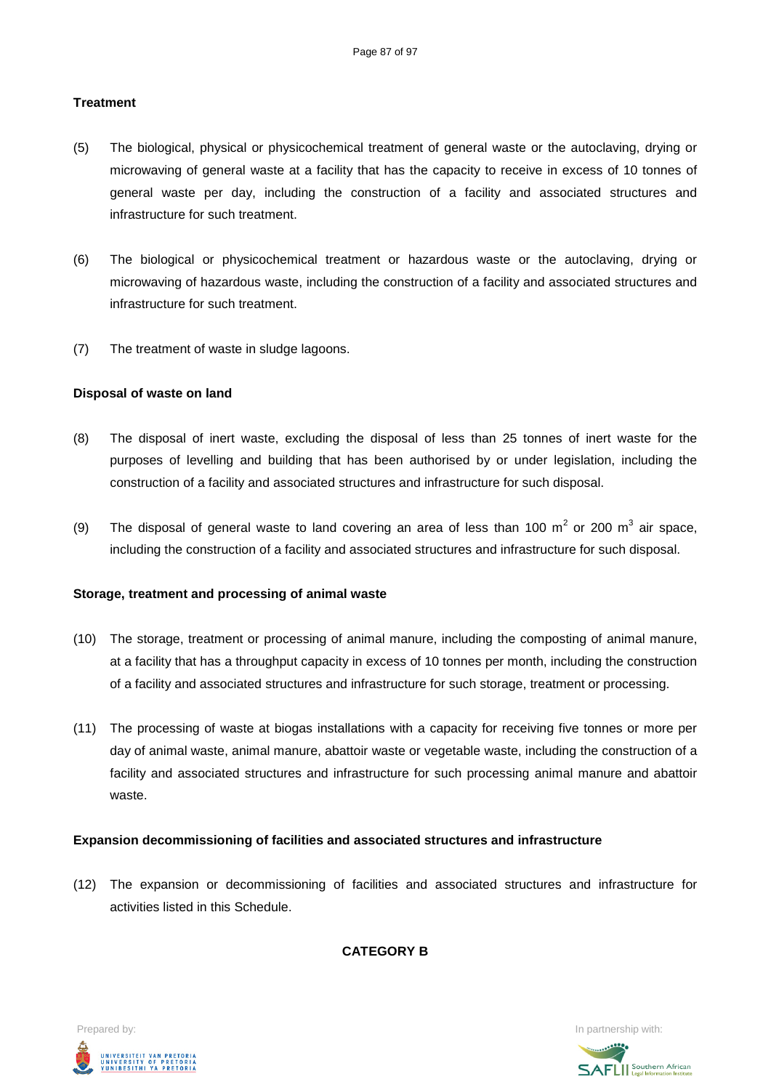## **Treatment**

- (5) The biological, physical or physicochemical treatment of general waste or the autoclaving, drying or microwaving of general waste at a facility that has the capacity to receive in excess of 10 tonnes of general waste per day, including the construction of a facility and associated structures and infrastructure for such treatment.
- (6) The biological or physicochemical treatment or hazardous waste or the autoclaving, drying or microwaving of hazardous waste, including the construction of a facility and associated structures and infrastructure for such treatment.
- (7) The treatment of waste in sludge lagoons.

## **Disposal of waste on land**

- (8) The disposal of inert waste, excluding the disposal of less than 25 tonnes of inert waste for the purposes of levelling and building that has been authorised by or under legislation, including the construction of a facility and associated structures and infrastructure for such disposal.
- (9) The disposal of general waste to land covering an area of less than 100  $m^2$  or 200  $m^3$  air space, including the construction of a facility and associated structures and infrastructure for such disposal.

## **Storage, treatment and processing of animal waste**

- (10) The storage, treatment or processing of animal manure, including the composting of animal manure, at a facility that has a throughput capacity in excess of 10 tonnes per month, including the construction of a facility and associated structures and infrastructure for such storage, treatment or processing.
- (11) The processing of waste at biogas installations with a capacity for receiving five tonnes or more per day of animal waste, animal manure, abattoir waste or vegetable waste, including the construction of a facility and associated structures and infrastructure for such processing animal manure and abattoir waste.

## **Expansion decommissioning of facilities and associated structures and infrastructure**

(12) The expansion or decommissioning of facilities and associated structures and infrastructure for activities listed in this Schedule.

**CATEGORY B**



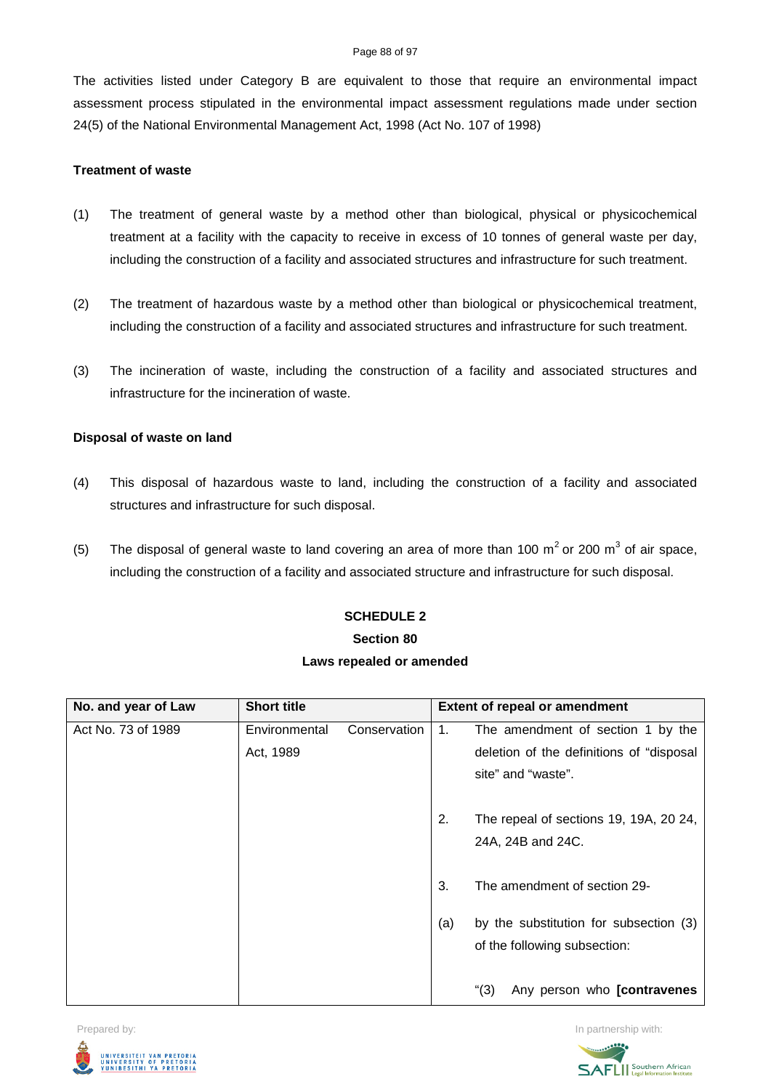#### Page 88 of 97

The activities listed under Category B are equivalent to those that require an environmental impact assessment process stipulated in the environmental impact assessment regulations made under section 24(5) of the National Environmental Management Act, 1998 (Act No. 107 of 1998)

## **Treatment of waste**

- (1) The treatment of general waste by a method other than biological, physical or physicochemical treatment at a facility with the capacity to receive in excess of 10 tonnes of general waste per day, including the construction of a facility and associated structures and infrastructure for such treatment.
- (2) The treatment of hazardous waste by a method other than biological or physicochemical treatment, including the construction of a facility and associated structures and infrastructure for such treatment.
- (3) The incineration of waste, including the construction of a facility and associated structures and infrastructure for the incineration of waste.

## **Disposal of waste on land**

- (4) This disposal of hazardous waste to land, including the construction of a facility and associated structures and infrastructure for such disposal.
- (5) The disposal of general waste to land covering an area of more than 100  $m^2$  or 200  $m^3$  of air space, including the construction of a facility and associated structure and infrastructure for such disposal.

# **SCHEDULE 2 Section 80 Laws repealed or amended**

| No. and year of Law | <b>Short title</b> |              |     | <b>Extent of repeal or amendment</b>     |
|---------------------|--------------------|--------------|-----|------------------------------------------|
| Act No. 73 of 1989  | Environmental      | Conservation | 1.  | The amendment of section 1 by the        |
|                     | Act, 1989          |              |     | deletion of the definitions of "disposal |
|                     |                    |              |     | site" and "waste".                       |
|                     |                    |              | 2.  | The repeal of sections 19, 19A, 20 24,   |
|                     |                    |              |     | 24A, 24B and 24C.                        |
|                     |                    |              | 3.  | The amendment of section 29-             |
|                     |                    |              | (a) | by the substitution for subsection (3)   |
|                     |                    |              |     | of the following subsection:             |
|                     |                    |              |     | (3)<br>Any person who [contravenes       |



Prepared by: **In partnership with:**  $\blacksquare$  Prepared by: **In partnership with:**  $\blacksquare$ **AFLI** Southern African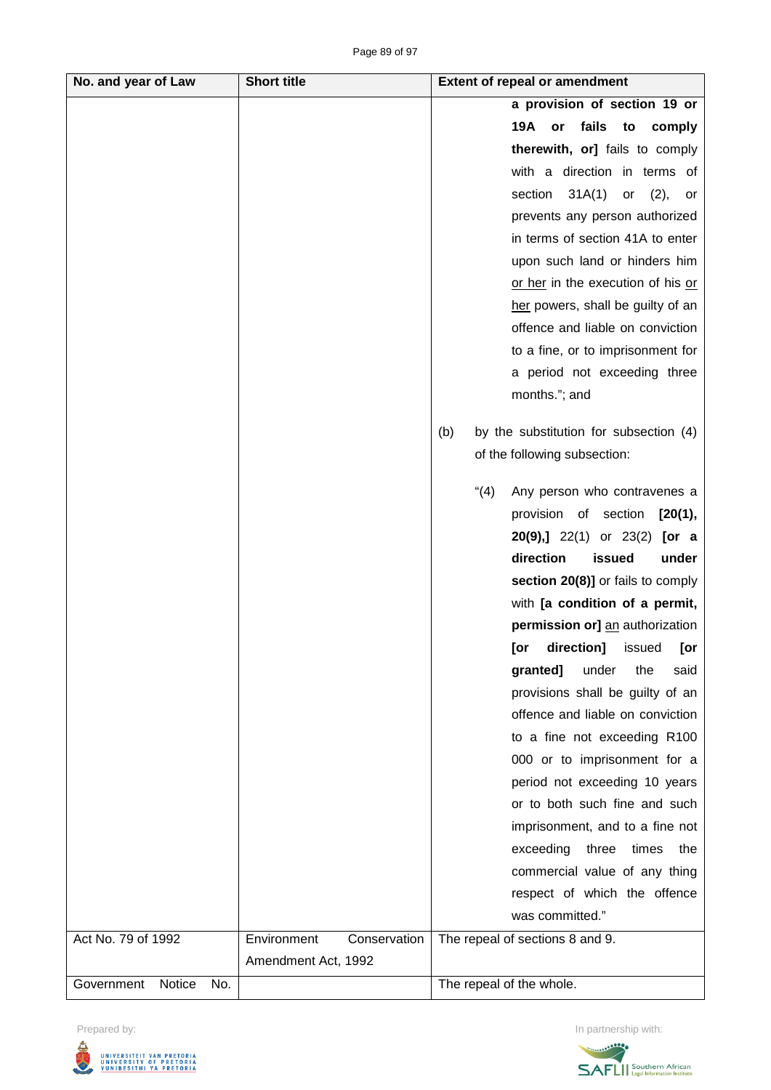| No. and year of Law         | <b>Short title</b>  |              | <b>Extent of repeal or amendment</b>          |
|-----------------------------|---------------------|--------------|-----------------------------------------------|
|                             |                     |              | a provision of section 19 or                  |
|                             |                     |              | fails<br>19A<br>comply<br>or<br>to            |
|                             |                     |              | therewith, or] fails to comply                |
|                             |                     |              | with a direction in terms of                  |
|                             |                     |              | section<br>31A(1)<br>(2),<br>or<br>or         |
|                             |                     |              | prevents any person authorized                |
|                             |                     |              | in terms of section 41A to enter              |
|                             |                     |              | upon such land or hinders him                 |
|                             |                     |              | or her in the execution of his or             |
|                             |                     |              | her powers, shall be guilty of an             |
|                             |                     |              | offence and liable on conviction              |
|                             |                     |              | to a fine, or to imprisonment for             |
|                             |                     |              | a period not exceeding three                  |
|                             |                     |              | months."; and                                 |
|                             |                     |              |                                               |
|                             |                     |              | by the substitution for subsection (4)<br>(b) |
|                             |                     |              | of the following subsection:                  |
|                             |                     |              | (4)<br>Any person who contravenes a           |
|                             |                     |              | provision of section<br>[20(1),]              |
|                             |                     |              | <b>20(9),]</b> 22(1) or 23(2)<br>[or a        |
|                             |                     |              | direction<br>issued<br>under                  |
|                             |                     |              | section 20(8)] or fails to comply             |
|                             |                     |              | with [a condition of a permit,                |
|                             |                     |              | permission or] an authorization               |
|                             |                     |              | direction]<br>[or<br>issued<br>[or            |
|                             |                     |              | granted]<br>under<br>the<br>said              |
|                             |                     |              | provisions shall be guilty of an              |
|                             |                     |              | offence and liable on conviction              |
|                             |                     |              | to a fine not exceeding R100                  |
|                             |                     |              | 000 or to imprisonment for a                  |
|                             |                     |              | period not exceeding 10 years                 |
|                             |                     |              | or to both such fine and such                 |
|                             |                     |              | imprisonment, and to a fine not               |
|                             |                     |              | exceeding<br>three times<br>the               |
|                             |                     |              | commercial value of any thing                 |
|                             |                     |              | respect of which the offence                  |
|                             |                     |              | was committed."                               |
| Act No. 79 of 1992          | Environment         | Conservation | The repeal of sections 8 and 9.               |
|                             | Amendment Act, 1992 |              |                                               |
| Government<br>Notice<br>No. |                     |              | The repeal of the whole.                      |

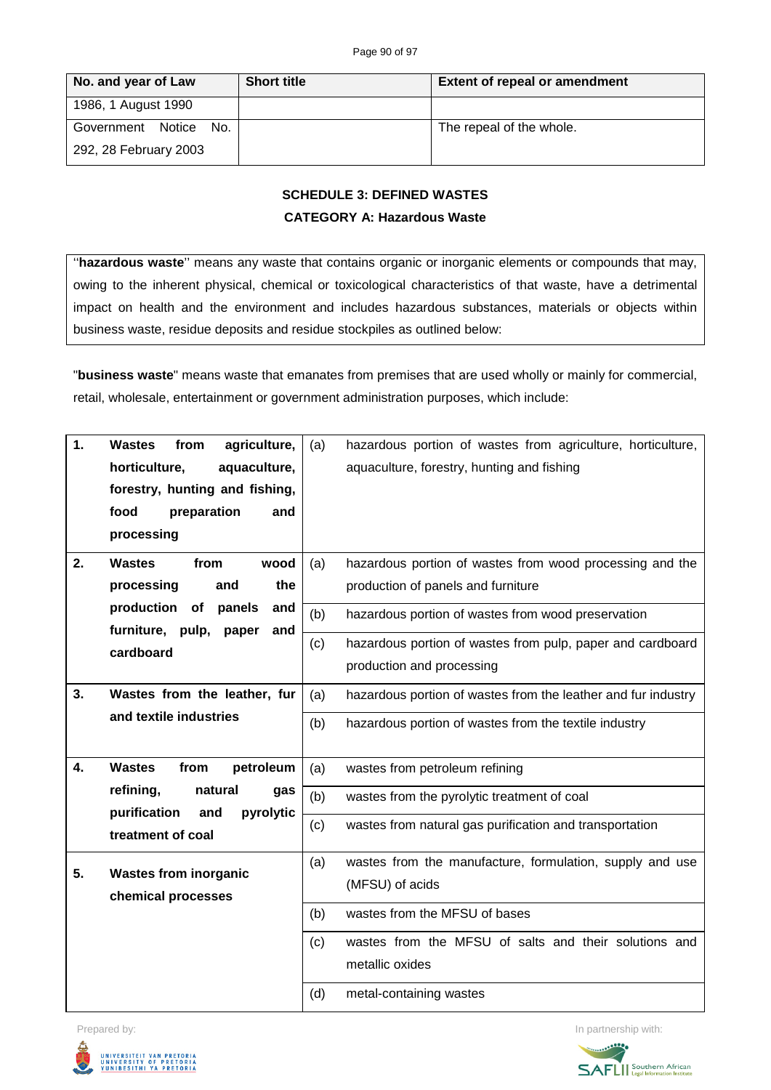| No. and year of Law      | <b>Short title</b> | <b>Extent of repeal or amendment</b> |
|--------------------------|--------------------|--------------------------------------|
| 1986, 1 August 1990      |                    |                                      |
| Government Notice<br>No. |                    | The repeal of the whole.             |
| 292, 28 February 2003    |                    |                                      |

# **SCHEDULE 3: DEFINED WASTES CATEGORY A: Hazardous Waste**

''**hazardous waste**'' means any waste that contains organic or inorganic elements or compounds that may, owing to the inherent physical, chemical or toxicological characteristics of that waste, have a detrimental impact on health and the environment and includes hazardous substances, materials or objects within business waste, residue deposits and residue stockpiles as outlined below:

"**business waste**" means waste that emanates from premises that are used wholly or mainly for commercial, retail, wholesale, entertainment or government administration purposes, which include:

| 1. | agriculture,<br><b>Wastes</b><br>from                           | (a) | hazardous portion of wastes from agriculture, horticulture,   |
|----|-----------------------------------------------------------------|-----|---------------------------------------------------------------|
|    | horticulture,<br>aquaculture,                                   |     | aquaculture, forestry, hunting and fishing                    |
|    | forestry, hunting and fishing,                                  |     |                                                               |
|    | food<br>preparation<br>and                                      |     |                                                               |
|    | processing                                                      |     |                                                               |
|    |                                                                 |     |                                                               |
| 2. | <b>Wastes</b><br>from<br>wood                                   | (a) | hazardous portion of wastes from wood processing and the      |
|    | processing<br>the<br>and                                        |     | production of panels and furniture                            |
|    | production of<br>panels<br>and<br>furniture, pulp, paper<br>and | (b) | hazardous portion of wastes from wood preservation            |
|    | cardboard                                                       | (c) | hazardous portion of wastes from pulp, paper and cardboard    |
|    |                                                                 |     | production and processing                                     |
| 3. | Wastes from the leather, fur                                    | (a) | hazardous portion of wastes from the leather and fur industry |
|    | and textile industries                                          |     |                                                               |
|    |                                                                 | (b) | hazardous portion of wastes from the textile industry         |
|    |                                                                 |     |                                                               |
| 4. | <b>Wastes</b><br>from<br>petroleum                              | (a) | wastes from petroleum refining                                |
|    | refining,<br>natural<br>gas<br>purification<br>pyrolytic<br>and | (b) | wastes from the pyrolytic treatment of coal                   |
|    | treatment of coal                                               | (c) | wastes from natural gas purification and transportation       |
|    |                                                                 | (a) | wastes from the manufacture, formulation, supply and use      |
| 5. | <b>Wastes from inorganic</b>                                    |     | (MFSU) of acids                                               |
|    | chemical processes                                              |     |                                                               |
|    |                                                                 | (b) | wastes from the MFSU of bases                                 |
|    |                                                                 | (c) | wastes from the MFSU of salts and their solutions and         |
|    |                                                                 |     | metallic oxides                                               |
|    |                                                                 | (d) | metal-containing wastes                                       |



Prepared by: **In partnership with:**  $\blacksquare$  **In partnership with:**  $\blacksquare$  **In partnership with:**  $\blacksquare$ 

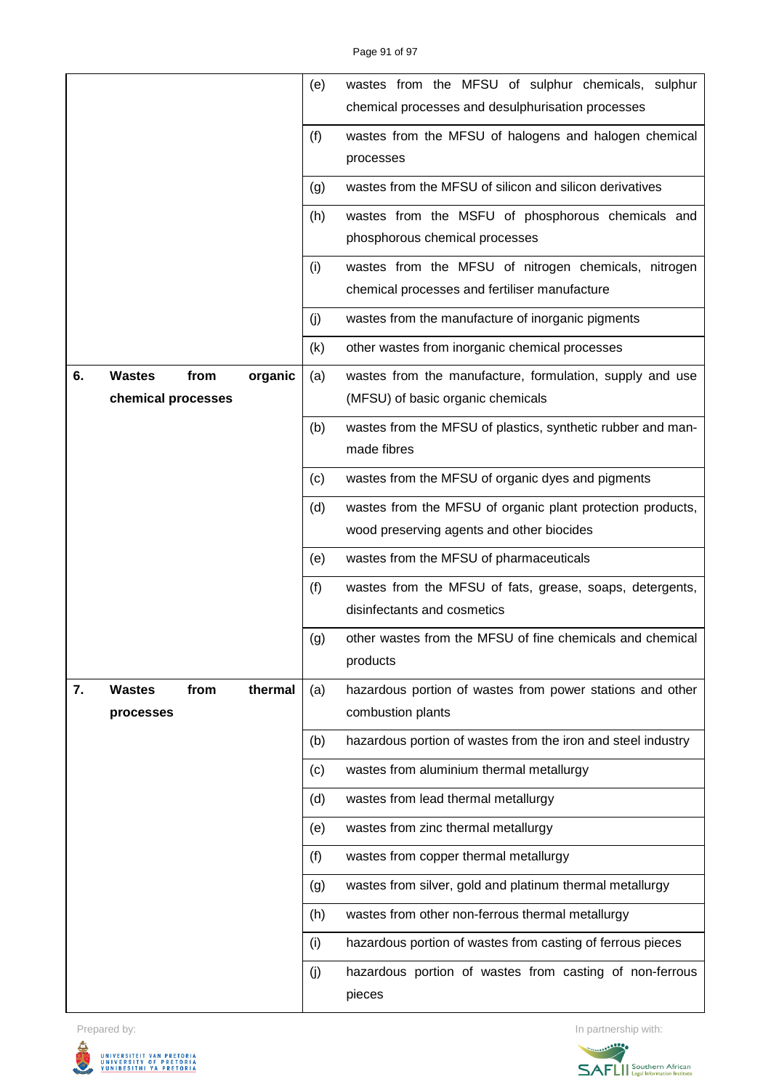|    |                       |         | (e)               | wastes from the MFSU of sulphur chemicals, sulphur<br>chemical processes and desulphurisation processes |
|----|-----------------------|---------|-------------------|---------------------------------------------------------------------------------------------------------|
|    |                       |         | (f)               | wastes from the MFSU of halogens and halogen chemical                                                   |
|    |                       |         |                   | processes                                                                                               |
|    |                       |         | (g)               | wastes from the MFSU of silicon and silicon derivatives                                                 |
|    |                       |         | (h)               | wastes from the MSFU of phosphorous chemicals and                                                       |
|    |                       |         |                   | phosphorous chemical processes                                                                          |
|    |                       |         | (i)               | wastes from the MFSU of nitrogen chemicals, nitrogen<br>chemical processes and fertiliser manufacture   |
|    |                       |         | (j)               | wastes from the manufacture of inorganic pigments                                                       |
|    |                       |         | (k)               | other wastes from inorganic chemical processes                                                          |
| 6. | <b>Wastes</b><br>from | organic | (a)               | wastes from the manufacture, formulation, supply and use                                                |
|    | chemical processes    |         |                   | (MFSU) of basic organic chemicals                                                                       |
|    |                       |         | (b)               | wastes from the MFSU of plastics, synthetic rubber and man-                                             |
|    |                       |         |                   | made fibres                                                                                             |
|    |                       |         | (c)               | wastes from the MFSU of organic dyes and pigments                                                       |
|    |                       |         | (d)               | wastes from the MFSU of organic plant protection products,                                              |
|    |                       |         |                   | wood preserving agents and other biocides                                                               |
|    |                       |         | (e)               | wastes from the MFSU of pharmaceuticals                                                                 |
|    |                       |         | (f)               | wastes from the MFSU of fats, grease, soaps, detergents,                                                |
|    |                       |         |                   | disinfectants and cosmetics                                                                             |
|    |                       |         | $\left( 9\right)$ | other wastes from the MFSU of fine chemicals and chemical<br>products                                   |
| 7. | <b>Wastes</b><br>from | thermal | (a)               | hazardous portion of wastes from power stations and other                                               |
|    | processes             |         |                   | combustion plants                                                                                       |
|    |                       |         | (b)               | hazardous portion of wastes from the iron and steel industry                                            |
|    |                       |         | (c)               | wastes from aluminium thermal metallurgy                                                                |
|    |                       |         | (d)               | wastes from lead thermal metallurgy                                                                     |
|    |                       |         | (e)               | wastes from zinc thermal metallurgy                                                                     |
|    |                       |         | (f)               | wastes from copper thermal metallurgy                                                                   |
|    |                       |         | (g)               | wastes from silver, gold and platinum thermal metallurgy                                                |
|    |                       |         | (h)               | wastes from other non-ferrous thermal metallurgy                                                        |
|    |                       |         | (i)               | hazardous portion of wastes from casting of ferrous pieces                                              |
|    |                       |         | (j)               | hazardous portion of wastes from casting of non-ferrous<br>pieces                                       |



Prepared by: In partnership with:

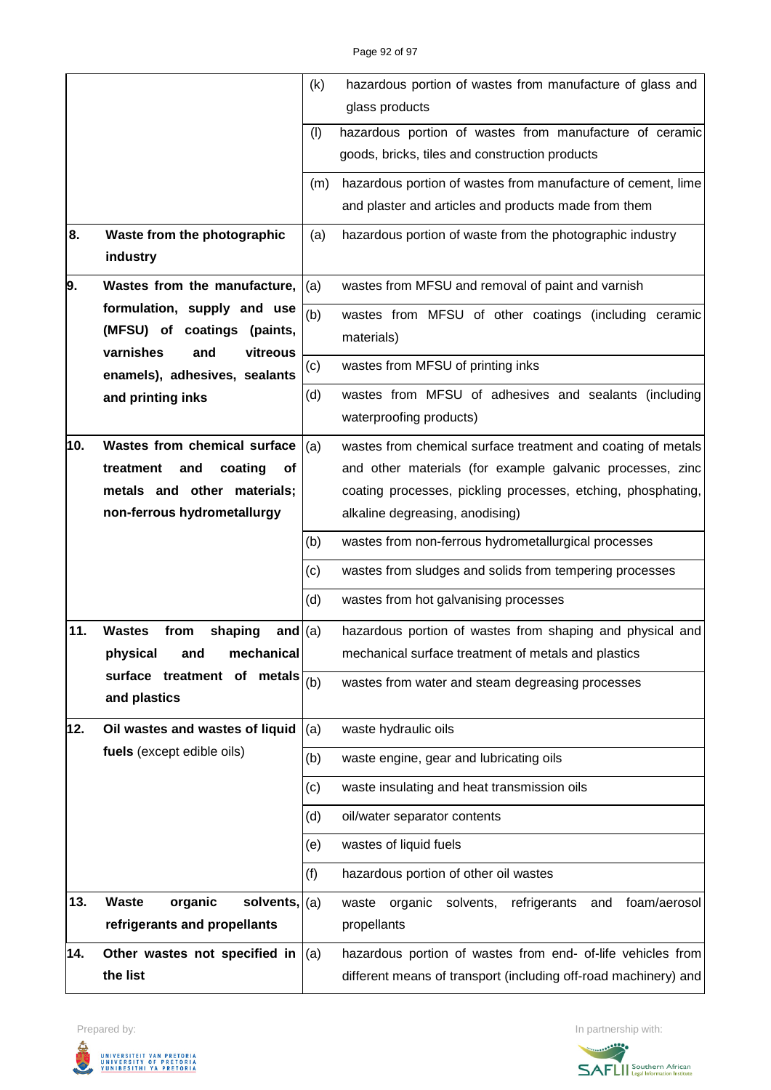|     |                                               | (k) | hazardous portion of wastes from manufacture of glass and            |
|-----|-----------------------------------------------|-----|----------------------------------------------------------------------|
|     |                                               |     | glass products                                                       |
|     |                                               | (1) | hazardous portion of wastes from manufacture of ceramic              |
|     |                                               |     | goods, bricks, tiles and construction products                       |
|     |                                               | (m) | hazardous portion of wastes from manufacture of cement, lime         |
|     |                                               |     | and plaster and articles and products made from them                 |
| 8.  | Waste from the photographic                   | (a) | hazardous portion of waste from the photographic industry            |
|     | industry                                      |     |                                                                      |
| 9.  | Wastes from the manufacture,                  | (a) | wastes from MFSU and removal of paint and varnish                    |
|     | formulation, supply and use                   | (b) | wastes from MFSU of other coatings (including ceramic                |
|     | (MFSU) of coatings (paints,                   |     | materials)                                                           |
|     | varnishes<br>vitreous<br>and                  | (c) | wastes from MFSU of printing inks                                    |
|     | enamels), adhesives, sealants                 |     |                                                                      |
|     | and printing inks                             | (d) | wastes from MFSU of adhesives and sealants (including                |
|     |                                               |     | waterproofing products)                                              |
| 10. | Wastes from chemical surface                  | (a) | wastes from chemical surface treatment and coating of metals         |
|     | treatment<br>coating<br><b>of</b><br>and      |     | and other materials (for example galvanic processes, zinc            |
|     | metals and other materials;                   |     | coating processes, pickling processes, etching, phosphating,         |
|     | non-ferrous hydrometallurgy                   |     | alkaline degreasing, anodising)                                      |
|     |                                               | (b) | wastes from non-ferrous hydrometallurgical processes                 |
|     |                                               | (c) | wastes from sludges and solids from tempering processes              |
|     |                                               | (d) | wastes from hot galvanising processes                                |
| 11. | <b>Wastes</b><br>from<br>shaping<br>and $(a)$ |     | hazardous portion of wastes from shaping and physical and            |
|     | physical<br>mechanical<br>and                 |     | mechanical surface treatment of metals and plastics                  |
|     | surface treatment of metals $\frac{1}{(b)}$   |     | wastes from water and steam degreasing processes                     |
|     | and plastics                                  |     |                                                                      |
| 12. | Oil wastes and wastes of liquid               | (a) | waste hydraulic oils                                                 |
|     | fuels (except edible oils)                    | (b) | waste engine, gear and lubricating oils                              |
|     |                                               | (c) | waste insulating and heat transmission oils                          |
|     |                                               | (d) | oil/water separator contents                                         |
|     |                                               | (e) | wastes of liquid fuels                                               |
|     |                                               | (f) | hazardous portion of other oil wastes                                |
| 13. | <b>Waste</b><br>organic<br>solvents, $(a)$    |     | refrigerants<br>foam/aerosol<br>organic<br>solvents,<br>waste<br>and |
|     | refrigerants and propellants                  |     | propellants                                                          |
| 14. | Other wastes not specified in                 | (a) | hazardous portion of wastes from end- of-life vehicles from          |
|     | the list                                      |     | different means of transport (including off-road machinery) and      |



Prepared by: In partnership with:

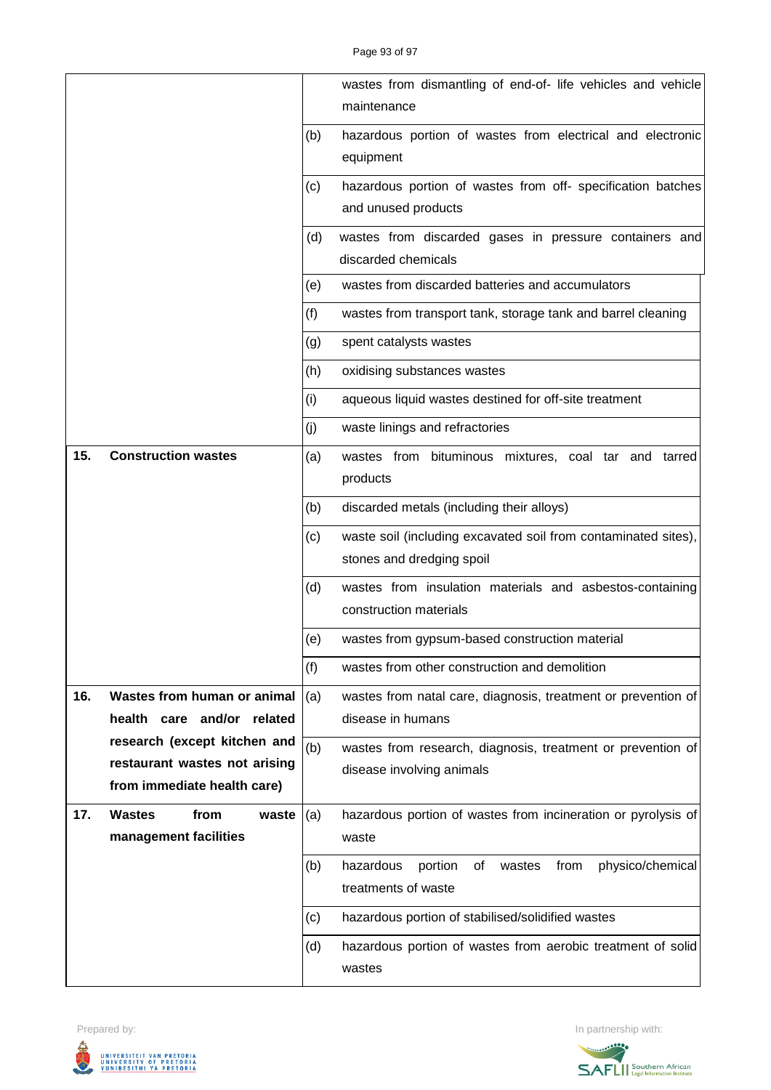|     |                                                               |     | wastes from dismantling of end-of- life vehicles and vehicle                       |
|-----|---------------------------------------------------------------|-----|------------------------------------------------------------------------------------|
|     |                                                               |     | maintenance                                                                        |
|     |                                                               | (b) | hazardous portion of wastes from electrical and electronic<br>equipment            |
|     |                                                               | (c) | hazardous portion of wastes from off- specification batches<br>and unused products |
|     |                                                               |     |                                                                                    |
|     |                                                               | (d) | wastes from discarded gases in pressure containers and<br>discarded chemicals      |
|     |                                                               | (e) | wastes from discarded batteries and accumulators                                   |
|     |                                                               | (f) | wastes from transport tank, storage tank and barrel cleaning                       |
|     |                                                               | (g) | spent catalysts wastes                                                             |
|     |                                                               | (h) | oxidising substances wastes                                                        |
|     |                                                               | (i) | aqueous liquid wastes destined for off-site treatment                              |
|     |                                                               | (j) | waste linings and refractories                                                     |
| 15. | <b>Construction wastes</b>                                    | (a) | wastes from bituminous mixtures, coal tar and tarred<br>products                   |
|     |                                                               | (b) | discarded metals (including their alloys)                                          |
|     |                                                               | (c) | waste soil (including excavated soil from contaminated sites),                     |
|     |                                                               |     | stones and dredging spoil                                                          |
|     |                                                               | (d) | wastes from insulation materials and asbestos-containing<br>construction materials |
|     |                                                               | (e) | wastes from gypsum-based construction material                                     |
|     |                                                               | (f) | wastes from other construction and demolition                                      |
| 16. | Wastes from human or animal                                   | (a) | wastes from natal care, diagnosis, treatment or prevention of                      |
|     | health care and/or<br>related                                 |     | disease in humans                                                                  |
|     | research (except kitchen and<br>restaurant wastes not arising | (b) | wastes from research, diagnosis, treatment or prevention of                        |
|     | from immediate health care)                                   |     | disease involving animals                                                          |
| 17. | <b>Wastes</b><br>from<br>waste                                | (a) | hazardous portion of wastes from incineration or pyrolysis of                      |
|     | management facilities                                         |     | waste                                                                              |
|     |                                                               | (b) | hazardous<br>from<br>physico/chemical<br>portion<br>οf<br>wastes                   |
|     |                                                               |     | treatments of waste                                                                |
|     |                                                               | (c) | hazardous portion of stabilised/solidified wastes                                  |
|     |                                                               | (d) | hazardous portion of wastes from aerobic treatment of solid                        |
|     |                                                               |     | wastes                                                                             |



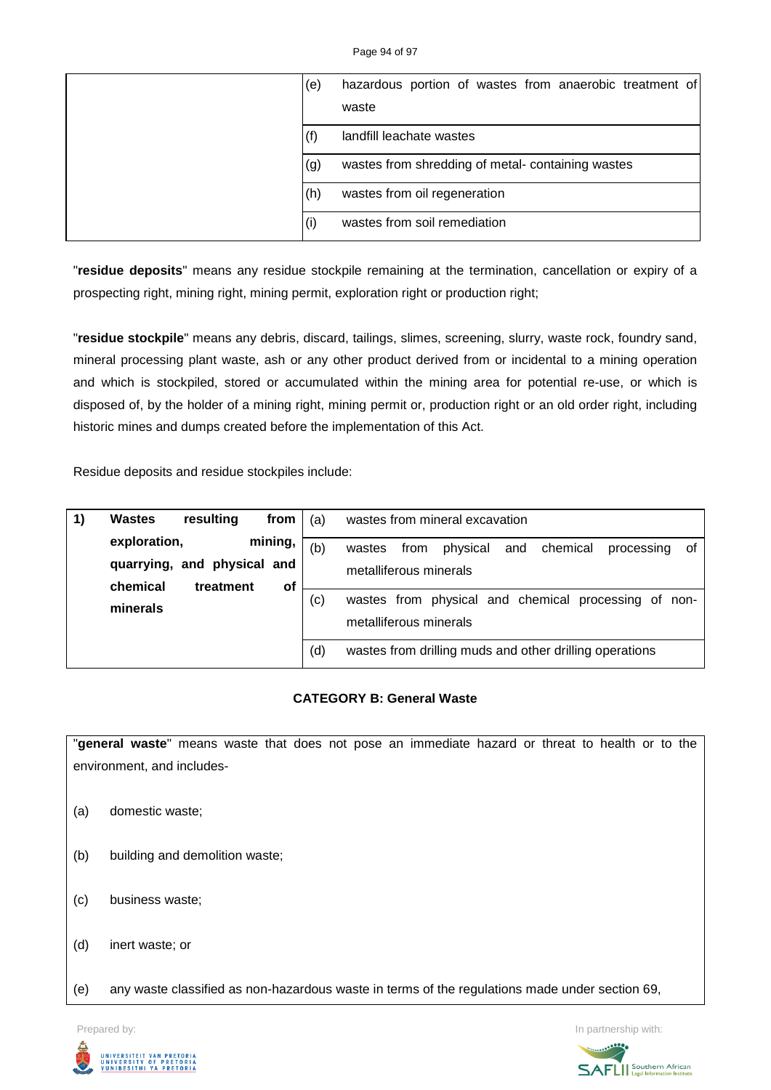Page 94 of 97

| (e) | hazardous portion of wastes from anaerobic treatment of<br>waste |
|-----|------------------------------------------------------------------|
| (f) | landfill leachate wastes                                         |
| (g) | wastes from shredding of metal-containing wastes                 |
| (h) | wastes from oil regeneration                                     |
| (i) | wastes from soil remediation                                     |

"**residue deposits**" means any residue stockpile remaining at the termination, cancellation or expiry of a prospecting right, mining right, mining permit, exploration right or production right;

"**residue stockpile**" means any debris, discard, tailings, slimes, screening, slurry, waste rock, foundry sand, mineral processing plant waste, ash or any other product derived from or incidental to a mining operation and which is stockpiled, stored or accumulated within the mining area for potential re-use, or which is disposed of, by the holder of a mining right, mining permit or, production right or an old order right, including historic mines and dumps created before the implementation of this Act.

Residue deposits and residue stockpiles include:

| <b>Wastes</b><br>resulting<br>from                     | (a) | wastes from mineral excavation                                                              |
|--------------------------------------------------------|-----|---------------------------------------------------------------------------------------------|
| mining,<br>exploration,<br>quarrying, and physical and | (b) | physical<br>chemical<br>from<br>wastes<br>and<br>processing<br>οf<br>metalliferous minerals |
| chemical<br>treatment<br>οf<br>minerals                | (c) | wastes from physical and chemical processing of non-<br>metalliferous minerals              |
|                                                        | (d) | wastes from drilling muds and other drilling operations                                     |

# **CATEGORY B: General Waste**

"**general waste**" means waste that does not pose an immediate hazard or threat to health or to the environment, and includes-

- (a) domestic waste;
- (b) building and demolition waste;
- (c) business waste;
- (d) inert waste; or
- (e) any waste classified as non-hazardous waste in terms of the regulations made under section 69,

Prepared by: **In partnership with:**  $\blacksquare$  **In partnership with:**  $\blacksquare$  **In partnership with:**  $\blacksquare$ 



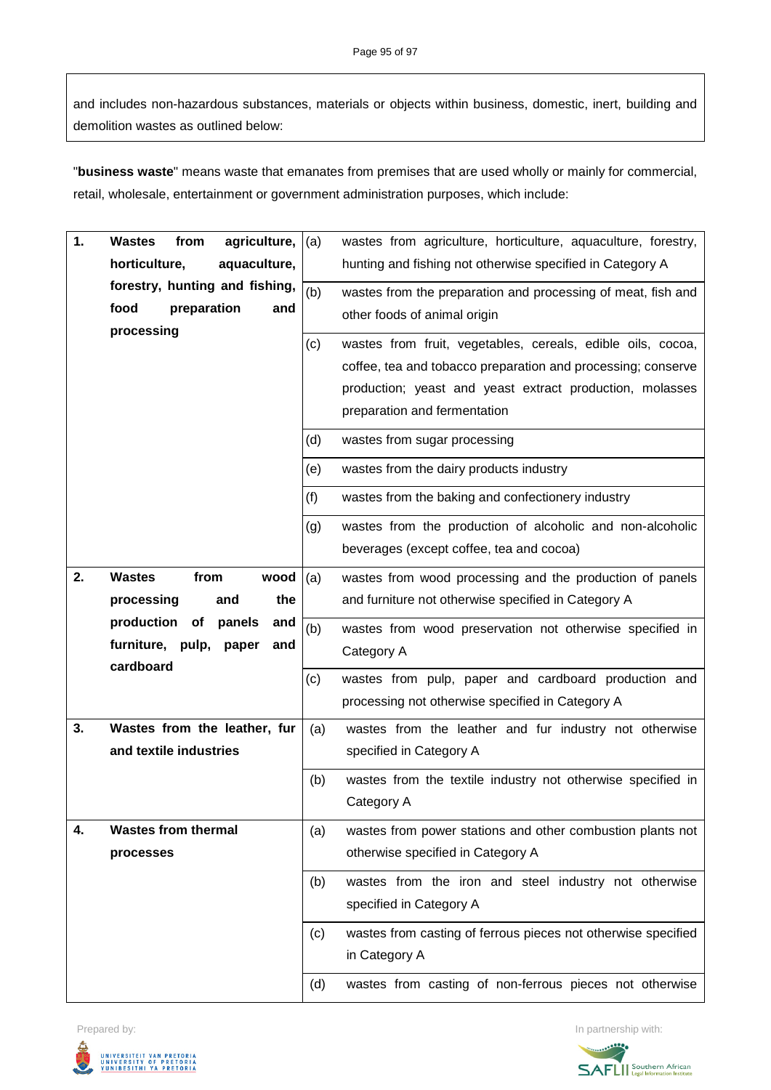and includes non-hazardous substances, materials or objects within business, domestic, inert, building and demolition wastes as outlined below:

"**business waste**" means waste that emanates from premises that are used wholly or mainly for commercial, retail, wholesale, entertainment or government administration purposes, which include:

| 1. | <b>Wastes</b><br>agriculture, $ (a)$<br>from |     | wastes from agriculture, horticulture, aquaculture, forestry,                                   |
|----|----------------------------------------------|-----|-------------------------------------------------------------------------------------------------|
|    | horticulture,<br>aquaculture,                |     | hunting and fishing not otherwise specified in Category A                                       |
|    | forestry, hunting and fishing,               | (b) | wastes from the preparation and processing of meat, fish and                                    |
|    | food<br>preparation<br>and                   |     | other foods of animal origin                                                                    |
|    | processing                                   | (c) | wastes from fruit, vegetables, cereals, edible oils, cocoa,                                     |
|    |                                              |     | coffee, tea and tobacco preparation and processing; conserve                                    |
|    |                                              |     | production; yeast and yeast extract production, molasses                                        |
|    |                                              |     | preparation and fermentation                                                                    |
|    |                                              | (d) | wastes from sugar processing                                                                    |
|    |                                              |     |                                                                                                 |
|    |                                              | (e) | wastes from the dairy products industry                                                         |
|    |                                              | (f) | wastes from the baking and confectionery industry                                               |
|    |                                              | (g) | wastes from the production of alcoholic and non-alcoholic                                       |
|    |                                              |     | beverages (except coffee, tea and cocoa)                                                        |
| 2. | <b>Wastes</b><br>from<br>wood                | (a) | wastes from wood processing and the production of panels                                        |
|    | the<br>processing<br>and                     |     | and furniture not otherwise specified in Category A                                             |
|    | production<br>of<br>panels<br>and            | (b) | wastes from wood preservation not otherwise specified in                                        |
|    | furniture, pulp,<br>paper<br>and             |     | Category A                                                                                      |
|    | cardboard                                    | (c) | wastes from pulp, paper and cardboard production and                                            |
|    |                                              |     | processing not otherwise specified in Category A                                                |
| 3. | Wastes from the leather, fur                 | (a) | wastes from the leather and fur industry not otherwise                                          |
|    | and textile industries                       |     | specified in Category A                                                                         |
|    |                                              | (b) | wastes from the textile industry not otherwise specified in                                     |
|    |                                              |     | Category A                                                                                      |
| 4. | <b>Wastes from thermal</b>                   |     |                                                                                                 |
|    | processes                                    | (a) | wastes from power stations and other combustion plants not<br>otherwise specified in Category A |
|    |                                              |     |                                                                                                 |
|    |                                              | (b) | wastes from the iron and steel industry not otherwise                                           |
|    |                                              |     | specified in Category A                                                                         |
|    |                                              | (c) | wastes from casting of ferrous pieces not otherwise specified                                   |
|    |                                              |     |                                                                                                 |
|    |                                              |     | in Category A                                                                                   |



Prepared by: In partnership with:

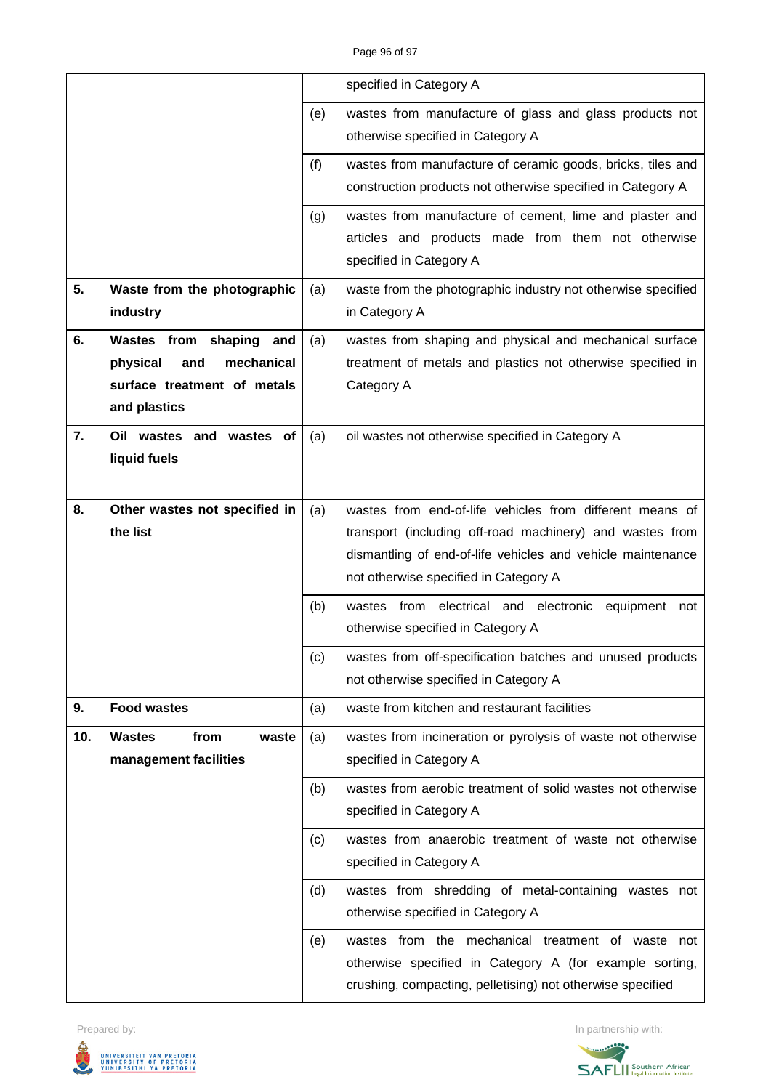|     |                                                                                                            |     | specified in Category A                                                                                                                                                                                                      |
|-----|------------------------------------------------------------------------------------------------------------|-----|------------------------------------------------------------------------------------------------------------------------------------------------------------------------------------------------------------------------------|
|     |                                                                                                            | (e) | wastes from manufacture of glass and glass products not<br>otherwise specified in Category A                                                                                                                                 |
|     |                                                                                                            | (f) | wastes from manufacture of ceramic goods, bricks, tiles and<br>construction products not otherwise specified in Category A                                                                                                   |
|     |                                                                                                            | (g) | wastes from manufacture of cement, lime and plaster and<br>articles and products made from them not otherwise<br>specified in Category A                                                                                     |
| 5.  | Waste from the photographic<br>industry                                                                    | (a) | waste from the photographic industry not otherwise specified<br>in Category A                                                                                                                                                |
| 6.  | Wastes from shaping<br>and<br>mechanical<br>physical<br>and<br>surface treatment of metals<br>and plastics | (a) | wastes from shaping and physical and mechanical surface<br>treatment of metals and plastics not otherwise specified in<br>Category A                                                                                         |
| 7.  | Oil wastes and wastes<br>оf<br>liquid fuels                                                                | (a) | oil wastes not otherwise specified in Category A                                                                                                                                                                             |
| 8.  | Other wastes not specified in<br>the list                                                                  | (a) | wastes from end-of-life vehicles from different means of<br>transport (including off-road machinery) and wastes from<br>dismantling of end-of-life vehicles and vehicle maintenance<br>not otherwise specified in Category A |
|     |                                                                                                            | (b) | from electrical and electronic<br>equipment<br>wastes<br>not<br>otherwise specified in Category A                                                                                                                            |
|     |                                                                                                            | (c) | wastes from off-specification batches and unused products<br>not otherwise specified in Category A                                                                                                                           |
| 9.  | <b>Food wastes</b>                                                                                         | (a) | waste from kitchen and restaurant facilities                                                                                                                                                                                 |
| 10. | from<br><b>Wastes</b><br>waste<br>management facilities                                                    | (a) | wastes from incineration or pyrolysis of waste not otherwise<br>specified in Category A                                                                                                                                      |
|     |                                                                                                            | (b) | wastes from aerobic treatment of solid wastes not otherwise<br>specified in Category A                                                                                                                                       |
|     |                                                                                                            | (c) | wastes from anaerobic treatment of waste not otherwise<br>specified in Category A                                                                                                                                            |
|     |                                                                                                            | (d) | wastes from shredding of metal-containing wastes not<br>otherwise specified in Category A                                                                                                                                    |
|     |                                                                                                            | (e) | wastes from the mechanical treatment of waste not<br>otherwise specified in Category A (for example sorting,<br>crushing, compacting, pelletising) not otherwise specified                                                   |



Prepared by: In partnership with: